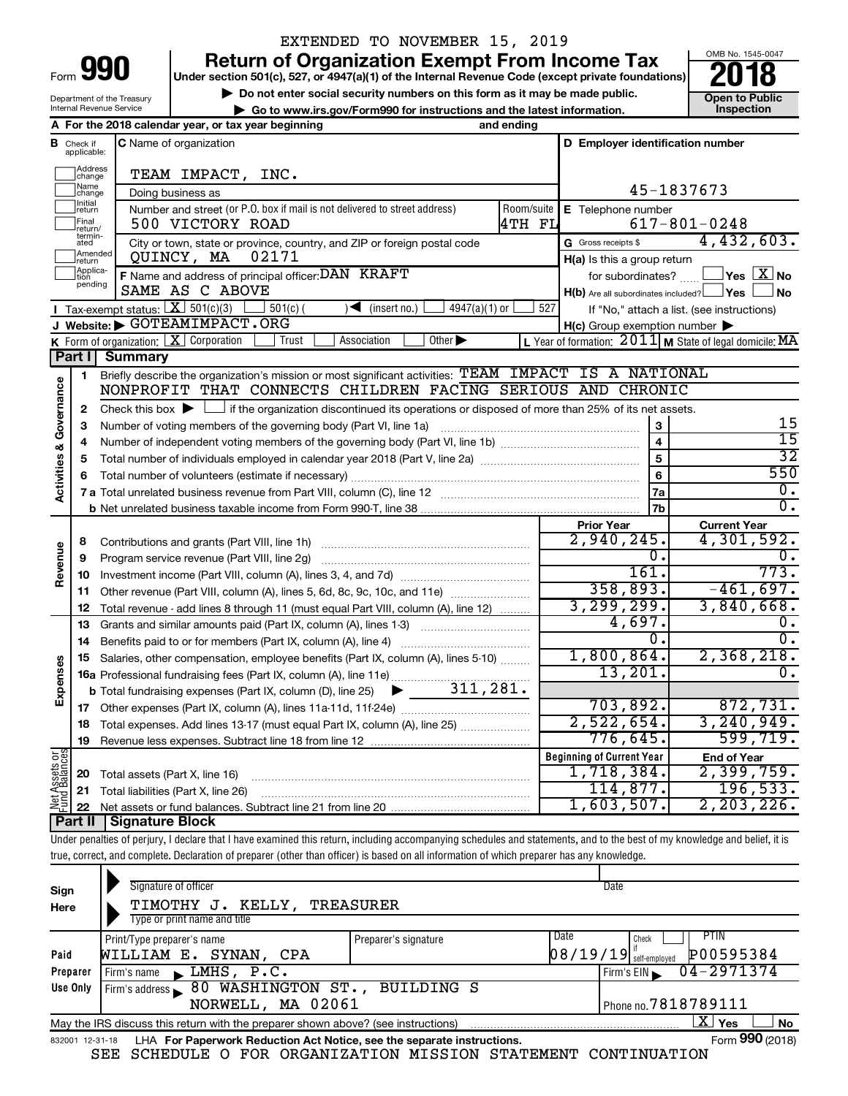**I**

Department of the Treasury

### EXTENDED TO NOVEMBER 15, 2019

**Return of Organization Exempt From Income Tax**<br>r section 501(c), 527, or 4947(a)(1) of the Internal Revenue Code (except private foundations)<br>**2018** 

**Under section 501(c), 527, or 4947(a)(1) of the Internal Revenue Code (except private foundations)**

**b** Do not enter social security numbers on this form as it may be made public.<br> **Go to www.irs.gov/Form990 for instructions and the latest information. 
<br>
Inspection** 



15 15 32 550  $\overline{0}$  .  $\overline{0}$  .

Internal Revenue Service **| Go to www.irs.gov/Form990 for instructions and the latest information. Inspection A For the 2018 calendar year, or tax year beginning and ending B** Check if **C** Name of organization **C D Employer identification number** Check if C Name of organization applicable: Haddress<br>
Change TEAM IMPACT, INC. Name<br>
change 45-1837673 Doing business as Initial<br>Treturn  $\Box$ **E** Telephone number Number and street (or P.O. box if mail is not delivered to street address) Room/suite | E Telephone number 500 VICTORY ROAD 4TH FL 617-801-0248  $\Box$ Final 500 VICTORY ROAD<br>return/<br>ated City or town, state or province, country, and ZIP or foreign postal code Gross receipts \$ G Gross receipts \$ 4,432,603. **Example 1**<br>Treturn QUINCY, MA 02171 **H(a)** Is this a group return Applica-<br>
pending for subordinates?  $\Box$  Yes  $\boxed{X}$  No **F** Name and address of principal officer: DAN KRAFT for subordinates? The subordinates of  $X$  **No** SAME AS C ABOVE  $H(b)$  Are all subordinates included?  $\Box$  Yes  $\Box$  No Tax-exempt status:  $\boxed{\mathbf{X}}$  501(c)(3)  $\boxed{\phantom{0}}$  501(c)(  $\phantom{0}$ )  $\blacklozenge$  (insert no.)  $\boxed{\phantom{0}}$  4947(a)(1) or  $\boxed{\phantom{0}}$  527 If "No," attach a list. (see instructions) **J Website: |** GOTEAMIMPACT.ORG **H(c)** Group exemption number **K** Form of organization:  $\boxed{\mathbf{X}}$  Corporation  $\boxed{\phantom{a}}$  Trust  $\boxed{\phantom{a}}$  Association  $\boxed{\phantom{a}}$ **L M** Form of organization: Corporation Trust Association Other | Year of formation: State of legal domicile: X 2011 MA **Part I Summary** Briefly describe the organization's mission or most significant activities: TEAM IMPACT IS A NATIONAL **1** Activities & Governance **Activities & Governance** NONPROFIT THAT CONNECTS CHILDREN FACING SERIOUS AND CHRONIC Check this box  $\blacktriangleright$  if the organization discontinued its operations or disposed of more than 25% of its net assets. **2 3 3** Number of voting members of the governing body (Part VI, line 1a) www.communically.communically.com **4 4** Number of independent voting members of the governing body (Part VI, line 1b) manumour manumour manumour **5 5** Total number of individuals employed in calendar year 2018 (Part V, line 2a) www.communition.communition. **6 6** Total number of volunteers (estimate if necessary) …………………………………………………………………………… **7a 7 a** Total unrelated business revenue from Part VIII, column (C), line 12 ~~~~~~~~~~~~~~~~~~~~ **7b b** Net unrelated business taxable income from Form 990-T, line 38 **Prior Year Current Year** Contributions and grants (Part VIII, line 1h) ~~~~~~~~~~~~~~~~~~~~~ 2,940,245. 4,301,592. **8 Revenue**  $\overline{0.1}$  0. Program service revenue (Part VIII, line 2g) ~~~~~~~~~~~~~~~~~~~~~ **9** 161. 773. Investment income (Part VIII, column (A), lines 3, 4, and 7d) ~~~~~~~~~~~~~ **10** 358,893. -461,697. **11** Other revenue (Part VIII, column (A), lines 5, 6d, 8c, 9c, 10c, and 11e) ........................... 3,299,299. 3,840,668. Total revenue - add lines 8 through 11 (must equal Part VIII, column (A), line 12) **12** 4,697. 0. **13** Grants and similar amounts paid (Part IX, column (A), lines 1-3) \_\_\_\_\_\_\_\_\_\_\_\_\_\_\_\_\_\_\_\_\_  $\overline{0.1}$  0. **14** Benefits paid to or for members (Part IX, column (A), line 4) 1,800,864. 2,368,218. **15** Salaries, other compensation, employee benefits (Part IX, column (A), lines 5-10)  $\ldots \ldots \ldots$ **Expenses** 13,201. 0. **16 a** Professional fundraising fees (Part IX, column (A), line 11e) ~~~~~~~~~~~~~~ 311,281.  $\blacktriangleright$ **b** Total fundraising expenses (Part IX, column (D), line 25) 703,892. 872,731. **17** Other expenses (Part IX, column (A), lines 11a 11d, 11f 24e) ……………………………… 2,522,654. 3,240,949. **18** Total expenses. Add lines 13-17 (must equal Part IX, column (A), line 25) ..................... 776,645. 599,719. **19** Revenue less expenses. Subtract line 18 from line 12 **Net Assets or Fund Balances Beginning of Current Year End of Year** 1,718,384. 2,399,759. **20** Total assets (Part X, line 16) ~~~~~~~~~~~~~~~~~~~~~~~~~~~~ 114,877. 196,533. **21** Total liabilities (Part X, line 26) ~~~~~~~~~~~~~~~~~~~~~~~~~~~ 1,603,507. 2,203,226. **22** Net assets or fund balances. Subtract line 21 from line 20 **Part II Signature Block**

Under penalties of perjury, I declare that I have examined this return, including accompanying schedules and statements, and to the best of my knowledge and belief, it is true, correct, and complete. Declaration of preparer (other than officer) is based on all information of which preparer has any knowledge.

| Sign<br>Here    | Signature of officer<br>TIMOTHY J. KELLY, TREASURER<br>Type or print name and title |                                                            | Date                                               |
|-----------------|-------------------------------------------------------------------------------------|------------------------------------------------------------|----------------------------------------------------|
|                 | Print/Type preparer's name                                                          | Date<br>Preparer's signature                               | <b>PTIN</b><br>Check                               |
| Paid            | WILLIAM E. SYNAN, CPA                                                               |                                                            | $\left[08/19/19\right]$ self-employed<br>P00595384 |
| Preparer        | LMHS, P.C.<br>Firm's name<br>$\mathbf{K}$                                           |                                                            | 04-2971374<br>Firm's EIN                           |
| Use Only        | 80 WASHINGTON ST., BUILDING S<br>Firm's address                                     |                                                            |                                                    |
|                 | NORWELL, MA 02061                                                                   |                                                            | Phone no. $7818789111$                             |
|                 | May the IRS discuss this return with the preparer shown above? (see instructions)   |                                                            | $\mathbf{X}$<br>No<br>Yes                          |
| 832001 12-31-18 | LHA For Paperwork Reduction Act Notice, see the separate instructions.              |                                                            | Form 990 (2018)                                    |
|                 | SEE                                                                                 | SCHEDULE O FOR ORGANIZATION MISSION STATEMENT CONTINUATION |                                                    |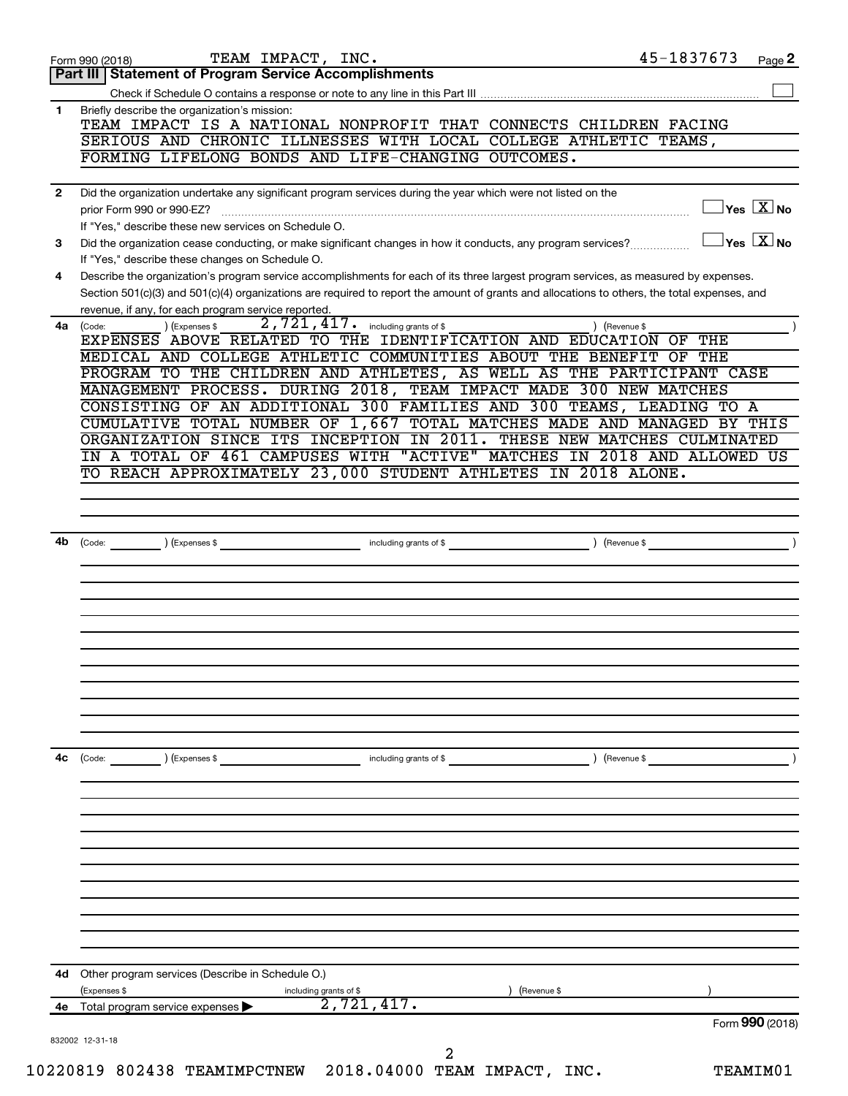|              | TEAM IMPACT, INC.<br>Form 990 (2018)                                                                                                         | 45-1837673<br>Page 2                             |
|--------------|----------------------------------------------------------------------------------------------------------------------------------------------|--------------------------------------------------|
|              | Part III   Statement of Program Service Accomplishments                                                                                      |                                                  |
|              |                                                                                                                                              |                                                  |
| 1            | Briefly describe the organization's mission:<br>TEAM IMPACT IS A NATIONAL NONPROFIT THAT CONNECTS CHILDREN FACING                            |                                                  |
|              | SERIOUS AND CHRONIC ILLNESSES WITH LOCAL COLLEGE ATHLETIC TEAMS,                                                                             |                                                  |
|              | FORMING LIFELONG BONDS AND LIFE-CHANGING OUTCOMES.                                                                                           |                                                  |
|              |                                                                                                                                              |                                                  |
| $\mathbf{2}$ | Did the organization undertake any significant program services during the year which were not listed on the<br>prior Form 990 or 990-EZ?    | $\sqrt{\mathsf{Yes}\ \mathbb{X}}$ No             |
|              | If "Yes," describe these new services on Schedule O.                                                                                         |                                                  |
| 3            | Did the organization cease conducting, or make significant changes in how it conducts, any program services?                                 | $\overline{\ }$ Yes $\overline{\phantom{a}X}$ No |
|              | If "Yes," describe these changes on Schedule O.                                                                                              |                                                  |
| 4            | Describe the organization's program service accomplishments for each of its three largest program services, as measured by expenses.         |                                                  |
|              | Section 501(c)(3) and 501(c)(4) organizations are required to report the amount of grants and allocations to others, the total expenses, and |                                                  |
|              | revenue, if any, for each program service reported.                                                                                          |                                                  |
|              | 2,721,417.<br>including grants of \$<br>) (Expenses \$<br>4a (Code:                                                                          | (Revenue \$                                      |
|              | EXPENSES ABOVE RELATED TO THE IDENTIFICATION AND EDUCATION OF<br>MEDICAL AND COLLEGE ATHLETIC COMMUNITIES ABOUT THE BENEFIT                  | THE<br>OF THE                                    |
|              | PROGRAM TO THE CHILDREN AND ATHLETES, AS WELL AS THE PARTICIPANT CASE                                                                        |                                                  |
|              | MANAGEMENT PROCESS. DURING 2018, TEAM IMPACT MADE 300 NEW MATCHES                                                                            |                                                  |
|              | CONSISTING OF AN ADDITIONAL 300 FAMILIES AND 300 TEAMS, LEADING TO A                                                                         |                                                  |
|              | CUMULATIVE TOTAL NUMBER OF 1,667 TOTAL MATCHES MADE AND MANAGED BY THIS                                                                      |                                                  |
|              | ORGANIZATION SINCE ITS INCEPTION IN 2011.                                                                                                    | THESE NEW MATCHES CULMINATED                     |
|              | IN A TOTAL OF 461 CAMPUSES WITH "ACTIVE"                                                                                                     | MATCHES IN 2018 AND ALLOWED US                   |
|              | TO REACH APPROXIMATELY 23,000 STUDENT ATHLETES IN 2018 ALONE.                                                                                |                                                  |
|              |                                                                                                                                              |                                                  |
|              |                                                                                                                                              |                                                  |
| 4b           |                                                                                                                                              |                                                  |
|              | (Code:<br>(Expenses \$<br>including grants of \$                                                                                             | (Revenue \$                                      |
|              |                                                                                                                                              |                                                  |
|              |                                                                                                                                              |                                                  |
|              |                                                                                                                                              |                                                  |
|              |                                                                                                                                              |                                                  |
|              |                                                                                                                                              |                                                  |
|              |                                                                                                                                              |                                                  |
|              |                                                                                                                                              |                                                  |
|              |                                                                                                                                              |                                                  |
|              |                                                                                                                                              |                                                  |
|              |                                                                                                                                              |                                                  |
|              |                                                                                                                                              |                                                  |
|              |                                                                                                                                              |                                                  |
|              | ) (Expenses \$<br>including grants of \$<br>$\left(\text{Code:}\right)$                                                                      | (Revenue \$                                      |
|              |                                                                                                                                              |                                                  |
|              |                                                                                                                                              |                                                  |
|              |                                                                                                                                              |                                                  |
|              |                                                                                                                                              |                                                  |
|              |                                                                                                                                              |                                                  |
|              |                                                                                                                                              |                                                  |
|              |                                                                                                                                              |                                                  |
|              |                                                                                                                                              |                                                  |
|              |                                                                                                                                              |                                                  |
| 4с           |                                                                                                                                              |                                                  |
| 4d           | Other program services (Describe in Schedule O.)                                                                                             |                                                  |
|              | (Expenses \$<br>(Revenue \$<br>including grants of \$                                                                                        |                                                  |
| 4е           | 2,721,417.<br>Total program service expenses                                                                                                 |                                                  |
|              |                                                                                                                                              | Form 990 (2018)                                  |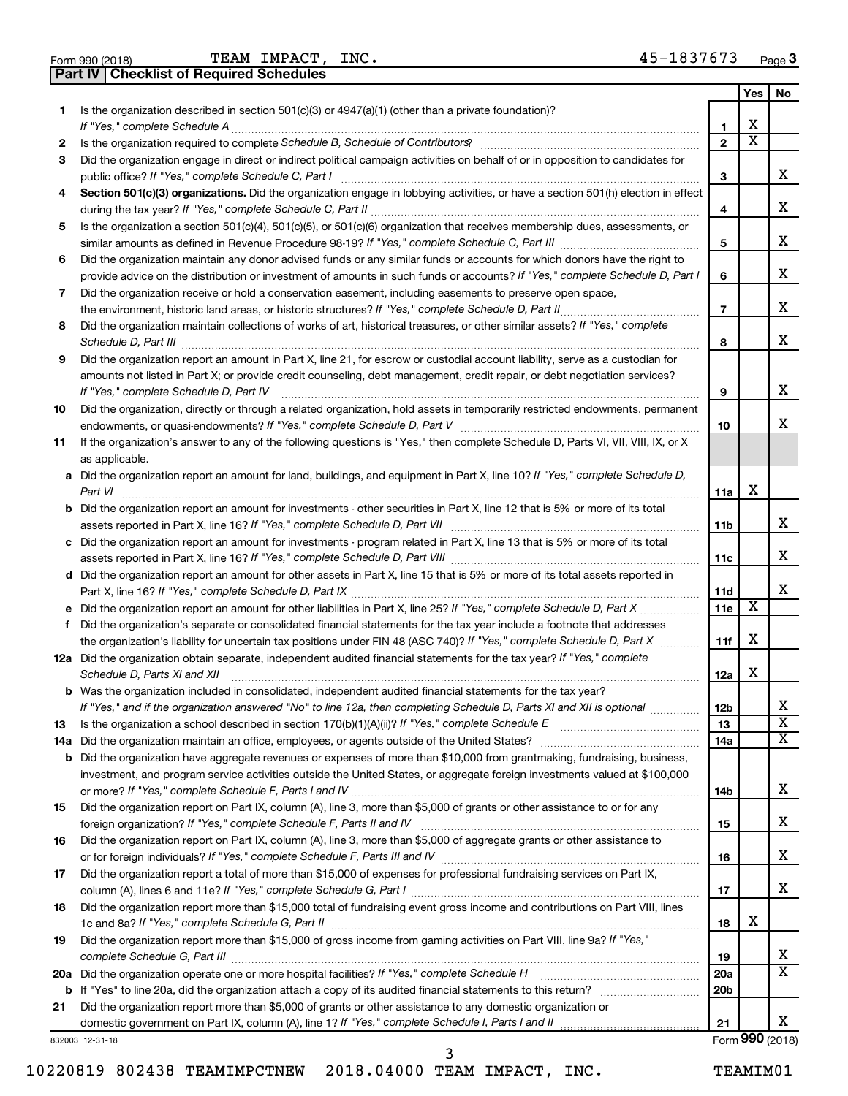**Part IV Checklist of Required Schedules**

|    |                                                                                                                                                                                                                                                           |                 | Yes | No.                     |
|----|-----------------------------------------------------------------------------------------------------------------------------------------------------------------------------------------------------------------------------------------------------------|-----------------|-----|-------------------------|
| 1  | Is the organization described in section 501(c)(3) or 4947(a)(1) (other than a private foundation)?<br>If "Yes," complete Schedule A                                                                                                                      | 1               | х   |                         |
| 2  | Is the organization required to complete Schedule B, Schedule of Contributors? [111] [12] the organization required to complete Schedule B, Schedule of Contributors? [11] [12] [12] the organization required to complete Sch                            | $\mathbf{2}$    | X   |                         |
| 3  | Did the organization engage in direct or indirect political campaign activities on behalf of or in opposition to candidates for                                                                                                                           |                 |     |                         |
|    | public office? If "Yes," complete Schedule C, Part I                                                                                                                                                                                                      | 3               |     | x                       |
| 4  | Section 501(c)(3) organizations. Did the organization engage in lobbying activities, or have a section 501(h) election in effect                                                                                                                          | 4               |     | х                       |
|    | Is the organization a section 501(c)(4), 501(c)(5), or 501(c)(6) organization that receives membership dues, assessments, or                                                                                                                              |                 |     |                         |
| 5  |                                                                                                                                                                                                                                                           | 5               |     | х                       |
| 6  | Did the organization maintain any donor advised funds or any similar funds or accounts for which donors have the right to<br>provide advice on the distribution or investment of amounts in such funds or accounts? If "Yes," complete Schedule D, Part I | 6               |     | х                       |
| 7  | Did the organization receive or hold a conservation easement, including easements to preserve open space,                                                                                                                                                 |                 |     |                         |
|    |                                                                                                                                                                                                                                                           | $\overline{7}$  |     | х                       |
| 8  | Did the organization maintain collections of works of art, historical treasures, or other similar assets? If "Yes," complete                                                                                                                              | 8               |     | х                       |
| 9  | Did the organization report an amount in Part X, line 21, for escrow or custodial account liability, serve as a custodian for                                                                                                                             |                 |     |                         |
|    | amounts not listed in Part X; or provide credit counseling, debt management, credit repair, or debt negotiation services?<br>If "Yes," complete Schedule D, Part IV                                                                                       | 9               |     | х                       |
| 10 | Did the organization, directly or through a related organization, hold assets in temporarily restricted endowments, permanent                                                                                                                             | 10              |     | х                       |
| 11 | If the organization's answer to any of the following questions is "Yes," then complete Schedule D, Parts VI, VII, VIII, IX, or X<br>as applicable.                                                                                                        |                 |     |                         |
|    | a Did the organization report an amount for land, buildings, and equipment in Part X, line 10? If "Yes," complete Schedule D,<br>Part VI                                                                                                                  | 11a             | х   |                         |
|    | <b>b</b> Did the organization report an amount for investments - other securities in Part X, line 12 that is 5% or more of its total<br>assets reported in Part X, line 16? If "Yes," complete Schedule D, Part VII [11] [11] [12] [12] [12] [12] [12] [  | 11b             |     | х                       |
|    | c Did the organization report an amount for investments - program related in Part X, line 13 that is 5% or more of its total                                                                                                                              |                 |     |                         |
|    |                                                                                                                                                                                                                                                           | 11c             |     | х                       |
|    | d Did the organization report an amount for other assets in Part X, line 15 that is 5% or more of its total assets reported in                                                                                                                            | 11d             |     | х                       |
| е  |                                                                                                                                                                                                                                                           | 11e             | х   |                         |
| f  | Did the organization's separate or consolidated financial statements for the tax year include a footnote that addresses                                                                                                                                   |                 |     |                         |
|    | the organization's liability for uncertain tax positions under FIN 48 (ASC 740)? If "Yes," complete Schedule D, Part X                                                                                                                                    | 11f             | х   |                         |
|    | 12a Did the organization obtain separate, independent audited financial statements for the tax year? If "Yes," complete<br>Schedule D, Parts XI and XII                                                                                                   | 12a             | х   |                         |
|    | <b>b</b> Was the organization included in consolidated, independent audited financial statements for the tax year?                                                                                                                                        |                 |     |                         |
|    | If "Yes," and if the organization answered "No" to line 12a, then completing Schedule D, Parts XI and XII is optional                                                                                                                                     | 12 <sub>b</sub> |     | х                       |
| 13 |                                                                                                                                                                                                                                                           | 13              |     | $\overline{\textbf{x}}$ |
|    |                                                                                                                                                                                                                                                           | 14a             |     | х                       |
|    | <b>b</b> Did the organization have aggregate revenues or expenses of more than \$10,000 from grantmaking, fundraising, business,                                                                                                                          |                 |     |                         |
|    | investment, and program service activities outside the United States, or aggregate foreign investments valued at \$100,000                                                                                                                                |                 |     | x                       |
| 15 | Did the organization report on Part IX, column (A), line 3, more than \$5,000 of grants or other assistance to or for any                                                                                                                                 | 14b             |     |                         |
|    |                                                                                                                                                                                                                                                           | 15              |     | x                       |
| 16 | Did the organization report on Part IX, column (A), line 3, more than \$5,000 of aggregate grants or other assistance to                                                                                                                                  |                 |     |                         |
|    |                                                                                                                                                                                                                                                           | 16              |     | x                       |
| 17 | Did the organization report a total of more than \$15,000 of expenses for professional fundraising services on Part IX,                                                                                                                                   |                 |     |                         |
|    |                                                                                                                                                                                                                                                           | 17              |     | х                       |
| 18 | Did the organization report more than \$15,000 total of fundraising event gross income and contributions on Part VIII, lines                                                                                                                              | 18              | х   |                         |
| 19 | Did the organization report more than \$15,000 of gross income from gaming activities on Part VIII, line 9a? If "Yes,"                                                                                                                                    |                 |     | x                       |
|    |                                                                                                                                                                                                                                                           | 19              |     | х                       |
|    |                                                                                                                                                                                                                                                           | 20a             |     |                         |
|    |                                                                                                                                                                                                                                                           | 20b             |     |                         |
| 21 | Did the organization report more than \$5,000 of grants or other assistance to any domestic organization or                                                                                                                                               | 21              |     | x                       |
|    |                                                                                                                                                                                                                                                           |                 |     |                         |

832003 12-31-18

Form (2018) **990**

|                                                           |  |  | .        |
|-----------------------------------------------------------|--|--|----------|
| 10220819 802438 TEAMIMPCTNEW 2018.04000 TEAM IMPACT, INC. |  |  | TEAMIM01 |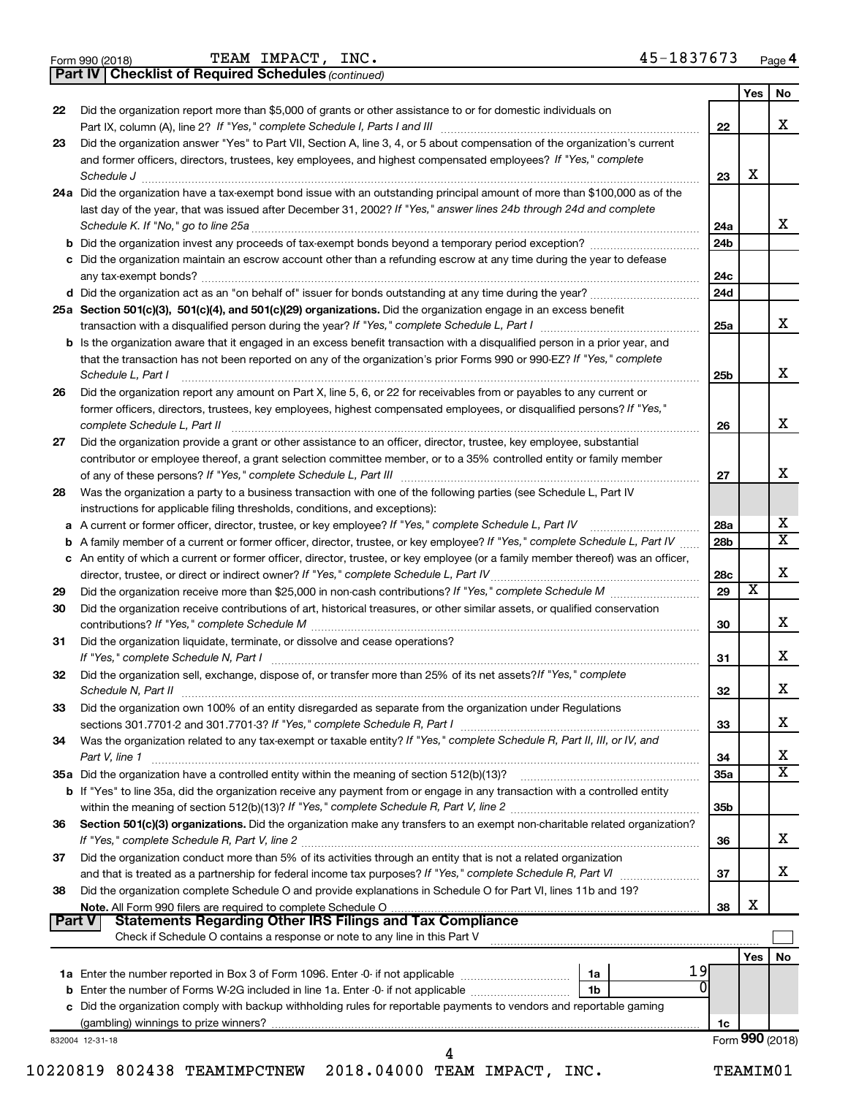|  | Form 990 (2018) |  |
|--|-----------------|--|
|  |                 |  |

*(continued)* **Part IV Checklist of Required Schedules**

|        |                                                                                                                                                |                 | Yes             | No                      |
|--------|------------------------------------------------------------------------------------------------------------------------------------------------|-----------------|-----------------|-------------------------|
| 22     | Did the organization report more than \$5,000 of grants or other assistance to or for domestic individuals on                                  |                 |                 |                         |
|        |                                                                                                                                                | 22              |                 | x                       |
| 23     | Did the organization answer "Yes" to Part VII, Section A, line 3, 4, or 5 about compensation of the organization's current                     |                 |                 |                         |
|        | and former officers, directors, trustees, key employees, and highest compensated employees? If "Yes," complete                                 |                 |                 |                         |
|        | Schedule J                                                                                                                                     | 23              | х               |                         |
|        | 24a Did the organization have a tax-exempt bond issue with an outstanding principal amount of more than \$100,000 as of the                    |                 |                 |                         |
|        | last day of the year, that was issued after December 31, 2002? If "Yes," answer lines 24b through 24d and complete                             |                 |                 |                         |
|        | Schedule K. If "No," go to line 25a                                                                                                            | 24a             |                 | x                       |
|        |                                                                                                                                                | 24 <sub>b</sub> |                 |                         |
|        | c Did the organization maintain an escrow account other than a refunding escrow at any time during the year to defease                         |                 |                 |                         |
|        |                                                                                                                                                | 24c             |                 |                         |
|        |                                                                                                                                                | 24d             |                 |                         |
|        | 25a Section 501(c)(3), 501(c)(4), and 501(c)(29) organizations. Did the organization engage in an excess benefit                               |                 |                 |                         |
|        |                                                                                                                                                | 25a             |                 | x                       |
|        | <b>b</b> Is the organization aware that it engaged in an excess benefit transaction with a disqualified person in a prior year, and            |                 |                 |                         |
|        | that the transaction has not been reported on any of the organization's prior Forms 990 or 990-EZ? If "Yes," complete                          |                 |                 |                         |
|        | Schedule L, Part I                                                                                                                             | 25b             |                 | х                       |
| 26     | Did the organization report any amount on Part X, line 5, 6, or 22 for receivables from or payables to any current or                          |                 |                 |                         |
|        | former officers, directors, trustees, key employees, highest compensated employees, or disqualified persons? If "Yes,"                         |                 |                 |                         |
|        | complete Schedule L, Part II                                                                                                                   | 26              |                 | х                       |
| 27     | Did the organization provide a grant or other assistance to an officer, director, trustee, key employee, substantial                           |                 |                 |                         |
|        | contributor or employee thereof, a grant selection committee member, or to a 35% controlled entity or family member                            |                 |                 |                         |
|        |                                                                                                                                                | 27              |                 | х                       |
| 28     | Was the organization a party to a business transaction with one of the following parties (see Schedule L, Part IV                              |                 |                 |                         |
|        | instructions for applicable filing thresholds, conditions, and exceptions):                                                                    |                 |                 |                         |
|        | a A current or former officer, director, trustee, or key employee? If "Yes," complete Schedule L, Part IV                                      | 28a             |                 | х                       |
| b      | A family member of a current or former officer, director, trustee, or key employee? If "Yes," complete Schedule L, Part IV                     | 28 <sub>b</sub> |                 | $\overline{\mathbf{X}}$ |
|        | c An entity of which a current or former officer, director, trustee, or key employee (or a family member thereof) was an officer,              |                 |                 |                         |
|        | director, trustee, or direct or indirect owner? If "Yes," complete Schedule L, Part IV                                                         | 28c             |                 | х                       |
| 29     |                                                                                                                                                | 29              | х               |                         |
| 30     | Did the organization receive contributions of art, historical treasures, or other similar assets, or qualified conservation                    |                 |                 |                         |
|        |                                                                                                                                                | 30              |                 | x                       |
| 31     | Did the organization liquidate, terminate, or dissolve and cease operations?                                                                   |                 |                 |                         |
|        |                                                                                                                                                | 31              |                 | x                       |
| 32     | Did the organization sell, exchange, dispose of, or transfer more than 25% of its net assets? If "Yes," complete                               |                 |                 |                         |
|        | Schedule N, Part II                                                                                                                            | 32              |                 | х                       |
|        |                                                                                                                                                |                 |                 |                         |
| 33     | Did the organization own 100% of an entity disregarded as separate from the organization under Regulations                                     |                 |                 | х                       |
|        |                                                                                                                                                | 33              |                 |                         |
| 34     | Was the organization related to any tax-exempt or taxable entity? If "Yes," complete Schedule R, Part II, III, or IV, and                      |                 |                 | х                       |
|        | Part V, line 1                                                                                                                                 | 34              |                 | $\overline{\mathbf{X}}$ |
|        |                                                                                                                                                | <b>35a</b>      |                 |                         |
|        | b If "Yes" to line 35a, did the organization receive any payment from or engage in any transaction with a controlled entity                    |                 |                 |                         |
|        |                                                                                                                                                | 35 <sub>b</sub> |                 |                         |
| 36     | Section 501(c)(3) organizations. Did the organization make any transfers to an exempt non-charitable related organization?                     |                 |                 | x                       |
|        |                                                                                                                                                | 36              |                 |                         |
| 37     | Did the organization conduct more than 5% of its activities through an entity that is not a related organization                               |                 |                 | x                       |
|        |                                                                                                                                                | 37              |                 |                         |
| 38     | Did the organization complete Schedule O and provide explanations in Schedule O for Part VI, lines 11b and 19?                                 |                 | х               |                         |
|        |                                                                                                                                                | 38              |                 |                         |
| Part V | <b>Statements Regarding Other IRS Filings and Tax Compliance</b><br>Check if Schedule O contains a response or note to any line in this Part V |                 |                 |                         |
|        |                                                                                                                                                |                 |                 |                         |
|        |                                                                                                                                                |                 | Yes             | No                      |
|        | 19<br>1a<br><sup>0</sup>                                                                                                                       |                 |                 |                         |
|        | 1b                                                                                                                                             |                 |                 |                         |
|        | c Did the organization comply with backup withholding rules for reportable payments to vendors and reportable gaming                           |                 |                 |                         |
|        |                                                                                                                                                | 1c              |                 |                         |
|        | 832004 12-31-18                                                                                                                                |                 | Form 990 (2018) |                         |
|        | 4                                                                                                                                              |                 |                 |                         |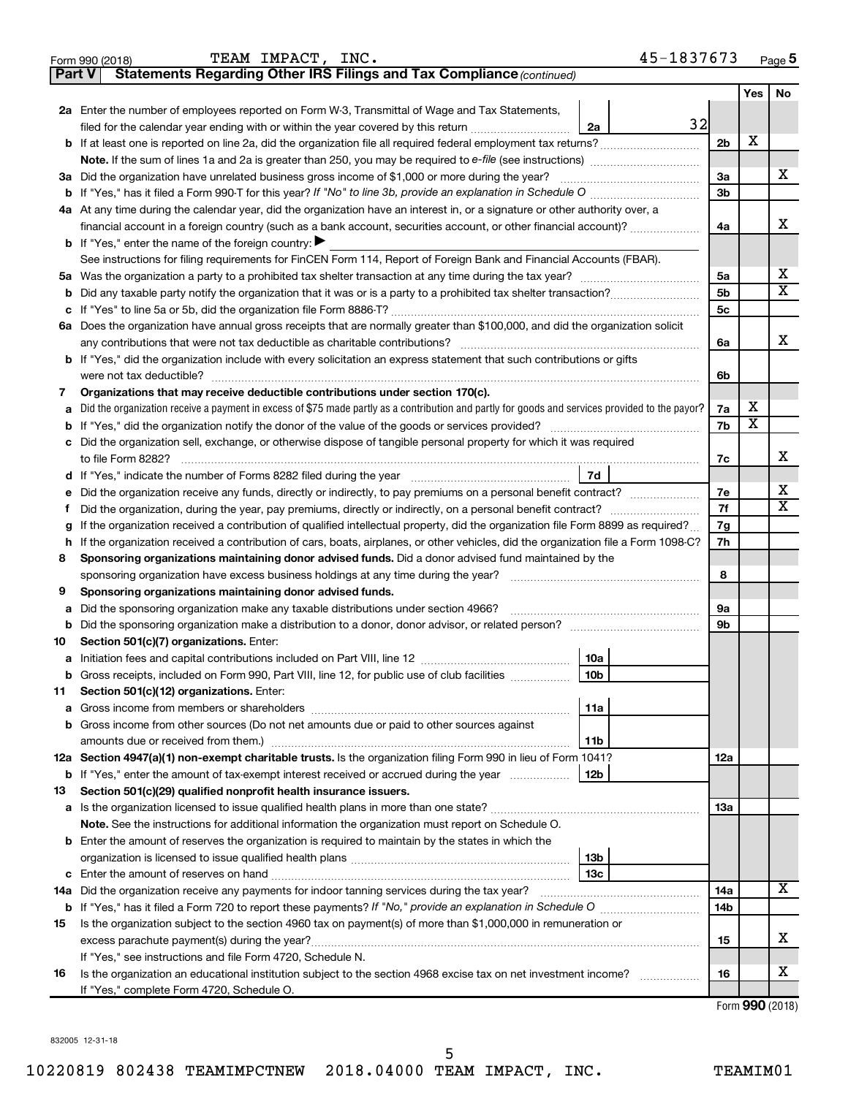|        | 45-1837673<br>TEAM IMPACT, INC.<br>Form 990 (2018)                                                                                                                                          |                |                         | Page 5                  |  |  |  |  |  |
|--------|---------------------------------------------------------------------------------------------------------------------------------------------------------------------------------------------|----------------|-------------------------|-------------------------|--|--|--|--|--|
| Part V | Statements Regarding Other IRS Filings and Tax Compliance (continued)                                                                                                                       |                |                         |                         |  |  |  |  |  |
|        |                                                                                                                                                                                             |                | <b>Yes</b>              | No                      |  |  |  |  |  |
|        | 2a Enter the number of employees reported on Form W-3, Transmittal of Wage and Tax Statements,                                                                                              |                |                         |                         |  |  |  |  |  |
|        | 32<br>filed for the calendar year ending with or within the year covered by this return<br>2a                                                                                               |                |                         |                         |  |  |  |  |  |
|        | <b>b</b> If at least one is reported on line 2a, did the organization file all required federal employment tax returns?                                                                     | 2 <sub>b</sub> | X                       |                         |  |  |  |  |  |
|        | Note. If the sum of lines 1a and 2a is greater than 250, you may be required to e-file (see instructions)                                                                                   |                |                         |                         |  |  |  |  |  |
|        | 3a Did the organization have unrelated business gross income of \$1,000 or more during the year?                                                                                            | 3a             |                         | X                       |  |  |  |  |  |
|        | <b>b</b> If "Yes," has it filed a Form 990-T for this year? If "No" to line 3b, provide an explanation in Schedule O                                                                        |                |                         |                         |  |  |  |  |  |
|        | 4a At any time during the calendar year, did the organization have an interest in, or a signature or other authority over, a                                                                |                |                         |                         |  |  |  |  |  |
|        | financial account in a foreign country (such as a bank account, securities account, or other financial account)?                                                                            |                |                         |                         |  |  |  |  |  |
|        | <b>b</b> If "Yes," enter the name of the foreign country: $\blacktriangleright$                                                                                                             |                |                         |                         |  |  |  |  |  |
|        | See instructions for filing requirements for FinCEN Form 114, Report of Foreign Bank and Financial Accounts (FBAR).                                                                         |                |                         |                         |  |  |  |  |  |
|        |                                                                                                                                                                                             | 5a             |                         | x                       |  |  |  |  |  |
| b      |                                                                                                                                                                                             | 5 <sub>b</sub> |                         | $\overline{\mathtt{x}}$ |  |  |  |  |  |
| с      |                                                                                                                                                                                             | 5 <sub>c</sub> |                         |                         |  |  |  |  |  |
|        | 6a Does the organization have annual gross receipts that are normally greater than \$100,000, and did the organization solicit                                                              |                |                         |                         |  |  |  |  |  |
|        | any contributions that were not tax deductible as charitable contributions?                                                                                                                 | 6a             |                         | x                       |  |  |  |  |  |
|        | <b>b</b> If "Yes," did the organization include with every solicitation an express statement that such contributions or gifts                                                               |                |                         |                         |  |  |  |  |  |
|        | were not tax deductible?                                                                                                                                                                    | 6b             |                         |                         |  |  |  |  |  |
| 7      | Organizations that may receive deductible contributions under section 170(c).                                                                                                               |                |                         |                         |  |  |  |  |  |
| а      | Did the organization receive a payment in excess of \$75 made partly as a contribution and partly for goods and services provided to the payor?                                             | 7a             | X                       |                         |  |  |  |  |  |
| b      | If "Yes," did the organization notify the donor of the value of the goods or services provided?                                                                                             | 7b             | $\overline{\textbf{X}}$ |                         |  |  |  |  |  |
| c      | Did the organization sell, exchange, or otherwise dispose of tangible personal property for which it was required                                                                           |                |                         |                         |  |  |  |  |  |
|        | to file Form 8282?                                                                                                                                                                          | 7c             |                         | x                       |  |  |  |  |  |
|        | 7d<br>d If "Yes," indicate the number of Forms 8282 filed during the year manufacture intervent contains the Net Step                                                                       |                |                         |                         |  |  |  |  |  |
| е      |                                                                                                                                                                                             | 7e             |                         | х                       |  |  |  |  |  |
| Ť      | Did the organization, during the year, pay premiums, directly or indirectly, on a personal benefit contract?                                                                                | 7f             |                         | $\overline{\mathbf{x}}$ |  |  |  |  |  |
| g      | If the organization received a contribution of qualified intellectual property, did the organization file Form 8899 as required?                                                            | 7g             |                         |                         |  |  |  |  |  |
| h      | If the organization received a contribution of cars, boats, airplanes, or other vehicles, did the organization file a Form 1098-C?                                                          |                |                         |                         |  |  |  |  |  |
| 8      | Sponsoring organizations maintaining donor advised funds. Did a donor advised fund maintained by the                                                                                        |                |                         |                         |  |  |  |  |  |
|        | sponsoring organization have excess business holdings at any time during the year?                                                                                                          | 8              |                         |                         |  |  |  |  |  |
| 9      | Sponsoring organizations maintaining donor advised funds.                                                                                                                                   |                |                         |                         |  |  |  |  |  |
| а      | Did the sponsoring organization make any taxable distributions under section 4966?                                                                                                          | 9а             |                         |                         |  |  |  |  |  |
| b      |                                                                                                                                                                                             | 9b             |                         |                         |  |  |  |  |  |
| 10     | Section 501(c)(7) organizations. Enter:                                                                                                                                                     |                |                         |                         |  |  |  |  |  |
| а      | 10a                                                                                                                                                                                         |                |                         |                         |  |  |  |  |  |
| b      | Gross receipts, included on Form 990, Part VIII, line 12, for public use of club facilities<br>10b                                                                                          |                |                         |                         |  |  |  |  |  |
| 11     | Section 501(c)(12) organizations. Enter:                                                                                                                                                    |                |                         |                         |  |  |  |  |  |
| а      | 11a                                                                                                                                                                                         |                |                         |                         |  |  |  |  |  |
| b      | Gross income from other sources (Do not net amounts due or paid to other sources against                                                                                                    |                |                         |                         |  |  |  |  |  |
|        | 11 <sub>b</sub>                                                                                                                                                                             |                |                         |                         |  |  |  |  |  |
|        | 12a Section 4947(a)(1) non-exempt charitable trusts. Is the organization filing Form 990 in lieu of Form 1041?                                                                              | 12a            |                         |                         |  |  |  |  |  |
| b      | If "Yes," enter the amount of tax-exempt interest received or accrued during the year<br>12b                                                                                                |                |                         |                         |  |  |  |  |  |
| 13     | Section 501(c)(29) qualified nonprofit health insurance issuers.                                                                                                                            |                |                         |                         |  |  |  |  |  |
| а      |                                                                                                                                                                                             | 1За            |                         |                         |  |  |  |  |  |
|        | Note. See the instructions for additional information the organization must report on Schedule O.                                                                                           |                |                         |                         |  |  |  |  |  |
|        | <b>b</b> Enter the amount of reserves the organization is required to maintain by the states in which the                                                                                   |                |                         |                         |  |  |  |  |  |
|        | 13 <sub>b</sub>                                                                                                                                                                             |                |                         |                         |  |  |  |  |  |
| с      | 13с                                                                                                                                                                                         |                |                         |                         |  |  |  |  |  |
| 14a    | Did the organization receive any payments for indoor tanning services during the tax year? [111] Did the organization receive any payments for indoor tanning services during the tax year? | 14a            |                         | $\overline{\mathbf{X}}$ |  |  |  |  |  |
|        |                                                                                                                                                                                             | 14b            |                         |                         |  |  |  |  |  |
| 15     | Is the organization subject to the section 4960 tax on payment(s) of more than \$1,000,000 in remuneration or                                                                               |                |                         |                         |  |  |  |  |  |
|        |                                                                                                                                                                                             | 15             |                         | х                       |  |  |  |  |  |
|        | If "Yes," see instructions and file Form 4720, Schedule N.                                                                                                                                  |                |                         |                         |  |  |  |  |  |
| 16     | Is the organization an educational institution subject to the section 4968 excise tax on net investment income?                                                                             | 16             |                         | х                       |  |  |  |  |  |
|        | If "Yes," complete Form 4720, Schedule O.                                                                                                                                                   |                |                         |                         |  |  |  |  |  |
|        |                                                                                                                                                                                             |                |                         |                         |  |  |  |  |  |

5

Form (2018) **990**

832005 12-31-18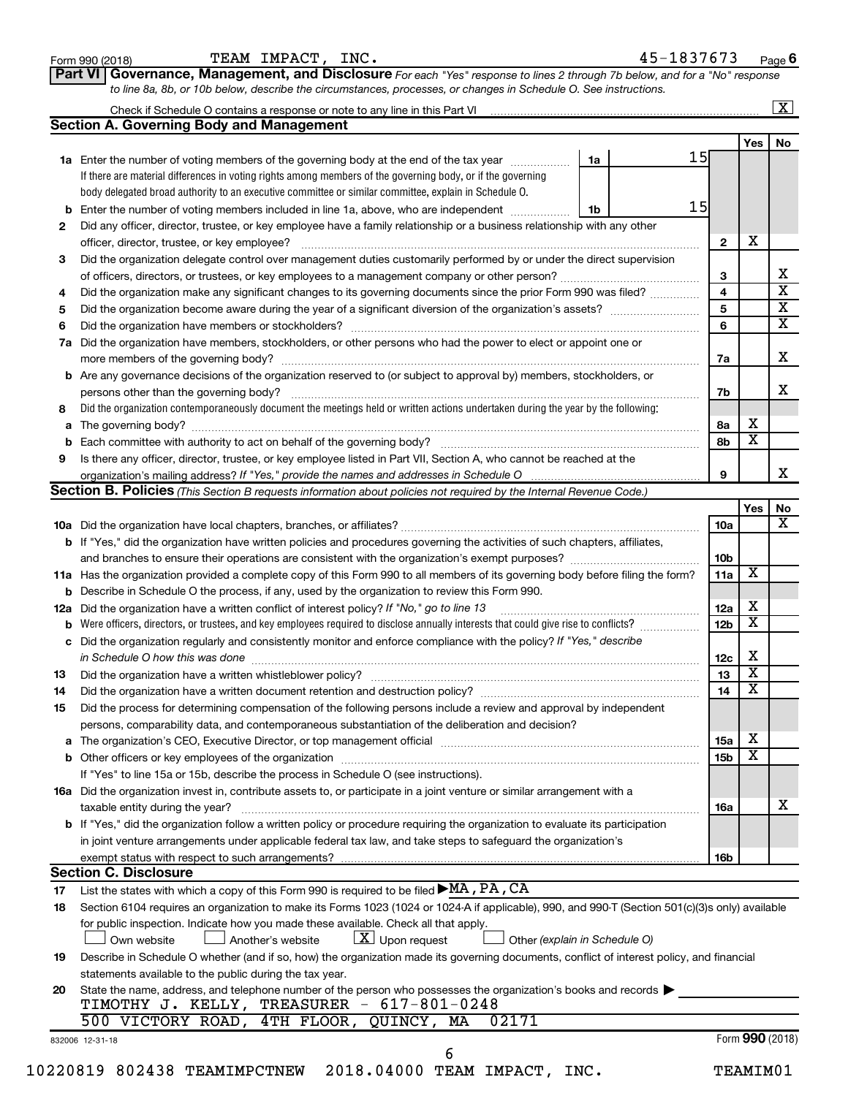|                      |                                                                                                                                                                                                                                | Check if Schedule O contains a response or note to any line in this Part VI [11] [12] [12] Check if Schedule O contains a response or note to any line in this Part VI |                 |                         | $\mathbf{X}$                 |
|----------------------|--------------------------------------------------------------------------------------------------------------------------------------------------------------------------------------------------------------------------------|------------------------------------------------------------------------------------------------------------------------------------------------------------------------|-----------------|-------------------------|------------------------------|
|                      | <b>Section A. Governing Body and Management</b>                                                                                                                                                                                |                                                                                                                                                                        |                 |                         |                              |
|                      |                                                                                                                                                                                                                                |                                                                                                                                                                        |                 | Yes                     | No                           |
|                      | <b>1a</b> Enter the number of voting members of the governing body at the end of the tax year                                                                                                                                  | 1a                                                                                                                                                                     | 15              |                         |                              |
|                      | If there are material differences in voting rights among members of the governing body, or if the governing                                                                                                                    |                                                                                                                                                                        |                 |                         |                              |
|                      | body delegated broad authority to an executive committee or similar committee, explain in Schedule O.                                                                                                                          |                                                                                                                                                                        | 15              |                         |                              |
|                      | <b>b</b> Enter the number of voting members included in line 1a, above, who are independent <i>manumum</i>                                                                                                                     | 1b                                                                                                                                                                     |                 |                         |                              |
| 2                    | Did any officer, director, trustee, or key employee have a family relationship or a business relationship with any other                                                                                                       |                                                                                                                                                                        |                 | X                       |                              |
|                      | officer, director, trustee, or key employee?                                                                                                                                                                                   |                                                                                                                                                                        | $\mathbf{2}$    |                         |                              |
| 3                    | Did the organization delegate control over management duties customarily performed by or under the direct supervision                                                                                                          |                                                                                                                                                                        |                 |                         |                              |
|                      |                                                                                                                                                                                                                                |                                                                                                                                                                        | 3               |                         | X<br>$\overline{\mathbf{X}}$ |
| 4                    | Did the organization make any significant changes to its governing documents since the prior Form 990 was filed?                                                                                                               |                                                                                                                                                                        | 4               |                         | $\overline{\textbf{X}}$      |
| 5                    |                                                                                                                                                                                                                                |                                                                                                                                                                        | 5               |                         | $\overline{\mathbf{x}}$      |
| 6                    |                                                                                                                                                                                                                                |                                                                                                                                                                        | 6               |                         |                              |
| 7a                   | Did the organization have members, stockholders, or other persons who had the power to elect or appoint one or                                                                                                                 |                                                                                                                                                                        |                 |                         |                              |
|                      |                                                                                                                                                                                                                                |                                                                                                                                                                        | 7a              |                         | X                            |
|                      | <b>b</b> Are any governance decisions of the organization reserved to (or subject to approval by) members, stockholders, or                                                                                                    |                                                                                                                                                                        |                 |                         |                              |
|                      |                                                                                                                                                                                                                                |                                                                                                                                                                        | 7b              |                         | X                            |
| 8                    | Did the organization contemporaneously document the meetings held or written actions undertaken during the year by the following:                                                                                              |                                                                                                                                                                        |                 |                         |                              |
|                      |                                                                                                                                                                                                                                |                                                                                                                                                                        | 8а              | х                       |                              |
| b                    |                                                                                                                                                                                                                                |                                                                                                                                                                        | 8b              | $\overline{\textbf{x}}$ |                              |
| 9                    | Is there any officer, director, trustee, or key employee listed in Part VII, Section A, who cannot be reached at the                                                                                                           |                                                                                                                                                                        |                 |                         |                              |
|                      |                                                                                                                                                                                                                                |                                                                                                                                                                        | 9               |                         | х                            |
|                      | <b>Section B. Policies</b> (This Section B requests information about policies not required by the Internal Revenue Code.)                                                                                                     |                                                                                                                                                                        |                 |                         |                              |
|                      |                                                                                                                                                                                                                                |                                                                                                                                                                        |                 | Yes                     | No                           |
|                      |                                                                                                                                                                                                                                |                                                                                                                                                                        | 10a             |                         | X                            |
|                      | <b>b</b> If "Yes," did the organization have written policies and procedures governing the activities of such chapters, affiliates,                                                                                            |                                                                                                                                                                        |                 |                         |                              |
|                      |                                                                                                                                                                                                                                |                                                                                                                                                                        | 10 <sub>b</sub> |                         |                              |
|                      | 11a Has the organization provided a complete copy of this Form 990 to all members of its governing body before filing the form?                                                                                                |                                                                                                                                                                        | 11a             | X                       |                              |
|                      | <b>b</b> Describe in Schedule O the process, if any, used by the organization to review this Form 990.                                                                                                                         |                                                                                                                                                                        |                 |                         |                              |
|                      | 12a Did the organization have a written conflict of interest policy? If "No," go to line 13                                                                                                                                    |                                                                                                                                                                        | 12a             | х                       |                              |
| b                    | Were officers, directors, or trustees, and key employees required to disclose annually interests that could give rise to conflicts?                                                                                            |                                                                                                                                                                        | 12 <sub>b</sub> | $\overline{\mathbf{X}}$ |                              |
|                      | c Did the organization regularly and consistently monitor and enforce compliance with the policy? If "Yes," describe                                                                                                           |                                                                                                                                                                        |                 |                         |                              |
|                      | in Schedule O how this was done manufactured and continuum and control of the state of the state of the state o                                                                                                                |                                                                                                                                                                        | 12c             | х                       |                              |
| 13                   |                                                                                                                                                                                                                                |                                                                                                                                                                        |                 |                         |                              |
|                      |                                                                                                                                                                                                                                |                                                                                                                                                                        | 13              | $\overline{\mathbf{X}}$ |                              |
|                      | Did the organization have a written document retention and destruction policy? [11] manufaction manufaction in                                                                                                                 |                                                                                                                                                                        | 14              | $\overline{\mathbf{X}}$ |                              |
|                      | Did the process for determining compensation of the following persons include a review and approval by independent                                                                                                             |                                                                                                                                                                        |                 |                         |                              |
|                      | persons, comparability data, and contemporaneous substantiation of the deliberation and decision?                                                                                                                              |                                                                                                                                                                        |                 |                         |                              |
|                      | a The organization's CEO, Executive Director, or top management official manufactured content content of the organization's CEO, Executive Director, or top management official manufactured content of the state of the state |                                                                                                                                                                        | 15a             | X                       |                              |
|                      |                                                                                                                                                                                                                                |                                                                                                                                                                        | 15 <sub>b</sub> | X                       |                              |
|                      | If "Yes" to line 15a or 15b, describe the process in Schedule O (see instructions).                                                                                                                                            |                                                                                                                                                                        |                 |                         |                              |
|                      | 16a Did the organization invest in, contribute assets to, or participate in a joint venture or similar arrangement with a                                                                                                      |                                                                                                                                                                        |                 |                         |                              |
|                      | taxable entity during the year?                                                                                                                                                                                                |                                                                                                                                                                        | 16a             |                         |                              |
|                      | b If "Yes," did the organization follow a written policy or procedure requiring the organization to evaluate its participation                                                                                                 |                                                                                                                                                                        |                 |                         |                              |
|                      | in joint venture arrangements under applicable federal tax law, and take steps to safeguard the organization's                                                                                                                 |                                                                                                                                                                        |                 |                         |                              |
|                      | exempt status with respect to such arrangements?                                                                                                                                                                               |                                                                                                                                                                        | 16b             |                         |                              |
|                      | <b>Section C. Disclosure</b>                                                                                                                                                                                                   |                                                                                                                                                                        |                 |                         |                              |
|                      | List the states with which a copy of this Form 990 is required to be filed $\blacktriangleright$ MA, PA, CA                                                                                                                    |                                                                                                                                                                        |                 |                         |                              |
|                      | Section 6104 requires an organization to make its Forms 1023 (1024 or 1024 A if applicable), 990, and 990-T (Section 501(c)(3)s only) available                                                                                |                                                                                                                                                                        |                 |                         |                              |
|                      | for public inspection. Indicate how you made these available. Check all that apply.                                                                                                                                            |                                                                                                                                                                        |                 |                         |                              |
| 14<br>15<br>17<br>18 | $\lfloor x \rfloor$ Upon request<br>Own website<br>Another's website                                                                                                                                                           | Other (explain in Schedule O)                                                                                                                                          |                 |                         |                              |
|                      | Describe in Schedule O whether (and if so, how) the organization made its governing documents, conflict of interest policy, and financial                                                                                      |                                                                                                                                                                        |                 |                         |                              |
| 19                   | statements available to the public during the tax year.                                                                                                                                                                        |                                                                                                                                                                        |                 |                         |                              |
| 20                   | State the name, address, and telephone number of the person who possesses the organization's books and records                                                                                                                 |                                                                                                                                                                        |                 |                         |                              |
|                      | TIMOTHY J. KELLY, TREASURER - 617-801-0248                                                                                                                                                                                     |                                                                                                                                                                        |                 |                         |                              |
|                      | 4TH FLOOR,<br>QUINCY, MA<br>02171<br>500 VICTORY ROAD,                                                                                                                                                                         |                                                                                                                                                                        |                 |                         | х                            |
|                      | 832006 12-31-18                                                                                                                                                                                                                |                                                                                                                                                                        |                 | Form 990 (2018)         |                              |

**Part VI** Governance, Management, and Disclosure For each "Yes" response to lines 2 through 7b below, and for a "No" response

Form 990 (2018) Page TEAM IMPACT, INC. 45-1837673

**6**

*to line 8a, 8b, or 10b below, describe the circumstances, processes, or changes in Schedule O. See instructions.*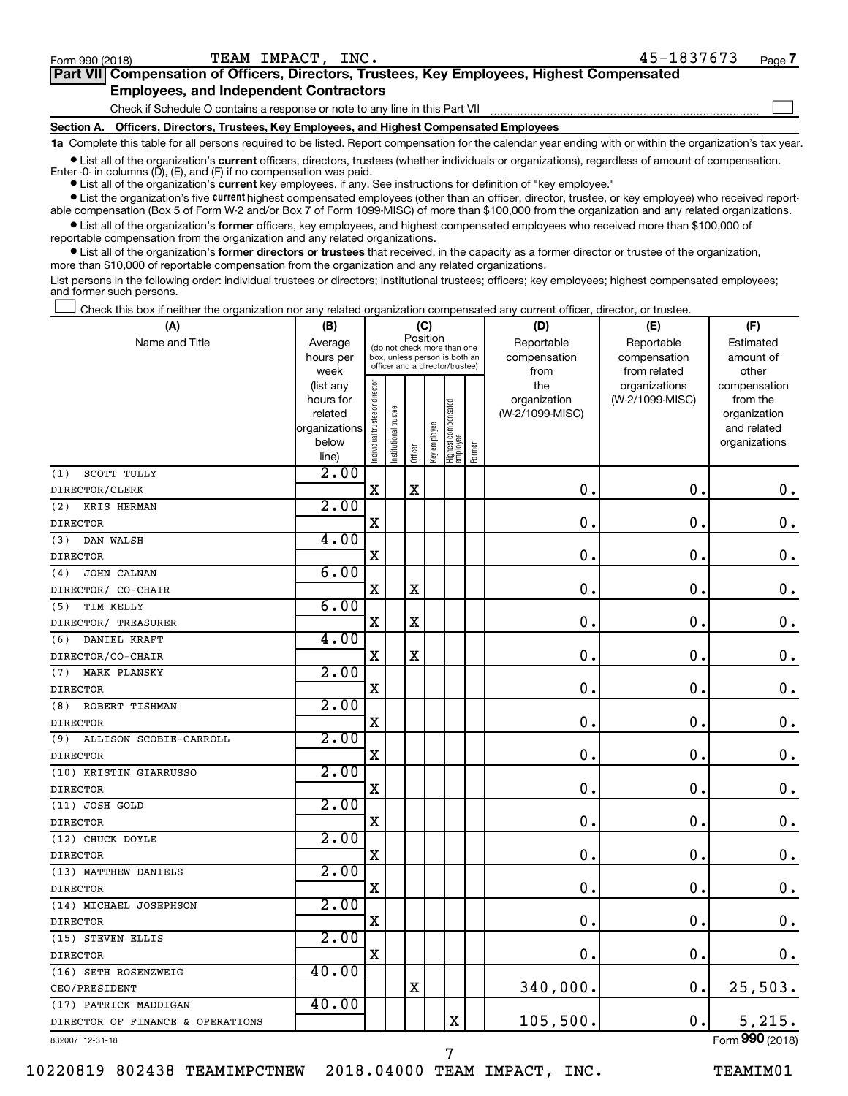$\Box$ 

| Part VII Compensation of Officers, Directors, Trustees, Key Employees, Highest Compensated |
|--------------------------------------------------------------------------------------------|
| <b>Employees, and Independent Contractors</b>                                              |

Check if Schedule O contains a response or note to any line in this Part VII

**Section A. Officers, Directors, Trustees, Key Employees, and Highest Compensated Employees**

**1a**  Complete this table for all persons required to be listed. Report compensation for the calendar year ending with or within the organization's tax year.

**•** List all of the organization's current officers, directors, trustees (whether individuals or organizations), regardless of amount of compensation. Enter -0- in columns  $(D)$ ,  $(E)$ , and  $(F)$  if no compensation was paid.

**•** List all of the organization's **current** key employees, if any. See instructions for definition of "key employee."

**•** List the organization's five current highest compensated employees (other than an officer, director, trustee, or key employee) who received reportable compensation (Box 5 of Form W-2 and/or Box 7 of Form 1099-MISC) of more than \$100,000 from the organization and any related organizations.

**•** List all of the organization's former officers, key employees, and highest compensated employees who received more than \$100,000 of reportable compensation from the organization and any related organizations.

**•** List all of the organization's former directors or trustees that received, in the capacity as a former director or trustee of the organization, more than \$10,000 of reportable compensation from the organization and any related organizations.

List persons in the following order: individual trustees or directors; institutional trustees; officers; key employees; highest compensated employees; and former such persons.

Check this box if neither the organization nor any related organization compensated any current officer, director, or trustee.  $\Box$ 

| (A)                              | (B)                    |                                         |                                                                  | (C)         |              |                                 |        | (D)                 | (E)                              | (F)                      |
|----------------------------------|------------------------|-----------------------------------------|------------------------------------------------------------------|-------------|--------------|---------------------------------|--------|---------------------|----------------------------------|--------------------------|
| Name and Title                   | Average                | Position<br>(do not check more than one |                                                                  |             |              |                                 |        | Reportable          | Reportable                       | Estimated                |
|                                  | hours per              |                                         | box, unless person is both an<br>officer and a director/trustee) |             |              |                                 |        | compensation        | compensation                     | amount of                |
|                                  | week                   |                                         |                                                                  |             |              |                                 |        | from                | from related                     | other                    |
|                                  | (list any<br>hours for | ndividual trustee or director           |                                                                  |             |              |                                 |        | the<br>organization | organizations<br>(W-2/1099-MISC) | compensation<br>from the |
|                                  | related                |                                         |                                                                  |             |              |                                 |        | (W-2/1099-MISC)     |                                  | organization             |
|                                  | organizations          |                                         |                                                                  |             |              |                                 |        |                     |                                  | and related              |
|                                  | below                  |                                         | nstitutional trustee                                             |             | Key employee | Highest compensated<br>employee |        |                     |                                  | organizations            |
|                                  | line)                  |                                         |                                                                  | Officer     |              |                                 | Former |                     |                                  |                          |
| SCOTT TULLY<br>(1)               | 2.00                   |                                         |                                                                  |             |              |                                 |        |                     |                                  |                          |
| DIRECTOR/CLERK                   |                        | X                                       |                                                                  | $\mathbf X$ |              |                                 |        | $\mathbf 0$ .       | $\mathbf 0$ .                    | $\mathbf 0$ .            |
| KRIS HERMAN<br>(2)               | 2.00                   |                                         |                                                                  |             |              |                                 |        |                     |                                  |                          |
| <b>DIRECTOR</b>                  |                        | $\mathbf X$                             |                                                                  |             |              |                                 |        | $\mathbf 0$ .       | $\mathbf 0$ .                    | $\mathbf 0$ .            |
| (3)<br>DAN WALSH                 | 4.00                   |                                         |                                                                  |             |              |                                 |        |                     |                                  |                          |
| <b>DIRECTOR</b>                  |                        | X                                       |                                                                  |             |              |                                 |        | $\mathbf 0$ .       | $\mathbf 0$ .                    | $\mathbf 0$ .            |
| JOHN CALNAN<br>(4)               | 6.00                   |                                         |                                                                  |             |              |                                 |        |                     |                                  |                          |
| DIRECTOR/ CO-CHAIR               |                        | $\mathbf X$                             |                                                                  | $\mathbf X$ |              |                                 |        | $\mathbf 0$ .       | $\mathbf 0$ .                    | $\mathbf 0$ .            |
| (5)<br>TIM KELLY                 | 6.00                   |                                         |                                                                  |             |              |                                 |        |                     |                                  |                          |
| DIRECTOR/ TREASURER              |                        | X                                       |                                                                  | X           |              |                                 |        | $\mathbf 0$         | 0                                | $\mathbf 0$ .            |
| DANIEL KRAFT<br>(6)              | 4.00                   |                                         |                                                                  |             |              |                                 |        |                     |                                  |                          |
| DIRECTOR/CO-CHAIR                |                        | $\mathbf X$                             |                                                                  | $\mathbf X$ |              |                                 |        | $\mathbf 0$         | $\mathbf 0$ .                    | $\mathbf 0$ .            |
| MARK PLANSKY<br>(7)              | 2.00                   |                                         |                                                                  |             |              |                                 |        |                     |                                  |                          |
| <b>DIRECTOR</b>                  |                        | $\mathbf X$                             |                                                                  |             |              |                                 |        | $\mathbf 0$         | $\mathbf 0$                      | $\mathbf 0$ .            |
| ROBERT TISHMAN<br>(8)            | 2.00                   |                                         |                                                                  |             |              |                                 |        |                     |                                  |                          |
| <b>DIRECTOR</b>                  |                        | X                                       |                                                                  |             |              |                                 |        | $\mathbf 0$         | $\mathbf 0$ .                    | $\boldsymbol{0}$ .       |
| (9)<br>ALLISON SCOBIE-CARROLL    | 2.00                   |                                         |                                                                  |             |              |                                 |        |                     |                                  |                          |
| <b>DIRECTOR</b>                  |                        | X                                       |                                                                  |             |              |                                 |        | $\mathbf 0$         | $\mathbf 0$                      | $\mathbf 0$ .            |
| (10) KRISTIN GIARRUSSO           | 2.00                   |                                         |                                                                  |             |              |                                 |        |                     |                                  |                          |
| <b>DIRECTOR</b>                  |                        | X                                       |                                                                  |             |              |                                 |        | $\mathbf 0$ .       | 0.                               | 0.                       |
| (11) JOSH GOLD                   | 2.00                   |                                         |                                                                  |             |              |                                 |        |                     |                                  |                          |
| <b>DIRECTOR</b>                  |                        | X                                       |                                                                  |             |              |                                 |        | $\mathbf 0$ .       | $\mathbf 0$ .                    | $\mathbf 0$ .            |
| (12) CHUCK DOYLE                 | 2.00                   |                                         |                                                                  |             |              |                                 |        |                     |                                  |                          |
| <b>DIRECTOR</b>                  |                        | X                                       |                                                                  |             |              |                                 |        | 0.                  | $\mathbf 0$ .                    | $\mathbf 0$ .            |
| (13) MATTHEW DANIELS             | 2.00                   |                                         |                                                                  |             |              |                                 |        |                     |                                  |                          |
| <b>DIRECTOR</b>                  |                        | $\rm X$                                 |                                                                  |             |              |                                 |        | $\mathbf 0$ .       | $\mathbf 0$ .                    | $\mathbf 0$ .            |
| (14) MICHAEL JOSEPHSON           | 2.00                   |                                         |                                                                  |             |              |                                 |        |                     |                                  |                          |
| <b>DIRECTOR</b>                  |                        | $\mathbf X$                             |                                                                  |             |              |                                 |        | 0                   | $\mathbf 0$                      | $\mathbf 0$ .            |
| (15) STEVEN ELLIS                | 2.00                   |                                         |                                                                  |             |              |                                 |        |                     |                                  |                          |
| <b>DIRECTOR</b>                  |                        | X                                       |                                                                  |             |              |                                 |        | $\mathbf 0$ .       | $\mathbf 0$ .                    | 0.                       |
| (16) SETH ROSENZWEIG             | 40.00                  |                                         |                                                                  |             |              |                                 |        |                     |                                  |                          |
| CEO/PRESIDENT                    |                        |                                         |                                                                  | X           |              |                                 |        | 340,000.            | $\mathbf 0$ .                    | 25,503.                  |
| (17) PATRICK MADDIGAN            | 40.00                  |                                         |                                                                  |             |              |                                 |        |                     |                                  |                          |
| DIRECTOR OF FINANCE & OPERATIONS |                        |                                         |                                                                  |             |              | $\overline{\mathbf{X}}$         |        | 105,500.            | 0.                               | 5,215.                   |
| 832007 12-31-18                  |                        |                                         |                                                                  |             |              |                                 |        |                     |                                  | Form 990 (2018)          |

10220819 802438 TEAMIMPCTNEW 2018.04000 TEAM IMPACT, INC. TEAMIM01

7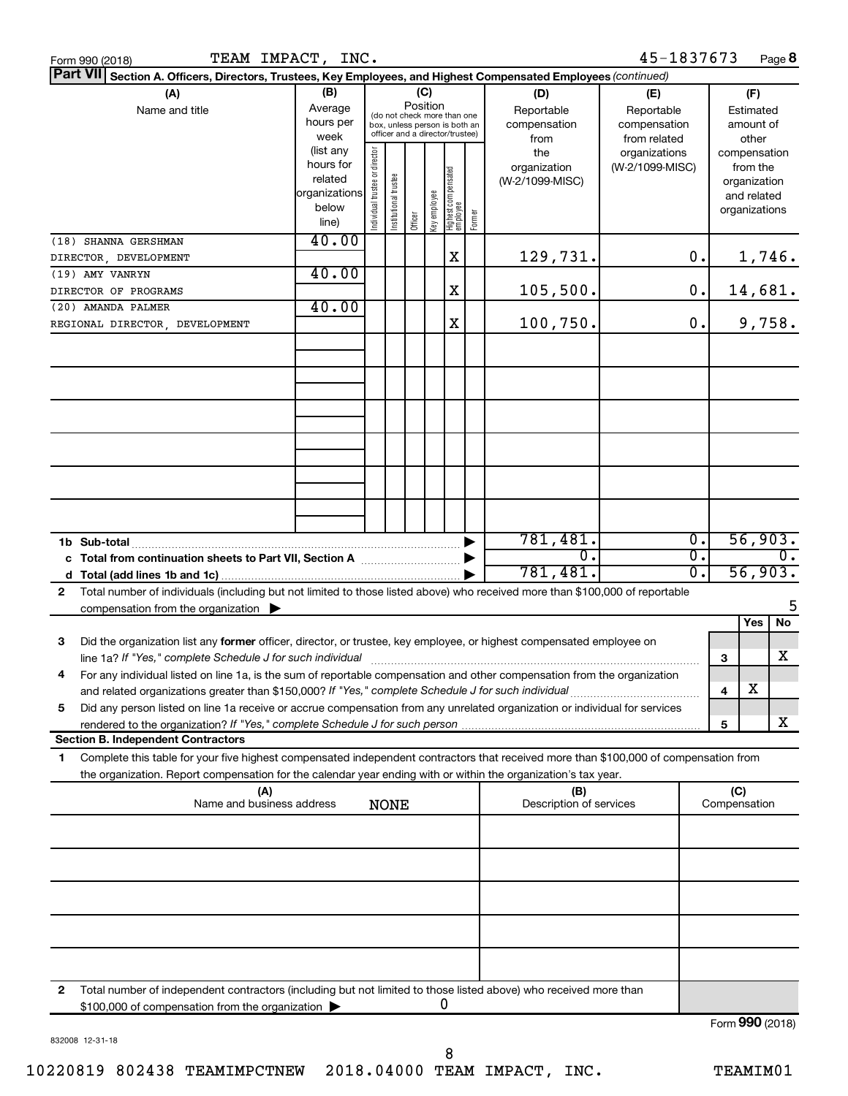| TEAM IMPACT, INC.<br>Form 990 (2018)                                                                                                                                                                                                                                                                                                                         |                                                                                                             |                                |                       |                                                                                                                               |              |                                   |        |                                                                                     | 45-1837673                                                                            |                             |                                                                                                                    | Page 8           |
|--------------------------------------------------------------------------------------------------------------------------------------------------------------------------------------------------------------------------------------------------------------------------------------------------------------------------------------------------------------|-------------------------------------------------------------------------------------------------------------|--------------------------------|-----------------------|-------------------------------------------------------------------------------------------------------------------------------|--------------|-----------------------------------|--------|-------------------------------------------------------------------------------------|---------------------------------------------------------------------------------------|-----------------------------|--------------------------------------------------------------------------------------------------------------------|------------------|
| Part VII Section A. Officers, Directors, Trustees, Key Employees, and Highest Compensated Employees (continued)                                                                                                                                                                                                                                              |                                                                                                             |                                |                       |                                                                                                                               |              |                                   |        |                                                                                     |                                                                                       |                             |                                                                                                                    |                  |
| (A)<br>Name and title                                                                                                                                                                                                                                                                                                                                        | (B)<br>Average<br>hours per<br>week<br>(list any<br>hours for<br>related<br>organizations<br>below<br>line) | Individual trustee or director | Institutional trustee | (C)<br>Position<br>(do not check more than one<br>box, unless person is both an<br>officer and a director/trustee)<br>Officer | Key employee | Highest compensated<br>  employee | Former | (D)<br>Reportable<br>compensation<br>from<br>the<br>organization<br>(W-2/1099-MISC) | (E)<br>Reportable<br>compensation<br>from related<br>organizations<br>(W-2/1099-MISC) |                             | (F)<br>Estimated<br>amount of<br>other<br>compensation<br>from the<br>organization<br>and related<br>organizations |                  |
| (18) SHANNA GERSHMAN                                                                                                                                                                                                                                                                                                                                         | 40.00                                                                                                       |                                |                       |                                                                                                                               |              |                                   |        |                                                                                     |                                                                                       |                             |                                                                                                                    |                  |
| DIRECTOR, DEVELOPMENT                                                                                                                                                                                                                                                                                                                                        |                                                                                                             |                                |                       |                                                                                                                               |              | X                                 |        | 129,731.                                                                            |                                                                                       | 0.                          |                                                                                                                    | 1,746.           |
| (19) AMY VANRYN                                                                                                                                                                                                                                                                                                                                              | 40.00                                                                                                       |                                |                       |                                                                                                                               |              |                                   |        |                                                                                     |                                                                                       |                             |                                                                                                                    |                  |
| DIRECTOR OF PROGRAMS                                                                                                                                                                                                                                                                                                                                         |                                                                                                             |                                |                       |                                                                                                                               |              | X                                 |        | 105,500.                                                                            |                                                                                       | 0.                          |                                                                                                                    | 14,681.          |
| (20) AMANDA PALMER                                                                                                                                                                                                                                                                                                                                           | 40.00                                                                                                       |                                |                       |                                                                                                                               |              |                                   |        |                                                                                     |                                                                                       |                             |                                                                                                                    |                  |
| REGIONAL DIRECTOR, DEVELOPMENT                                                                                                                                                                                                                                                                                                                               |                                                                                                             |                                |                       |                                                                                                                               |              | X                                 |        | 100,750.                                                                            |                                                                                       | 0.                          |                                                                                                                    | 9,758.           |
|                                                                                                                                                                                                                                                                                                                                                              |                                                                                                             |                                |                       |                                                                                                                               |              |                                   |        |                                                                                     |                                                                                       |                             |                                                                                                                    |                  |
|                                                                                                                                                                                                                                                                                                                                                              |                                                                                                             |                                |                       |                                                                                                                               |              |                                   |        |                                                                                     |                                                                                       |                             |                                                                                                                    |                  |
| 1b Sub-total                                                                                                                                                                                                                                                                                                                                                 |                                                                                                             |                                |                       |                                                                                                                               |              |                                   |        | 781,481.                                                                            |                                                                                       | $\overline{0}$ .            |                                                                                                                    | 56,903.          |
| c Total from continuation sheets to Part VII, Section A manufactured by                                                                                                                                                                                                                                                                                      |                                                                                                             |                                |                       |                                                                                                                               |              |                                   |        | σ.                                                                                  |                                                                                       | $\overline{\mathfrak{o}}$ . |                                                                                                                    | $\overline{0}$ . |
|                                                                                                                                                                                                                                                                                                                                                              |                                                                                                             |                                |                       |                                                                                                                               |              |                                   |        | 781,481.                                                                            |                                                                                       | $\overline{0}$ .            |                                                                                                                    | 56,903.          |
| Total number of individuals (including but not limited to those listed above) who received more than \$100,000 of reportable<br>2                                                                                                                                                                                                                            |                                                                                                             |                                |                       |                                                                                                                               |              |                                   |        |                                                                                     |                                                                                       |                             |                                                                                                                    |                  |
| compensation from the organization $\blacktriangleright$                                                                                                                                                                                                                                                                                                     |                                                                                                             |                                |                       |                                                                                                                               |              |                                   |        |                                                                                     |                                                                                       |                             |                                                                                                                    | 5                |
| 3<br>Did the organization list any former officer, director, or trustee, key employee, or highest compensated employee on<br>For any individual listed on line 1a, is the sum of reportable compensation and other compensation from the organization<br>and related organizations greater than \$150,000? If "Yes," complete Schedule J for such individual |                                                                                                             |                                |                       |                                                                                                                               |              |                                   |        |                                                                                     |                                                                                       |                             | Yes<br>з<br>х<br>4                                                                                                 | No<br>X          |
| Did any person listed on line 1a receive or accrue compensation from any unrelated organization or individual for services<br>5                                                                                                                                                                                                                              |                                                                                                             |                                |                       |                                                                                                                               |              |                                   |        |                                                                                     |                                                                                       |                             |                                                                                                                    | x                |
| <b>Section B. Independent Contractors</b>                                                                                                                                                                                                                                                                                                                    |                                                                                                             |                                |                       |                                                                                                                               |              |                                   |        |                                                                                     |                                                                                       |                             | 5                                                                                                                  |                  |
| Complete this table for your five highest compensated independent contractors that received more than \$100,000 of compensation from<br>1.<br>the organization. Report compensation for the calendar year ending with or within the organization's tax year.                                                                                                 |                                                                                                             |                                |                       |                                                                                                                               |              |                                   |        |                                                                                     |                                                                                       |                             |                                                                                                                    |                  |
| (A)                                                                                                                                                                                                                                                                                                                                                          |                                                                                                             |                                |                       |                                                                                                                               |              |                                   |        | (B)                                                                                 |                                                                                       |                             | (C)                                                                                                                |                  |
| Name and business address                                                                                                                                                                                                                                                                                                                                    |                                                                                                             |                                | <b>NONE</b>           |                                                                                                                               |              |                                   |        | Description of services                                                             |                                                                                       |                             | Compensation                                                                                                       |                  |
|                                                                                                                                                                                                                                                                                                                                                              |                                                                                                             |                                |                       |                                                                                                                               |              |                                   |        |                                                                                     |                                                                                       |                             |                                                                                                                    |                  |
|                                                                                                                                                                                                                                                                                                                                                              |                                                                                                             |                                |                       |                                                                                                                               |              |                                   |        |                                                                                     |                                                                                       |                             |                                                                                                                    |                  |
|                                                                                                                                                                                                                                                                                                                                                              |                                                                                                             |                                |                       |                                                                                                                               |              |                                   |        |                                                                                     |                                                                                       |                             |                                                                                                                    |                  |
| Total number of independent contractors (including but not limited to those listed above) who received more than<br>2<br>\$100,000 of compensation from the organization                                                                                                                                                                                     |                                                                                                             |                                |                       |                                                                                                                               |              | 0                                 |        |                                                                                     |                                                                                       |                             |                                                                                                                    |                  |
|                                                                                                                                                                                                                                                                                                                                                              |                                                                                                             |                                |                       |                                                                                                                               |              |                                   |        |                                                                                     |                                                                                       |                             |                                                                                                                    | Form 990 (2018)  |

832008 12-31-18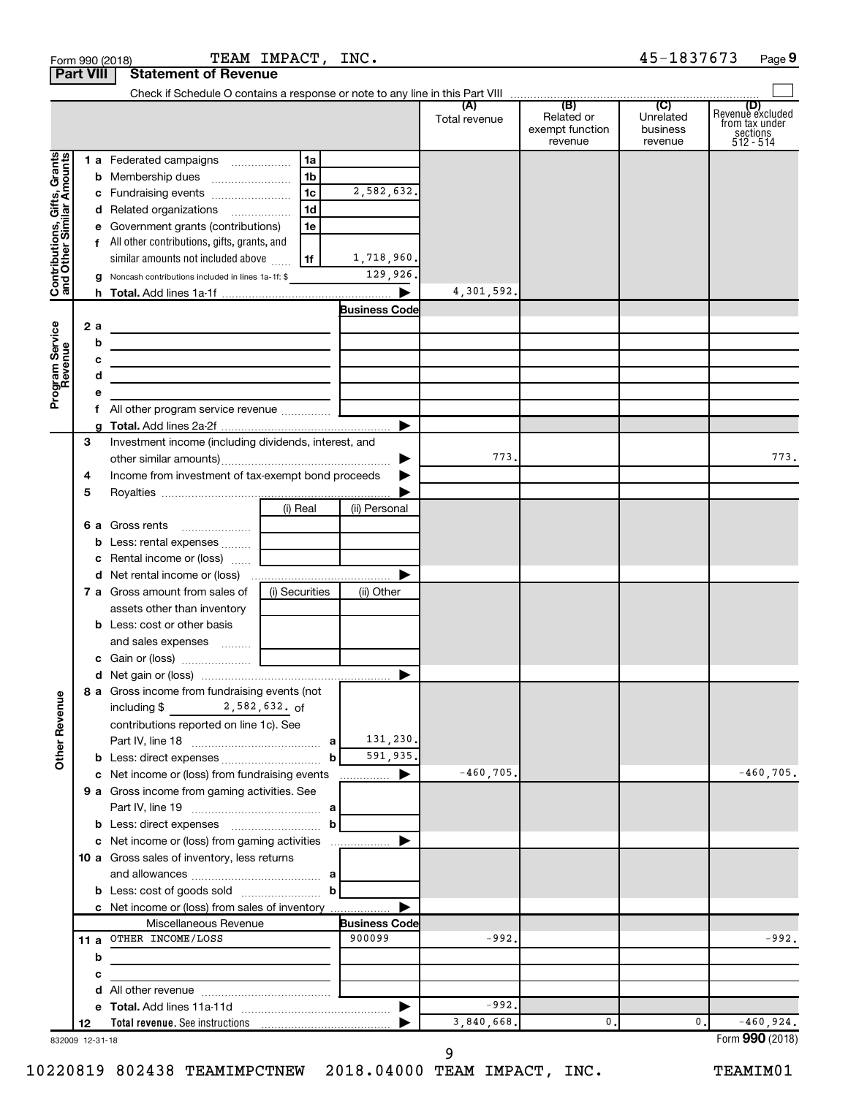|                                                           | <b>Part VIII</b> | <b>Statement of Revenue</b>                                                                                            |                |                      |                      |                                                 |                                         |                                                                    |
|-----------------------------------------------------------|------------------|------------------------------------------------------------------------------------------------------------------------|----------------|----------------------|----------------------|-------------------------------------------------|-----------------------------------------|--------------------------------------------------------------------|
|                                                           |                  |                                                                                                                        |                |                      |                      |                                                 |                                         |                                                                    |
|                                                           |                  |                                                                                                                        |                |                      | (A)<br>Total revenue | (B)<br>Related or<br>exempt function<br>revenue | (C)<br>Unrelated<br>business<br>revenue | (D)<br>Revenue excluded<br>from tax under<br>sections<br>512 - 514 |
|                                                           |                  | 1 a Federated campaigns                                                                                                | 1a             |                      |                      |                                                 |                                         |                                                                    |
|                                                           |                  |                                                                                                                        | 1b             |                      |                      |                                                 |                                         |                                                                    |
|                                                           |                  | c Fundraising events                                                                                                   | 1 <sub>c</sub> | 2,582,632.           |                      |                                                 |                                         |                                                                    |
| Contributions, Gifts, Grants<br>and Other Similar Amounts |                  | d Related organizations                                                                                                | 1 <sub>d</sub> |                      |                      |                                                 |                                         |                                                                    |
|                                                           |                  | e Government grants (contributions)                                                                                    | 1e             |                      |                      |                                                 |                                         |                                                                    |
|                                                           |                  | f All other contributions, gifts, grants, and                                                                          |                |                      |                      |                                                 |                                         |                                                                    |
|                                                           |                  | similar amounts not included above                                                                                     | 1f             | 1,718,960.           |                      |                                                 |                                         |                                                                    |
|                                                           |                  | g Noncash contributions included in lines 1a-1f: \$                                                                    |                | 129,926.             |                      |                                                 |                                         |                                                                    |
|                                                           |                  |                                                                                                                        |                | ▶                    | 4,301,592.           |                                                 |                                         |                                                                    |
|                                                           |                  |                                                                                                                        |                | <b>Business Code</b> |                      |                                                 |                                         |                                                                    |
| Program Service<br>Revenue                                | 2a               | <u> 1989 - Johann Barn, amerikansk politiker (</u>                                                                     |                |                      |                      |                                                 |                                         |                                                                    |
|                                                           | b                | <u> 1989 - Johann Stein, marwolaethau a bhann an t-Albann an t-Albann an t-Albann an t-Albann an t-Albann an t-Alb</u> |                |                      |                      |                                                 |                                         |                                                                    |
|                                                           | с<br>d           | <u> 1989 - Johann Barn, mars an t-Amerikaansk politiker (</u>                                                          |                |                      |                      |                                                 |                                         |                                                                    |
|                                                           | е                | <u> 1989 - Johann Barbara, martxa alemaniar a</u>                                                                      |                |                      |                      |                                                 |                                         |                                                                    |
|                                                           |                  |                                                                                                                        |                |                      |                      |                                                 |                                         |                                                                    |
|                                                           |                  |                                                                                                                        |                | ▶                    |                      |                                                 |                                         |                                                                    |
|                                                           | 3                | Investment income (including dividends, interest, and                                                                  |                |                      |                      |                                                 |                                         |                                                                    |
|                                                           |                  |                                                                                                                        |                |                      | 773.                 |                                                 |                                         | 773.                                                               |
|                                                           | 4                | Income from investment of tax-exempt bond proceeds                                                                     |                |                      |                      |                                                 |                                         |                                                                    |
|                                                           | 5                |                                                                                                                        |                |                      |                      |                                                 |                                         |                                                                    |
|                                                           |                  |                                                                                                                        | (i) Real       | (ii) Personal        |                      |                                                 |                                         |                                                                    |
|                                                           |                  | 6 a Gross rents                                                                                                        |                |                      |                      |                                                 |                                         |                                                                    |
|                                                           |                  | b Less: rental expenses                                                                                                |                |                      |                      |                                                 |                                         |                                                                    |
|                                                           |                  | c Rental income or (loss)                                                                                              |                |                      |                      |                                                 |                                         |                                                                    |
|                                                           |                  |                                                                                                                        |                | ▶                    |                      |                                                 |                                         |                                                                    |
|                                                           |                  | <b>7 a</b> Gross amount from sales of                                                                                  | (i) Securities | (ii) Other           |                      |                                                 |                                         |                                                                    |
|                                                           |                  | assets other than inventory                                                                                            |                |                      |                      |                                                 |                                         |                                                                    |
|                                                           |                  | <b>b</b> Less: cost or other basis                                                                                     |                |                      |                      |                                                 |                                         |                                                                    |
|                                                           |                  | and sales expenses                                                                                                     |                |                      |                      |                                                 |                                         |                                                                    |
|                                                           |                  |                                                                                                                        |                |                      |                      |                                                 |                                         |                                                                    |
|                                                           |                  | 8 a Gross income from fundraising events (not                                                                          |                |                      |                      |                                                 |                                         |                                                                    |
| <b>Other Revenue</b>                                      |                  | 2,582,632. of<br>including \$                                                                                          |                |                      |                      |                                                 |                                         |                                                                    |
|                                                           |                  | contributions reported on line 1c). See                                                                                |                | 131,230.             |                      |                                                 |                                         |                                                                    |
|                                                           |                  |                                                                                                                        | $\mathbf b$    | 591,935.             |                      |                                                 |                                         |                                                                    |
|                                                           |                  | c Net income or (loss) from fundraising events                                                                         |                |                      | $-460,705.$          |                                                 |                                         | $-460,705.$                                                        |
|                                                           |                  | 9 a Gross income from gaming activities. See                                                                           |                |                      |                      |                                                 |                                         |                                                                    |
|                                                           |                  |                                                                                                                        |                |                      |                      |                                                 |                                         |                                                                    |
|                                                           |                  | <b>b</b> Less: direct expenses <b>contained</b> b                                                                      |                |                      |                      |                                                 |                                         |                                                                    |
|                                                           |                  |                                                                                                                        |                |                      |                      |                                                 |                                         |                                                                    |
|                                                           |                  | 10 a Gross sales of inventory, less returns                                                                            |                |                      |                      |                                                 |                                         |                                                                    |
|                                                           |                  |                                                                                                                        |                |                      |                      |                                                 |                                         |                                                                    |
|                                                           |                  |                                                                                                                        |                |                      |                      |                                                 |                                         |                                                                    |
|                                                           |                  | c Net income or (loss) from sales of inventory                                                                         |                |                      |                      |                                                 |                                         |                                                                    |
|                                                           |                  | Miscellaneous Revenue                                                                                                  |                | <b>Business Code</b> |                      |                                                 |                                         |                                                                    |
|                                                           |                  | 11 a OTHER INCOME/LOSS                                                                                                 |                | 900099               | $-992.$              |                                                 |                                         | $-992.$                                                            |
|                                                           | b                | the control of the control of the control of                                                                           |                |                      |                      |                                                 |                                         |                                                                    |
|                                                           | с                |                                                                                                                        |                |                      |                      |                                                 |                                         |                                                                    |
|                                                           | d                |                                                                                                                        |                | ▶                    | $-992.$              |                                                 |                                         |                                                                    |
|                                                           | 12               |                                                                                                                        |                |                      | 3,840,668.           | 0.                                              | 0.                                      | $-460,924.$                                                        |
|                                                           | 832009 12-31-18  |                                                                                                                        |                |                      |                      |                                                 |                                         | Form 990 (2018)                                                    |

9

832009 12-31-18

10220819 802438 TEAMIMPCTNEW 2018.04000 TEAM IMPACT, INC. TEAMIM01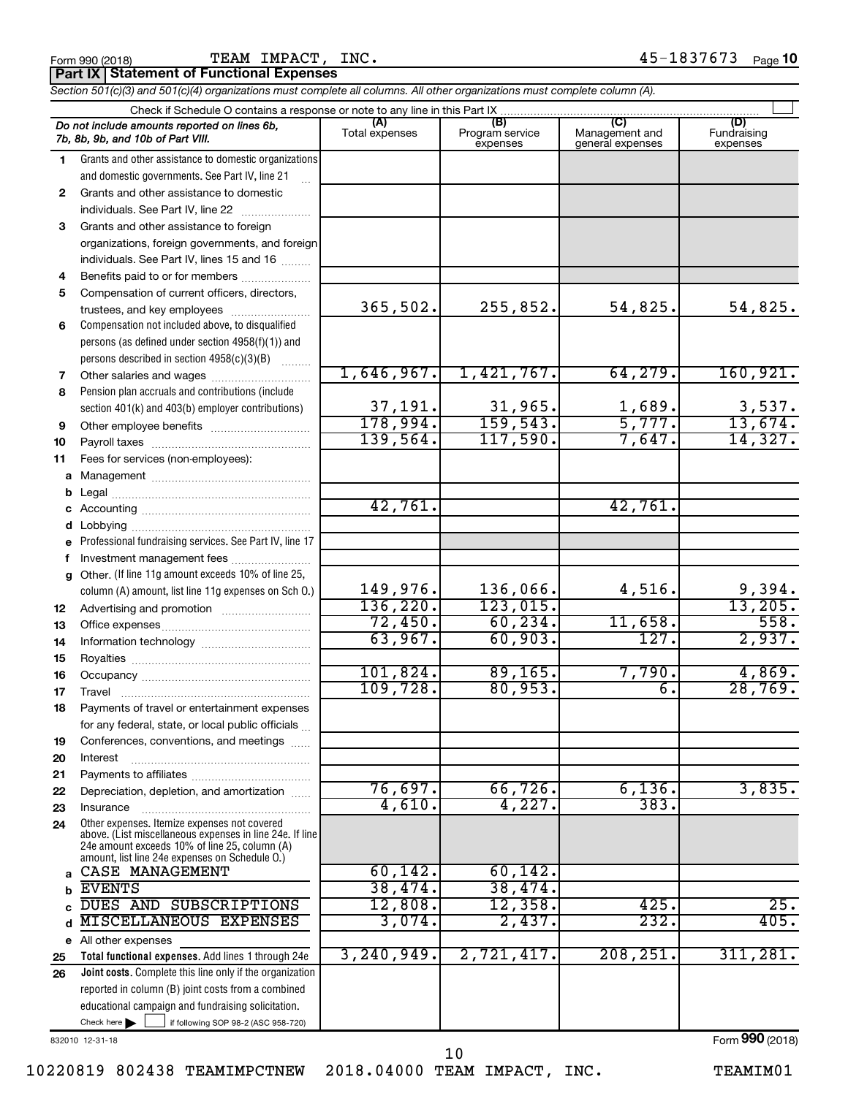|    | TEAM IMPACT, INC.<br>Form 990 (2018)<br>Part IX   Statement of Functional Expenses                                                                                                                          |                       |                                    |                                           | 45-1837673<br>Page 10          |
|----|-------------------------------------------------------------------------------------------------------------------------------------------------------------------------------------------------------------|-----------------------|------------------------------------|-------------------------------------------|--------------------------------|
|    | Section 501(c)(3) and 501(c)(4) organizations must complete all columns. All other organizations must complete column (A).                                                                                  |                       |                                    |                                           |                                |
|    |                                                                                                                                                                                                             |                       |                                    |                                           |                                |
|    | Do not include amounts reported on lines 6b,<br>7b, 8b, 9b, and 10b of Part VIII.                                                                                                                           | (A)<br>Total expenses | (B)<br>Program service<br>expenses | (C)<br>Management and<br>general expenses | (D)<br>Fundraising<br>expenses |
| 1. | Grants and other assistance to domestic organizations                                                                                                                                                       |                       |                                    |                                           |                                |
|    | and domestic governments. See Part IV, line 21                                                                                                                                                              |                       |                                    |                                           |                                |
| 2  | Grants and other assistance to domestic                                                                                                                                                                     |                       |                                    |                                           |                                |
|    | individuals. See Part IV, line 22                                                                                                                                                                           |                       |                                    |                                           |                                |
| 3  | Grants and other assistance to foreign                                                                                                                                                                      |                       |                                    |                                           |                                |
|    | organizations, foreign governments, and foreign                                                                                                                                                             |                       |                                    |                                           |                                |
|    | individuals. See Part IV, lines 15 and 16                                                                                                                                                                   |                       |                                    |                                           |                                |
| 4  | Benefits paid to or for members                                                                                                                                                                             |                       |                                    |                                           |                                |
| 5  | Compensation of current officers, directors,                                                                                                                                                                |                       |                                    |                                           |                                |
|    | trustees, and key employees                                                                                                                                                                                 | 365,502.              | 255,852.                           | 54,825.                                   | 54,825.                        |
| 6  | Compensation not included above, to disqualified                                                                                                                                                            |                       |                                    |                                           |                                |
|    | persons (as defined under section 4958(f)(1)) and                                                                                                                                                           |                       |                                    |                                           |                                |
|    | persons described in section 4958(c)(3)(B)                                                                                                                                                                  | 1,646,967.            | 1,421,767.                         | 64, 279.                                  | 160, 921.                      |
| 7  |                                                                                                                                                                                                             |                       |                                    |                                           |                                |
| 8  | Pension plan accruals and contributions (include                                                                                                                                                            | 37,191.               | 31,965.                            | 1,689.                                    |                                |
|    | section 401(k) and 403(b) employer contributions)                                                                                                                                                           | 178,994.              | 159, 543.                          | 5,777.                                    | 3,537.<br>13,674.              |
| 9  | Other employee benefits                                                                                                                                                                                     | 139,564.              | 117,590.                           | 7,647.                                    | 14,327.                        |
| 10 |                                                                                                                                                                                                             |                       |                                    |                                           |                                |
| 11 | Fees for services (non-employees):                                                                                                                                                                          |                       |                                    |                                           |                                |
|    |                                                                                                                                                                                                             |                       |                                    |                                           |                                |
|    |                                                                                                                                                                                                             | 42,761.               |                                    | 42,761.                                   |                                |
|    |                                                                                                                                                                                                             |                       |                                    |                                           |                                |
|    |                                                                                                                                                                                                             |                       |                                    |                                           |                                |
|    | e Professional fundraising services. See Part IV, line 17                                                                                                                                                   |                       |                                    |                                           |                                |
|    | f Investment management fees                                                                                                                                                                                |                       |                                    |                                           |                                |
| g  | Other. (If line 11g amount exceeds 10% of line 25,                                                                                                                                                          | 149,976.              | 136,066.                           | 4,516.                                    | 9,394.                         |
|    | column (A) amount, list line 11g expenses on Sch O.)                                                                                                                                                        | 136,220.              | 123,015.                           |                                           | 13,205.                        |
| 12 |                                                                                                                                                                                                             | 72,450.               | 60, 234.                           | 11,658.                                   | 558.                           |
| 13 |                                                                                                                                                                                                             | 63,967.               | 60,903.                            | 127.                                      | 2,937.                         |
| 14 |                                                                                                                                                                                                             |                       |                                    |                                           |                                |
| 15 | Royalties                                                                                                                                                                                                   |                       |                                    |                                           |                                |
| 16 |                                                                                                                                                                                                             | 101,824.<br>109,728.  | 89, 165.<br>80,953.                | 7,790.                                    | 4,869.<br>28,769.              |
| 17 | Travel                                                                                                                                                                                                      |                       |                                    | б.                                        |                                |
| 18 | Payments of travel or entertainment expenses                                                                                                                                                                |                       |                                    |                                           |                                |
|    | for any federal, state, or local public officials                                                                                                                                                           |                       |                                    |                                           |                                |
| 19 | Conferences, conventions, and meetings                                                                                                                                                                      |                       |                                    |                                           |                                |
| 20 | Interest                                                                                                                                                                                                    |                       |                                    |                                           |                                |
| 21 |                                                                                                                                                                                                             |                       |                                    |                                           |                                |
| 22 | Depreciation, depletion, and amortization                                                                                                                                                                   | 76,697.               | 66, 726.                           | 6,136.                                    | 3,835.                         |
| 23 | Insurance                                                                                                                                                                                                   | 4,610.                | 4,227.                             | 383.                                      |                                |
| 24 | Other expenses. Itemize expenses not covered<br>above. (List miscellaneous expenses in line 24e. If line<br>24e amount exceeds 10% of line 25, column (A)<br>amount, list line 24e expenses on Schedule O.) |                       |                                    |                                           |                                |
|    | CASE MANAGEMENT                                                                                                                                                                                             | 60, 142.              | 60, 142.                           |                                           |                                |
| b  | <b>EVENTS</b>                                                                                                                                                                                               | 38,474.               | 38,474.                            |                                           |                                |
|    | DUES AND SUBSCRIPTIONS                                                                                                                                                                                      | 12,808.               | 12,358.                            | 425.                                      | 25.                            |
|    | d MISCELLANEOUS EXPENSES                                                                                                                                                                                    | 3,074.                | 2,437.                             | 232.                                      | 405.                           |

10

832010 12-31-18

**25 26**

**e** All other expenses

 $Check here$ 

Check here  $\begin{array}{c} \begin{array}{|c} \hline \end{array} \end{array}$  if following SOP 98-2 (ASC 958-720)

reported in column (B) joint costs from a combined educational campaign and fundraising solicitation.

**Total functional expenses.**  Add lines 1 through 24e **Joint costs.** Complete this line only if the organization 3,240,949. 2,721,417. 208,251. 311,281.

Form (2018) **990**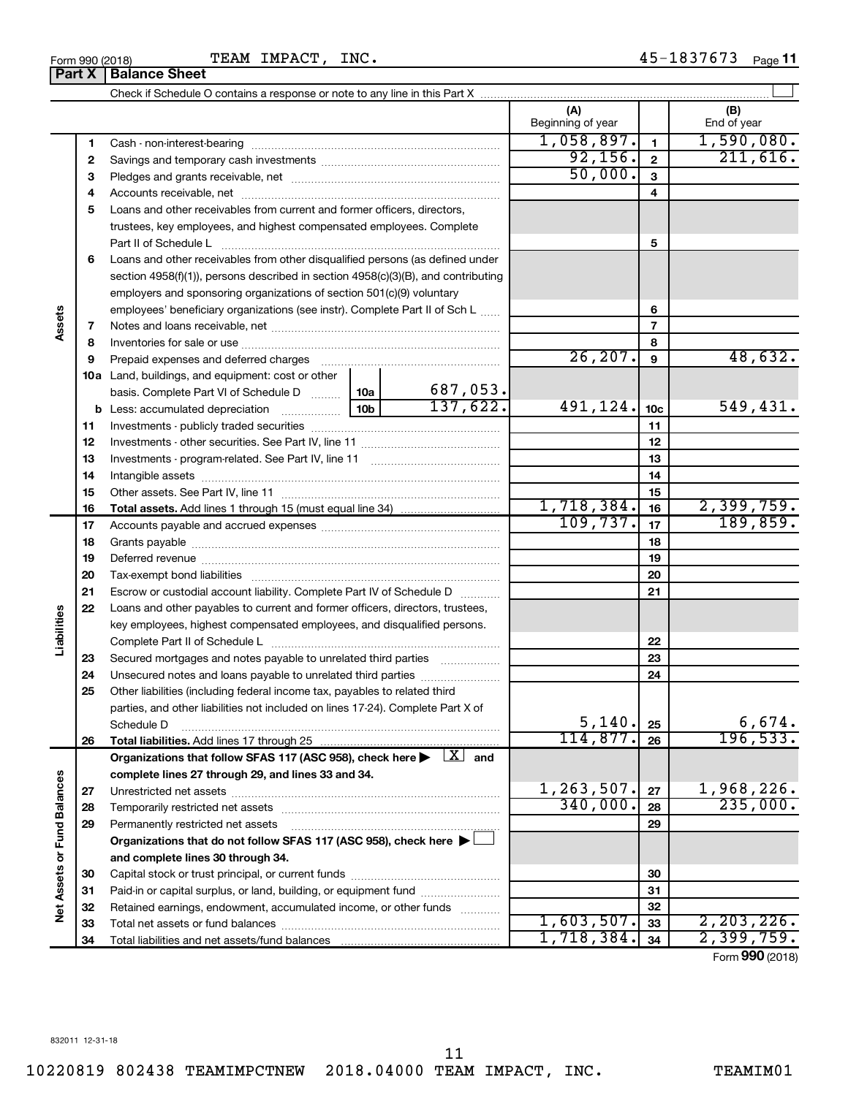#### Form 990 (2018) **TEAM** IMPACT, INC. 4 5-1 8 3 7 6 7 3 <sub>Page</sub> 11 TEAM IMPACT, INC.

Check if Schedule O contains a response or note to any line in this Part X

|                             |    |                                                                                                                                                                                                                                |          | (A)<br>Beginning of year |                 | (B)<br>End of year |
|-----------------------------|----|--------------------------------------------------------------------------------------------------------------------------------------------------------------------------------------------------------------------------------|----------|--------------------------|-----------------|--------------------|
|                             | 1  |                                                                                                                                                                                                                                |          | 1,058,897.               | $\mathbf{1}$    | 1,590,080.         |
|                             | 2  |                                                                                                                                                                                                                                |          | 92,156.                  | $\mathbf{2}$    | 211,616.           |
|                             | з  |                                                                                                                                                                                                                                |          | 50,000.                  | 3               |                    |
|                             |    |                                                                                                                                                                                                                                |          |                          | 4               |                    |
|                             | 4  |                                                                                                                                                                                                                                |          |                          |                 |                    |
|                             | 5  | Loans and other receivables from current and former officers, directors,                                                                                                                                                       |          |                          |                 |                    |
|                             |    | trustees, key employees, and highest compensated employees. Complete<br>Part II of Schedule L                                                                                                                                  |          |                          | 5               |                    |
|                             |    |                                                                                                                                                                                                                                |          |                          |                 |                    |
|                             | 6  | Loans and other receivables from other disqualified persons (as defined under                                                                                                                                                  |          |                          |                 |                    |
|                             |    | section 4958(f)(1)), persons described in section 4958(c)(3)(B), and contributing                                                                                                                                              |          |                          |                 |                    |
|                             |    | employers and sponsoring organizations of section 501(c)(9) voluntary                                                                                                                                                          |          |                          |                 |                    |
| Assets                      |    | employees' beneficiary organizations (see instr). Complete Part II of Sch L                                                                                                                                                    |          |                          | 6               |                    |
|                             | 7  |                                                                                                                                                                                                                                |          |                          | 7               |                    |
|                             | 8  |                                                                                                                                                                                                                                |          | 26, 207.                 | 8               | 48,632.            |
|                             | 9  | Prepaid expenses and deferred charges [11] [11] prepaid expenses and deferred charges [11] [11] minimum and the P                                                                                                              |          |                          | 9               |                    |
|                             |    | 10a Land, buildings, and equipment: cost or other                                                                                                                                                                              | 687,053. |                          |                 |                    |
|                             |    | basis. Complete Part VI of Schedule D  10a                                                                                                                                                                                     | 137,622. | 491,124.                 |                 | 549,431.           |
|                             |    |                                                                                                                                                                                                                                |          |                          | 10 <sub>c</sub> |                    |
|                             | 11 |                                                                                                                                                                                                                                |          |                          | 11              |                    |
|                             | 12 |                                                                                                                                                                                                                                |          |                          | 12              |                    |
|                             | 13 |                                                                                                                                                                                                                                |          |                          | 13              |                    |
|                             | 14 | Intangible assets [111] intervention and assets an intervention and intervention and intervention and intervention and intervention and intervention and intervention and intervention and intervention and intervention and i |          |                          | 14              |                    |
|                             | 15 |                                                                                                                                                                                                                                |          | 1,718,384.               | 15              | 2,399,759.         |
|                             | 16 |                                                                                                                                                                                                                                |          | 109,737.                 | 16              | 189,859.           |
|                             | 17 |                                                                                                                                                                                                                                |          |                          | 17              |                    |
|                             | 18 |                                                                                                                                                                                                                                |          |                          | 18              |                    |
|                             | 19 | Deferred revenue manual contracts and contracts are all the manual contracts and contracts are all the contracts of the contracts of the contracts of the contracts of the contracts of the contracts of the contracts of the  |          |                          | 19              |                    |
|                             | 20 |                                                                                                                                                                                                                                |          |                          | 20              |                    |
|                             | 21 | Escrow or custodial account liability. Complete Part IV of Schedule D                                                                                                                                                          |          |                          | 21              |                    |
| Liabilities                 | 22 | Loans and other payables to current and former officers, directors, trustees,                                                                                                                                                  |          |                          |                 |                    |
|                             |    | key employees, highest compensated employees, and disqualified persons.                                                                                                                                                        |          |                          |                 |                    |
|                             |    |                                                                                                                                                                                                                                |          |                          | 22              |                    |
|                             | 23 | Secured mortgages and notes payable to unrelated third parties <i>manumum</i>                                                                                                                                                  |          |                          | 23              |                    |
|                             | 24 | Unsecured notes and loans payable to unrelated third parties                                                                                                                                                                   |          |                          | 24              |                    |
|                             | 25 | Other liabilities (including federal income tax, payables to related third                                                                                                                                                     |          |                          |                 |                    |
|                             |    | parties, and other liabilities not included on lines 17-24). Complete Part X of<br>Schedule D                                                                                                                                  |          | 5,140.                   | 25              | 6,674.             |
|                             | 26 |                                                                                                                                                                                                                                |          | 114,877.                 | 26              | 196, 533.          |
|                             |    | Organizations that follow SFAS 117 (ASC 958), check here $\blacktriangleright \begin{array}{c} \boxed{X} \\ \end{array}$ and                                                                                                   |          |                          |                 |                    |
|                             |    | complete lines 27 through 29, and lines 33 and 34.                                                                                                                                                                             |          |                          |                 |                    |
|                             | 27 |                                                                                                                                                                                                                                |          | 1,263,507.               | 27              | 1,968,226.         |
|                             | 28 |                                                                                                                                                                                                                                |          | 340,000.                 | 28              | 235,000.           |
|                             | 29 | Permanently restricted net assets                                                                                                                                                                                              |          |                          | 29              |                    |
| Net Assets or Fund Balances |    | Organizations that do not follow SFAS 117 (ASC 958), check here ▶ □                                                                                                                                                            |          |                          |                 |                    |
|                             |    | and complete lines 30 through 34.                                                                                                                                                                                              |          |                          |                 |                    |
|                             | 30 |                                                                                                                                                                                                                                |          |                          | 30              |                    |
|                             | 31 | Paid-in or capital surplus, or land, building, or equipment fund                                                                                                                                                               |          |                          | 31              |                    |
|                             | 32 | Retained earnings, endowment, accumulated income, or other funds                                                                                                                                                               |          |                          | 32              |                    |
|                             | 33 |                                                                                                                                                                                                                                |          | 1,603,507.               | 33              | 2, 203, 226.       |
|                             | 34 |                                                                                                                                                                                                                                |          | 1,718,384.               | 34              | 2,399,759.         |
|                             |    |                                                                                                                                                                                                                                |          |                          |                 |                    |

Form (2018) **990**

 $\perp$ 

**Part X Balance Sheet**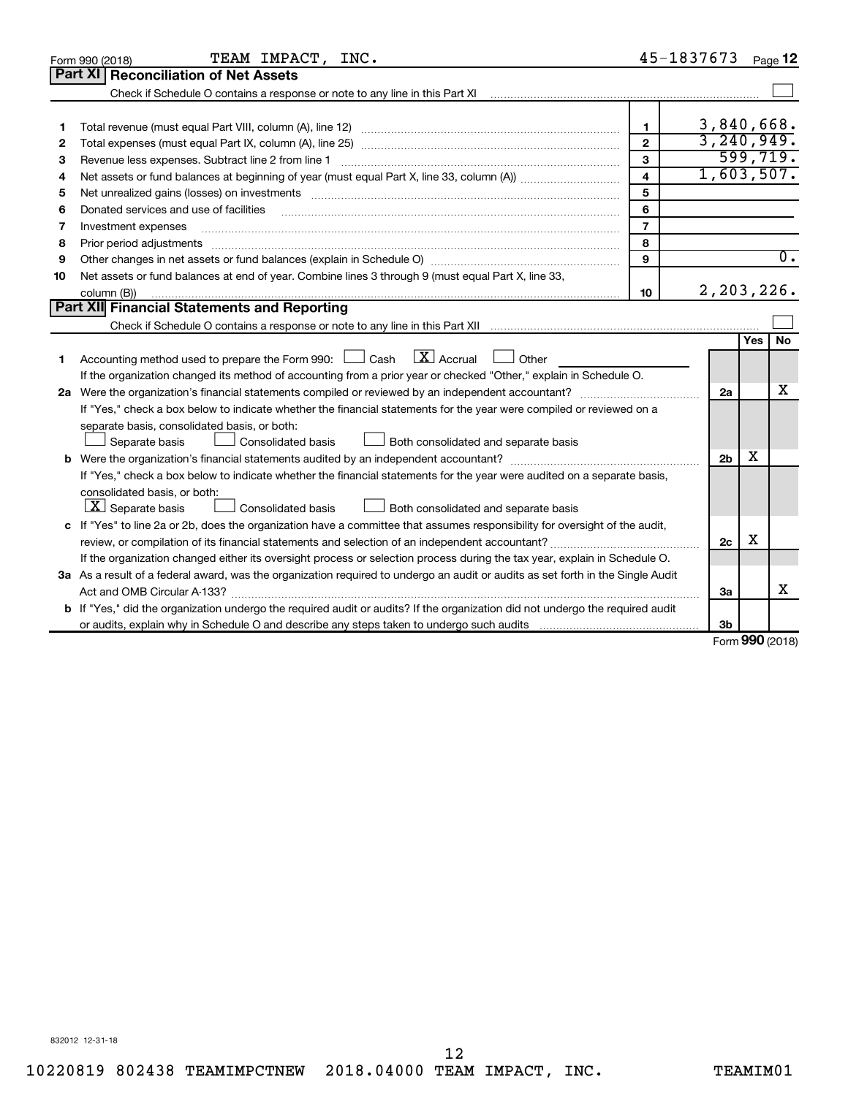|    | TEAM IMPACT, INC.<br>Form 990 (2018)                                                                                                                                                                                                                                                                                                                                                                                                                                         | 45-1837673              |                |                   | Page 12          |
|----|------------------------------------------------------------------------------------------------------------------------------------------------------------------------------------------------------------------------------------------------------------------------------------------------------------------------------------------------------------------------------------------------------------------------------------------------------------------------------|-------------------------|----------------|-------------------|------------------|
|    | <b>Part XI   Reconciliation of Net Assets</b>                                                                                                                                                                                                                                                                                                                                                                                                                                |                         |                |                   |                  |
|    | Check if Schedule O contains a response or note to any line in this Part XI [11] [12] Check if Schedule O contains a response or note to any line in this Part XI                                                                                                                                                                                                                                                                                                            |                         |                |                   |                  |
|    |                                                                                                                                                                                                                                                                                                                                                                                                                                                                              |                         |                |                   |                  |
| 1  |                                                                                                                                                                                                                                                                                                                                                                                                                                                                              | 1.                      | 3,840,668.     |                   |                  |
| 2  |                                                                                                                                                                                                                                                                                                                                                                                                                                                                              | $\mathbf{2}$            | 3, 240, 949.   |                   |                  |
| З  | Revenue less expenses. Subtract line 2 from line 1                                                                                                                                                                                                                                                                                                                                                                                                                           | 3                       |                |                   | 599,719.         |
| 4  |                                                                                                                                                                                                                                                                                                                                                                                                                                                                              | $\overline{\mathbf{4}}$ | 1,603,507.     |                   |                  |
| 5  |                                                                                                                                                                                                                                                                                                                                                                                                                                                                              | 5                       |                |                   |                  |
| 6  | Donated services and use of facilities                                                                                                                                                                                                                                                                                                                                                                                                                                       | 6                       |                |                   |                  |
| 7  | Investment expenses                                                                                                                                                                                                                                                                                                                                                                                                                                                          | $\overline{7}$          |                |                   |                  |
| 8  | Prior period adjustments<br>$\begin{minipage}{0.5\textwidth} \begin{tabular}{ l l l } \hline \multicolumn{1}{ l l l } \hline \multicolumn{1}{ l l } \hline \multicolumn{1}{ l } \multicolumn{1}{ l } \hline \multicolumn{1}{ l } \multicolumn{1}{ l } \multicolumn{1}{ l } \hline \multicolumn{1}{ l } \multicolumn{1}{ l } \multicolumn{1}{ l } \hline \multicolumn{1}{ l } \multicolumn{1}{ l } \hline \multicolumn{1}{ l } \multicolumn{1}{ l } \hline \multicolumn{1}{ $ | 8                       |                |                   |                  |
| 9  |                                                                                                                                                                                                                                                                                                                                                                                                                                                                              | 9                       |                |                   | $\overline{0}$ . |
| 10 | Net assets or fund balances at end of year. Combine lines 3 through 9 (must equal Part X, line 33,                                                                                                                                                                                                                                                                                                                                                                           |                         |                |                   |                  |
|    | column (B))                                                                                                                                                                                                                                                                                                                                                                                                                                                                  | 10                      | 2,203,226.     |                   |                  |
|    | Part XII Financial Statements and Reporting                                                                                                                                                                                                                                                                                                                                                                                                                                  |                         |                |                   |                  |
|    |                                                                                                                                                                                                                                                                                                                                                                                                                                                                              |                         |                |                   |                  |
| 1  | $\lfloor x \rfloor$ Accrual<br>Accounting method used to prepare the Form 990: $\Box$ Cash<br>Other<br>$\sim$                                                                                                                                                                                                                                                                                                                                                                |                         |                | Yes               | No               |
|    | If the organization changed its method of accounting from a prior year or checked "Other," explain in Schedule O.                                                                                                                                                                                                                                                                                                                                                            |                         |                |                   |                  |
|    |                                                                                                                                                                                                                                                                                                                                                                                                                                                                              |                         | 2a             |                   | x                |
|    | If "Yes," check a box below to indicate whether the financial statements for the year were compiled or reviewed on a                                                                                                                                                                                                                                                                                                                                                         |                         |                |                   |                  |
|    | separate basis, consolidated basis, or both:                                                                                                                                                                                                                                                                                                                                                                                                                                 |                         |                |                   |                  |
|    | Separate basis<br>Consolidated basis<br>Both consolidated and separate basis                                                                                                                                                                                                                                                                                                                                                                                                 |                         |                |                   |                  |
|    |                                                                                                                                                                                                                                                                                                                                                                                                                                                                              |                         | 2 <sub>b</sub> | x                 |                  |
|    | If "Yes," check a box below to indicate whether the financial statements for the year were audited on a separate basis,                                                                                                                                                                                                                                                                                                                                                      |                         |                |                   |                  |
|    | consolidated basis, or both:                                                                                                                                                                                                                                                                                                                                                                                                                                                 |                         |                |                   |                  |
|    | $ \mathbf{X} $ Separate basis<br><b>Consolidated basis</b><br>Both consolidated and separate basis                                                                                                                                                                                                                                                                                                                                                                           |                         |                |                   |                  |
|    | c If "Yes" to line 2a or 2b, does the organization have a committee that assumes responsibility for oversight of the audit,                                                                                                                                                                                                                                                                                                                                                  |                         |                |                   |                  |
|    |                                                                                                                                                                                                                                                                                                                                                                                                                                                                              |                         | 2c             | х                 |                  |
|    | If the organization changed either its oversight process or selection process during the tax year, explain in Schedule O.                                                                                                                                                                                                                                                                                                                                                    |                         |                |                   |                  |
|    | 3a As a result of a federal award, was the organization required to undergo an audit or audits as set forth in the Single Audit                                                                                                                                                                                                                                                                                                                                              |                         |                |                   |                  |
|    |                                                                                                                                                                                                                                                                                                                                                                                                                                                                              |                         | За             |                   | x                |
|    | <b>b</b> If "Yes," did the organization undergo the required audit or audits? If the organization did not undergo the required audit                                                                                                                                                                                                                                                                                                                                         |                         |                |                   |                  |
|    |                                                                                                                                                                                                                                                                                                                                                                                                                                                                              |                         | 3b             |                   |                  |
|    |                                                                                                                                                                                                                                                                                                                                                                                                                                                                              |                         |                | $000 \, \text{m}$ |                  |

Form (2018) **990**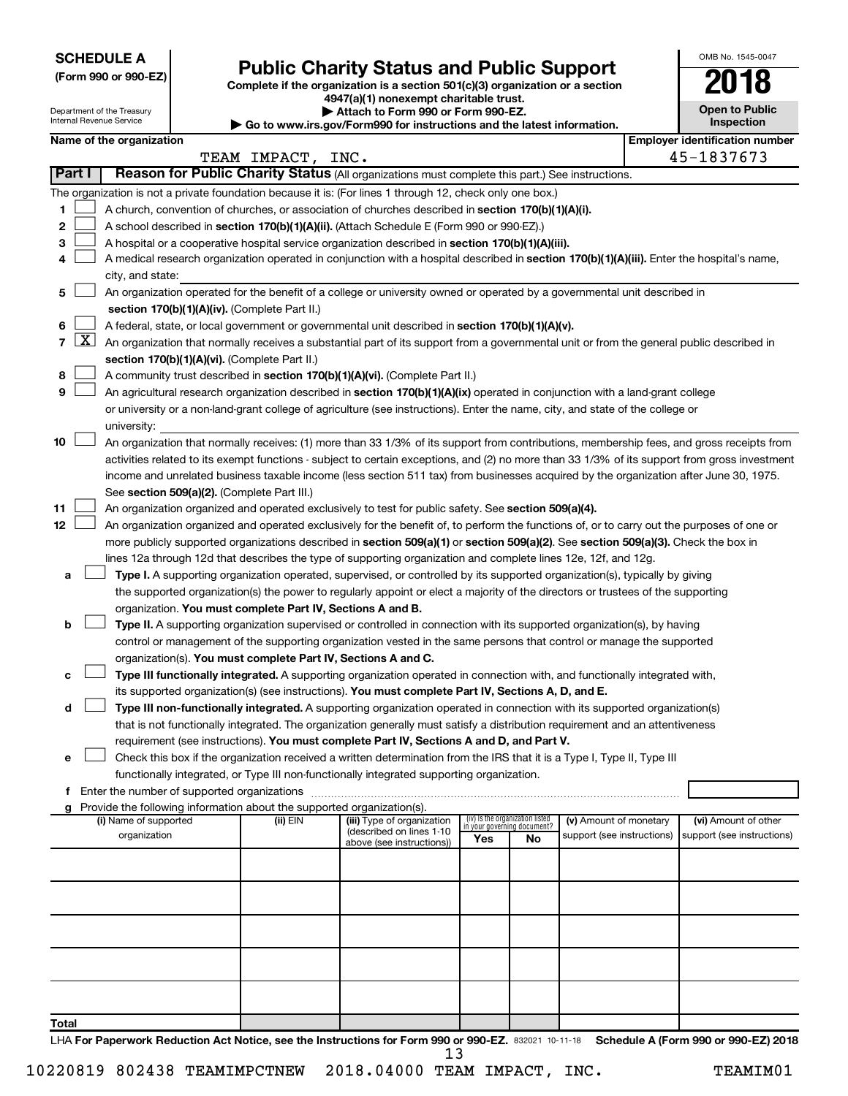**SCHEDULE A**

Department of the Treasury Internal Revenue Service

## Form 990 or 990-EZ)<br>
Complete if the organization is a section 501(c)(3) organization or a section<br> **Public Charity Status and Public Support**

**4947(a)(1) nonexempt charitable trust. | Attach to Form 990 or Form 990-EZ.** 

**| Go to www.irs.gov/Form990 for instructions and the latest information.**

| <b>Open to Public</b><br>Inspection |
|-------------------------------------|
| r identification numbe              |

OMB No. 1545-0047

|        |              | Name of the organization                                                                                                                      |                   |                                                        |                                                                |    |                            | <b>Employer identification number</b> |
|--------|--------------|-----------------------------------------------------------------------------------------------------------------------------------------------|-------------------|--------------------------------------------------------|----------------------------------------------------------------|----|----------------------------|---------------------------------------|
|        |              |                                                                                                                                               | TEAM IMPACT, INC. |                                                        |                                                                |    |                            | 45-1837673                            |
| Part I |              | Reason for Public Charity Status (All organizations must complete this part.) See instructions.                                               |                   |                                                        |                                                                |    |                            |                                       |
|        |              | The organization is not a private foundation because it is: (For lines 1 through 12, check only one box.)                                     |                   |                                                        |                                                                |    |                            |                                       |
| 1      |              | A church, convention of churches, or association of churches described in section 170(b)(1)(A)(i).                                            |                   |                                                        |                                                                |    |                            |                                       |
| 2      |              | A school described in section 170(b)(1)(A)(ii). (Attach Schedule E (Form 990 or 990-EZ).)                                                     |                   |                                                        |                                                                |    |                            |                                       |
| з      |              | A hospital or a cooperative hospital service organization described in section 170(b)(1)(A)(iii).                                             |                   |                                                        |                                                                |    |                            |                                       |
| 4      |              | A medical research organization operated in conjunction with a hospital described in section 170(b)(1)(A)(iii). Enter the hospital's name,    |                   |                                                        |                                                                |    |                            |                                       |
|        |              | city, and state:                                                                                                                              |                   |                                                        |                                                                |    |                            |                                       |
| 5      |              | An organization operated for the benefit of a college or university owned or operated by a governmental unit described in                     |                   |                                                        |                                                                |    |                            |                                       |
|        |              | section 170(b)(1)(A)(iv). (Complete Part II.)                                                                                                 |                   |                                                        |                                                                |    |                            |                                       |
| 6      |              | A federal, state, or local government or governmental unit described in section 170(b)(1)(A)(v).                                              |                   |                                                        |                                                                |    |                            |                                       |
| 7      | $\mathbf{X}$ | An organization that normally receives a substantial part of its support from a governmental unit or from the general public described in     |                   |                                                        |                                                                |    |                            |                                       |
|        |              | section 170(b)(1)(A)(vi). (Complete Part II.)                                                                                                 |                   |                                                        |                                                                |    |                            |                                       |
| 8      |              | A community trust described in section 170(b)(1)(A)(vi). (Complete Part II.)                                                                  |                   |                                                        |                                                                |    |                            |                                       |
| 9      |              | An agricultural research organization described in section 170(b)(1)(A)(ix) operated in conjunction with a land-grant college                 |                   |                                                        |                                                                |    |                            |                                       |
|        |              | or university or a non-land-grant college of agriculture (see instructions). Enter the name, city, and state of the college or                |                   |                                                        |                                                                |    |                            |                                       |
|        |              | university:                                                                                                                                   |                   |                                                        |                                                                |    |                            |                                       |
| 10     |              | An organization that normally receives: (1) more than 33 1/3% of its support from contributions, membership fees, and gross receipts from     |                   |                                                        |                                                                |    |                            |                                       |
|        |              | activities related to its exempt functions - subject to certain exceptions, and (2) no more than 33 1/3% of its support from gross investment |                   |                                                        |                                                                |    |                            |                                       |
|        |              | income and unrelated business taxable income (less section 511 tax) from businesses acquired by the organization after June 30, 1975.         |                   |                                                        |                                                                |    |                            |                                       |
|        |              | See section 509(a)(2). (Complete Part III.)                                                                                                   |                   |                                                        |                                                                |    |                            |                                       |
| 11     |              | An organization organized and operated exclusively to test for public safety. See section 509(a)(4).                                          |                   |                                                        |                                                                |    |                            |                                       |
| 12     |              | An organization organized and operated exclusively for the benefit of, to perform the functions of, or to carry out the purposes of one or    |                   |                                                        |                                                                |    |                            |                                       |
|        |              | more publicly supported organizations described in section 509(a)(1) or section 509(a)(2). See section 509(a)(3). Check the box in            |                   |                                                        |                                                                |    |                            |                                       |
|        |              | lines 12a through 12d that describes the type of supporting organization and complete lines 12e, 12f, and 12g.                                |                   |                                                        |                                                                |    |                            |                                       |
| а      |              | Type I. A supporting organization operated, supervised, or controlled by its supported organization(s), typically by giving                   |                   |                                                        |                                                                |    |                            |                                       |
|        |              | the supported organization(s) the power to regularly appoint or elect a majority of the directors or trustees of the supporting               |                   |                                                        |                                                                |    |                            |                                       |
|        |              | organization. You must complete Part IV, Sections A and B.                                                                                    |                   |                                                        |                                                                |    |                            |                                       |
| b      |              | Type II. A supporting organization supervised or controlled in connection with its supported organization(s), by having                       |                   |                                                        |                                                                |    |                            |                                       |
|        |              | control or management of the supporting organization vested in the same persons that control or manage the supported                          |                   |                                                        |                                                                |    |                            |                                       |
|        |              | organization(s). You must complete Part IV, Sections A and C.                                                                                 |                   |                                                        |                                                                |    |                            |                                       |
| с      |              | Type III functionally integrated. A supporting organization operated in connection with, and functionally integrated with,                    |                   |                                                        |                                                                |    |                            |                                       |
|        |              | its supported organization(s) (see instructions). You must complete Part IV, Sections A, D, and E.                                            |                   |                                                        |                                                                |    |                            |                                       |
| d      |              | Type III non-functionally integrated. A supporting organization operated in connection with its supported organization(s)                     |                   |                                                        |                                                                |    |                            |                                       |
|        |              | that is not functionally integrated. The organization generally must satisfy a distribution requirement and an attentiveness                  |                   |                                                        |                                                                |    |                            |                                       |
|        |              | requirement (see instructions). You must complete Part IV, Sections A and D, and Part V.                                                      |                   |                                                        |                                                                |    |                            |                                       |
| е      |              | Check this box if the organization received a written determination from the IRS that it is a Type I, Type II, Type III                       |                   |                                                        |                                                                |    |                            |                                       |
|        |              | functionally integrated, or Type III non-functionally integrated supporting organization.                                                     |                   |                                                        |                                                                |    |                            |                                       |
|        |              | f Enter the number of supported organizations                                                                                                 |                   |                                                        |                                                                |    |                            |                                       |
| g      |              | Provide the following information about the supported organization(s).                                                                        |                   |                                                        |                                                                |    |                            |                                       |
|        |              | (i) Name of supported                                                                                                                         | (ii) EIN          | (iii) Type of organization<br>(described on lines 1-10 | (iv) Is the organization listed<br>in your governing document? |    | (v) Amount of monetary     | (vi) Amount of other                  |
|        |              | organization                                                                                                                                  |                   | above (see instructions))                              | Yes                                                            | No | support (see instructions) | support (see instructions)            |
|        |              |                                                                                                                                               |                   |                                                        |                                                                |    |                            |                                       |
|        |              |                                                                                                                                               |                   |                                                        |                                                                |    |                            |                                       |
|        |              |                                                                                                                                               |                   |                                                        |                                                                |    |                            |                                       |
|        |              |                                                                                                                                               |                   |                                                        |                                                                |    |                            |                                       |
|        |              |                                                                                                                                               |                   |                                                        |                                                                |    |                            |                                       |
|        |              |                                                                                                                                               |                   |                                                        |                                                                |    |                            |                                       |
|        |              |                                                                                                                                               |                   |                                                        |                                                                |    |                            |                                       |
|        |              |                                                                                                                                               |                   |                                                        |                                                                |    |                            |                                       |
|        |              |                                                                                                                                               |                   |                                                        |                                                                |    |                            |                                       |
|        |              |                                                                                                                                               |                   |                                                        |                                                                |    |                            |                                       |
| Total  |              |                                                                                                                                               |                   |                                                        |                                                                |    |                            |                                       |

LHA For Paperwork Reduction Act Notice, see the Instructions for Form 990 or 990-EZ. 832021 10-11-18 Schedule A (Form 990 or 990-EZ) 2018 13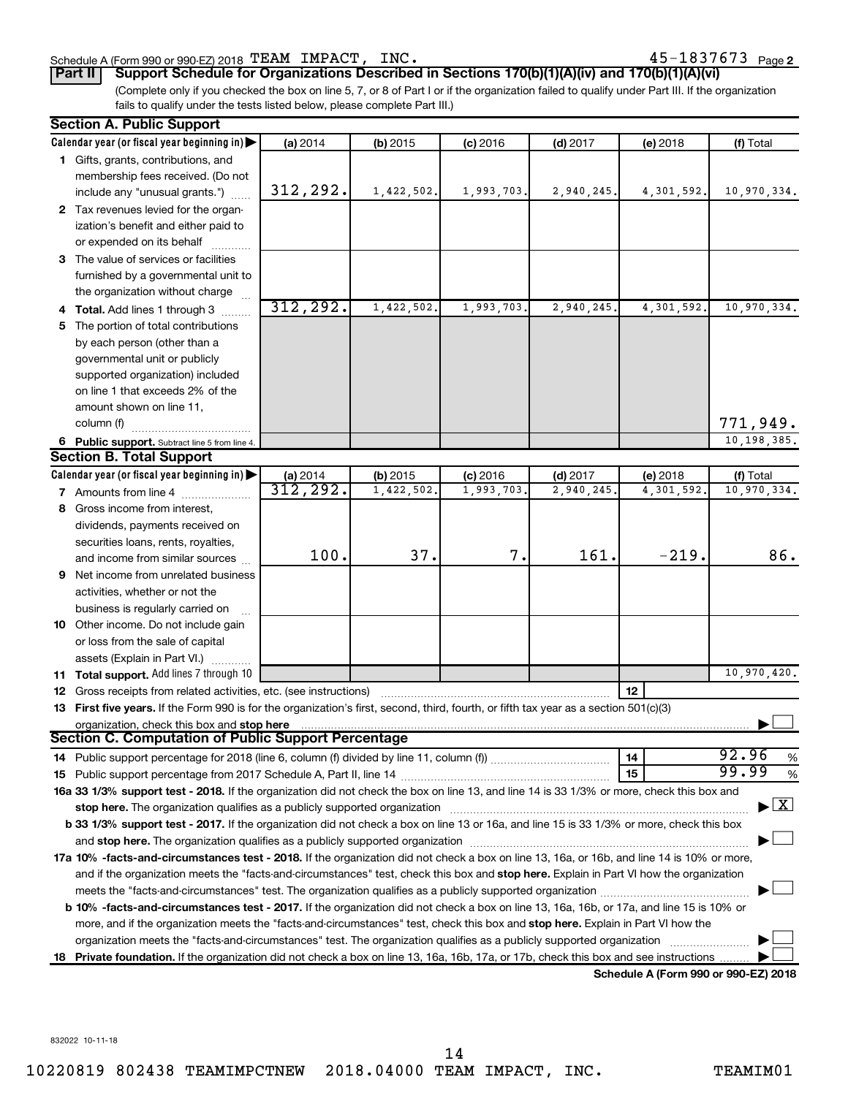#### Schedule A (Form 990 or 990-EZ) 2018  $\texttt{TEAM}$   $\texttt{IMPACT}$ ,  $\texttt{INC.}$   $\texttt{45-1837673}$   $\texttt{Page}$

45-1837673 Page 2

**Part II Support Schedule for Organizations Described in Sections 170(b)(1)(A)(iv) and 170(b)(1)(A)(vi)**

(Complete only if you checked the box on line 5, 7, or 8 of Part I or if the organization failed to qualify under Part III. If the organization fails to qualify under the tests listed below, please complete Part III.)

|    | <b>Section A. Public Support</b>                                                                                                           |           |            |            |            |            |                                    |
|----|--------------------------------------------------------------------------------------------------------------------------------------------|-----------|------------|------------|------------|------------|------------------------------------|
|    | Calendar year (or fiscal year beginning in)                                                                                                | (a) 2014  | (b) 2015   | $(c)$ 2016 | $(d)$ 2017 | (e) 2018   | (f) Total                          |
|    | 1 Gifts, grants, contributions, and                                                                                                        |           |            |            |            |            |                                    |
|    | membership fees received. (Do not                                                                                                          |           |            |            |            |            |                                    |
|    | include any "unusual grants.")                                                                                                             | 312,292.  | 1,422,502. | 1,993,703. | 2,940,245. | 4,301,592. | 10,970,334.                        |
|    | 2 Tax revenues levied for the organ-                                                                                                       |           |            |            |            |            |                                    |
|    | ization's benefit and either paid to                                                                                                       |           |            |            |            |            |                                    |
|    | or expended on its behalf                                                                                                                  |           |            |            |            |            |                                    |
|    | 3 The value of services or facilities                                                                                                      |           |            |            |            |            |                                    |
|    | furnished by a governmental unit to                                                                                                        |           |            |            |            |            |                                    |
|    | the organization without charge                                                                                                            |           |            |            |            |            |                                    |
|    |                                                                                                                                            | 312, 292. | 1,422,502. | 1,993,703. | 2,940,245  | 4,301,592. | 10,970,334.                        |
|    | 4 Total. Add lines 1 through 3                                                                                                             |           |            |            |            |            |                                    |
| 5. | The portion of total contributions                                                                                                         |           |            |            |            |            |                                    |
|    | by each person (other than a                                                                                                               |           |            |            |            |            |                                    |
|    | governmental unit or publicly                                                                                                              |           |            |            |            |            |                                    |
|    | supported organization) included                                                                                                           |           |            |            |            |            |                                    |
|    | on line 1 that exceeds 2% of the                                                                                                           |           |            |            |            |            |                                    |
|    | amount shown on line 11,                                                                                                                   |           |            |            |            |            |                                    |
|    | column (f)                                                                                                                                 |           |            |            |            |            | 771,949.                           |
|    | 6 Public support. Subtract line 5 from line 4.                                                                                             |           |            |            |            |            | 10,198,385.                        |
|    | <b>Section B. Total Support</b>                                                                                                            |           |            |            |            |            |                                    |
|    | Calendar year (or fiscal year beginning in)                                                                                                | (a) 2014  | (b) 2015   | $(c)$ 2016 | $(d)$ 2017 | (e) 2018   | (f) Total                          |
|    | 7 Amounts from line 4                                                                                                                      | 312,292.  | 1,422,502  | 1,993,703  | 2,940,245  | 4,301,592  | 10,970,334.                        |
|    | 8 Gross income from interest,                                                                                                              |           |            |            |            |            |                                    |
|    | dividends, payments received on                                                                                                            |           |            |            |            |            |                                    |
|    | securities loans, rents, royalties,                                                                                                        |           |            |            |            |            |                                    |
|    | and income from similar sources                                                                                                            | 100.      | 37.        | 7.         | 161.       | $-219.$    | 86.                                |
|    | 9 Net income from unrelated business                                                                                                       |           |            |            |            |            |                                    |
|    | activities, whether or not the                                                                                                             |           |            |            |            |            |                                    |
|    | business is regularly carried on                                                                                                           |           |            |            |            |            |                                    |
|    | 10 Other income. Do not include gain                                                                                                       |           |            |            |            |            |                                    |
|    | or loss from the sale of capital                                                                                                           |           |            |            |            |            |                                    |
|    | assets (Explain in Part VI.)                                                                                                               |           |            |            |            |            |                                    |
|    | 11 Total support. Add lines 7 through 10                                                                                                   |           |            |            |            |            | 10,970,420.                        |
|    | <b>12</b> Gross receipts from related activities, etc. (see instructions)                                                                  |           |            |            |            | 12         |                                    |
|    | 13 First five years. If the Form 990 is for the organization's first, second, third, fourth, or fifth tax year as a section 501(c)(3)      |           |            |            |            |            |                                    |
|    | organization, check this box and stop here                                                                                                 |           |            |            |            |            |                                    |
|    | <b>Section C. Computation of Public Support Percentage</b>                                                                                 |           |            |            |            |            |                                    |
|    |                                                                                                                                            |           |            |            |            | 14         | 92.96<br>%                         |
|    |                                                                                                                                            |           |            |            |            | 15         | 99.99<br>%                         |
|    | 16a 33 1/3% support test - 2018. If the organization did not check the box on line 13, and line 14 is 33 1/3% or more, check this box and  |           |            |            |            |            |                                    |
|    | stop here. The organization qualifies as a publicly supported organization                                                                 |           |            |            |            |            | $\blacktriangleright$ $\mathbf{X}$ |
|    | b 33 1/3% support test - 2017. If the organization did not check a box on line 13 or 16a, and line 15 is 33 1/3% or more, check this box   |           |            |            |            |            |                                    |
|    |                                                                                                                                            |           |            |            |            |            |                                    |
|    |                                                                                                                                            |           |            |            |            |            |                                    |
|    | 17a 10% -facts-and-circumstances test - 2018. If the organization did not check a box on line 13, 16a, or 16b, and line 14 is 10% or more, |           |            |            |            |            |                                    |
|    | and if the organization meets the "facts-and-circumstances" test, check this box and stop here. Explain in Part VI how the organization    |           |            |            |            |            |                                    |
|    |                                                                                                                                            |           |            |            |            |            |                                    |
|    | b 10% -facts-and-circumstances test - 2017. If the organization did not check a box on line 13, 16a, 16b, or 17a, and line 15 is 10% or    |           |            |            |            |            |                                    |
|    | more, and if the organization meets the "facts-and-circumstances" test, check this box and stop here. Explain in Part VI how the           |           |            |            |            |            |                                    |
|    |                                                                                                                                            |           |            |            |            |            |                                    |
|    | 18 Private foundation. If the organization did not check a box on line 13, 16a, 16b, 17a, or 17b, check this box and see instructions.     |           |            |            |            |            |                                    |

**Schedule A (Form 990 or 990-EZ) 2018**

832022 10-11-18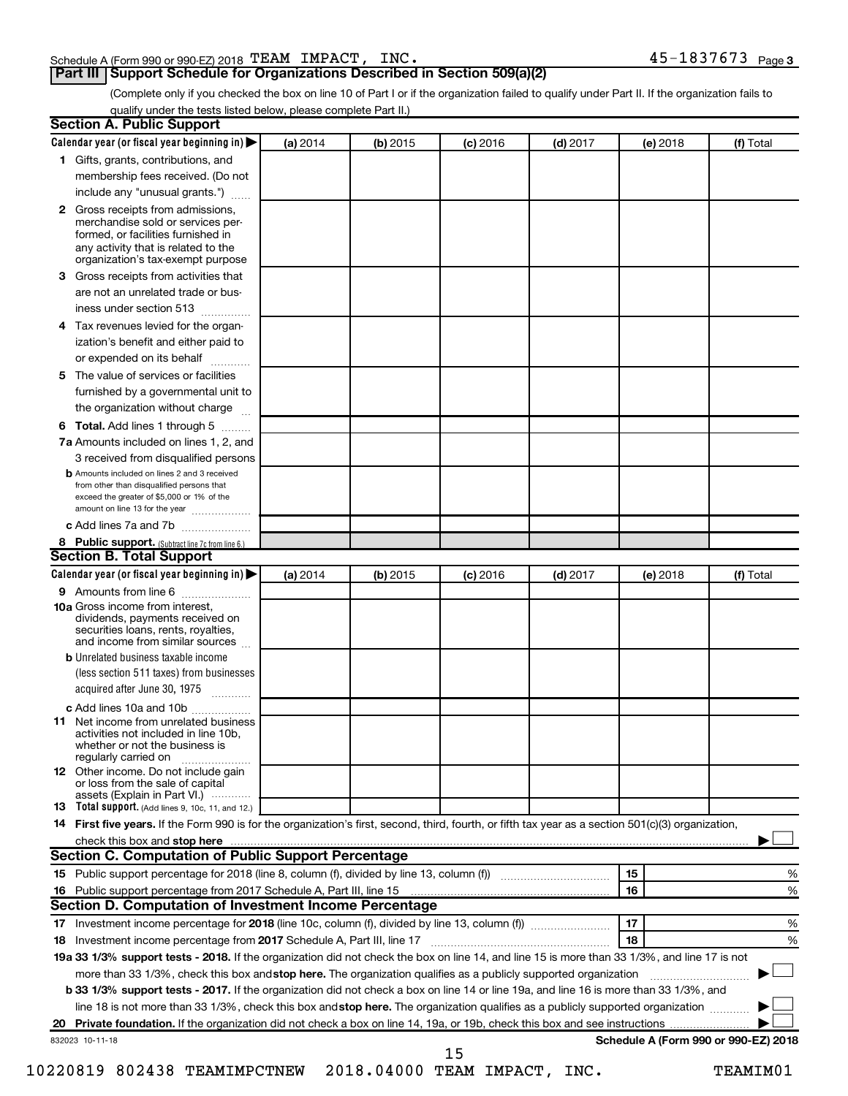#### Schedule A (Form 990 or 990-EZ) 2018  $\texttt{TEAM}$   $\texttt{IMPACT}$ ,  $\texttt{INC.}$   $\texttt{45-1837673}$   $\texttt{Page}$

#### **Part III Support Schedule for Organizations Described in Section 509(a)(2)**

45-1837673 Page 3

(Complete only if you checked the box on line 10 of Part I or if the organization failed to qualify under Part II. If the organization fails to qualify under the tests listed below, please complete Part II.)

| <b>Section A. Public Support</b>                                                                                                                                                                |          |          |                 |            |          |                                      |
|-------------------------------------------------------------------------------------------------------------------------------------------------------------------------------------------------|----------|----------|-----------------|------------|----------|--------------------------------------|
| Calendar year (or fiscal year beginning in)                                                                                                                                                     | (a) 2014 | (b) 2015 | <b>(c)</b> 2016 | $(d)$ 2017 | (e) 2018 | (f) Total                            |
| 1 Gifts, grants, contributions, and                                                                                                                                                             |          |          |                 |            |          |                                      |
| membership fees received. (Do not                                                                                                                                                               |          |          |                 |            |          |                                      |
| include any "unusual grants.")                                                                                                                                                                  |          |          |                 |            |          |                                      |
| <b>2</b> Gross receipts from admissions,<br>merchandise sold or services per-<br>formed, or facilities furnished in<br>any activity that is related to the<br>organization's tax-exempt purpose |          |          |                 |            |          |                                      |
| 3 Gross receipts from activities that                                                                                                                                                           |          |          |                 |            |          |                                      |
| are not an unrelated trade or bus-                                                                                                                                                              |          |          |                 |            |          |                                      |
|                                                                                                                                                                                                 |          |          |                 |            |          |                                      |
| iness under section 513                                                                                                                                                                         |          |          |                 |            |          |                                      |
| 4 Tax revenues levied for the organ-<br>ization's benefit and either paid to                                                                                                                    |          |          |                 |            |          |                                      |
| or expended on its behalf<br>.                                                                                                                                                                  |          |          |                 |            |          |                                      |
| 5 The value of services or facilities                                                                                                                                                           |          |          |                 |            |          |                                      |
| furnished by a governmental unit to                                                                                                                                                             |          |          |                 |            |          |                                      |
| the organization without charge                                                                                                                                                                 |          |          |                 |            |          |                                      |
| <b>6 Total.</b> Add lines 1 through 5                                                                                                                                                           |          |          |                 |            |          |                                      |
| 7a Amounts included on lines 1, 2, and                                                                                                                                                          |          |          |                 |            |          |                                      |
| 3 received from disqualified persons                                                                                                                                                            |          |          |                 |            |          |                                      |
| <b>b</b> Amounts included on lines 2 and 3 received<br>from other than disqualified persons that<br>exceed the greater of \$5,000 or 1% of the<br>amount on line 13 for the year                |          |          |                 |            |          |                                      |
| c Add lines 7a and 7b                                                                                                                                                                           |          |          |                 |            |          |                                      |
| 8 Public support. (Subtract line 7c from line 6.)                                                                                                                                               |          |          |                 |            |          |                                      |
| <b>Section B. Total Support</b>                                                                                                                                                                 |          |          |                 |            |          |                                      |
| Calendar year (or fiscal year beginning in)                                                                                                                                                     | (a) 2014 | (b) 2015 | <b>(c)</b> 2016 | $(d)$ 2017 | (e) 2018 | (f) Total                            |
| <b>9</b> Amounts from line 6                                                                                                                                                                    |          |          |                 |            |          |                                      |
| <b>10a</b> Gross income from interest,<br>dividends, payments received on<br>securities loans, rents, royalties,<br>and income from similar sources                                             |          |          |                 |            |          |                                      |
| <b>b</b> Unrelated business taxable income                                                                                                                                                      |          |          |                 |            |          |                                      |
| (less section 511 taxes) from businesses<br>acquired after June 30, 1975                                                                                                                        |          |          |                 |            |          |                                      |
| c Add lines 10a and 10b                                                                                                                                                                         |          |          |                 |            |          |                                      |
| <b>11</b> Net income from unrelated business<br>activities not included in line 10b.<br>whether or not the business is<br>regularly carried on                                                  |          |          |                 |            |          |                                      |
| <b>12</b> Other income. Do not include gain<br>or loss from the sale of capital<br>assets (Explain in Part VI.)                                                                                 |          |          |                 |            |          |                                      |
| <b>13</b> Total support. (Add lines 9, 10c, 11, and 12.)                                                                                                                                        |          |          |                 |            |          |                                      |
| 14 First five years. If the Form 990 is for the organization's first, second, third, fourth, or fifth tax year as a section 501(c)(3) organization,                                             |          |          |                 |            |          |                                      |
| check this box and stop here <b>manufacture and intervention and starting and stop here</b> and stop here <b>manufacture</b>                                                                    |          |          |                 |            |          |                                      |
| Section C. Computation of Public Support Percentage                                                                                                                                             |          |          |                 |            |          |                                      |
| 15 Public support percentage for 2018 (line 8, column (f), divided by line 13, column (f) <i></i>                                                                                               |          |          |                 |            | 15       | %                                    |
| 16 Public support percentage from 2017 Schedule A, Part III, line 15                                                                                                                            |          |          |                 |            | 16       | %                                    |
| Section D. Computation of Investment Income Percentage                                                                                                                                          |          |          |                 |            |          |                                      |
| 17 Investment income percentage for 2018 (line 10c, column (f), divided by line 13, column (f))                                                                                                 |          |          |                 |            | 17       | %                                    |
| 18 Investment income percentage from 2017 Schedule A, Part III, line 17                                                                                                                         |          |          |                 |            | 18       | %                                    |
| 19a 33 1/3% support tests - 2018. If the organization did not check the box on line 14, and line 15 is more than 33 1/3%, and line 17 is not                                                    |          |          |                 |            |          |                                      |
| more than 33 1/3%, check this box and stop here. The organization qualifies as a publicly supported organization                                                                                |          |          |                 |            |          |                                      |
| b 33 1/3% support tests - 2017. If the organization did not check a box on line 14 or line 19a, and line 16 is more than 33 1/3%, and                                                           |          |          |                 |            |          |                                      |
| line 18 is not more than 33 1/3%, check this box and stop here. The organization qualifies as a publicly supported organization                                                                 |          |          |                 |            |          |                                      |
|                                                                                                                                                                                                 |          |          |                 |            |          |                                      |
|                                                                                                                                                                                                 |          |          |                 |            |          |                                      |
| 832023 10-11-18                                                                                                                                                                                 |          |          | 15              |            |          | Schedule A (Form 990 or 990-EZ) 2018 |

10220819 802438 TEAMIMPCTNEW 2018.04000 TEAM IMPACT, INC. TEAMIM01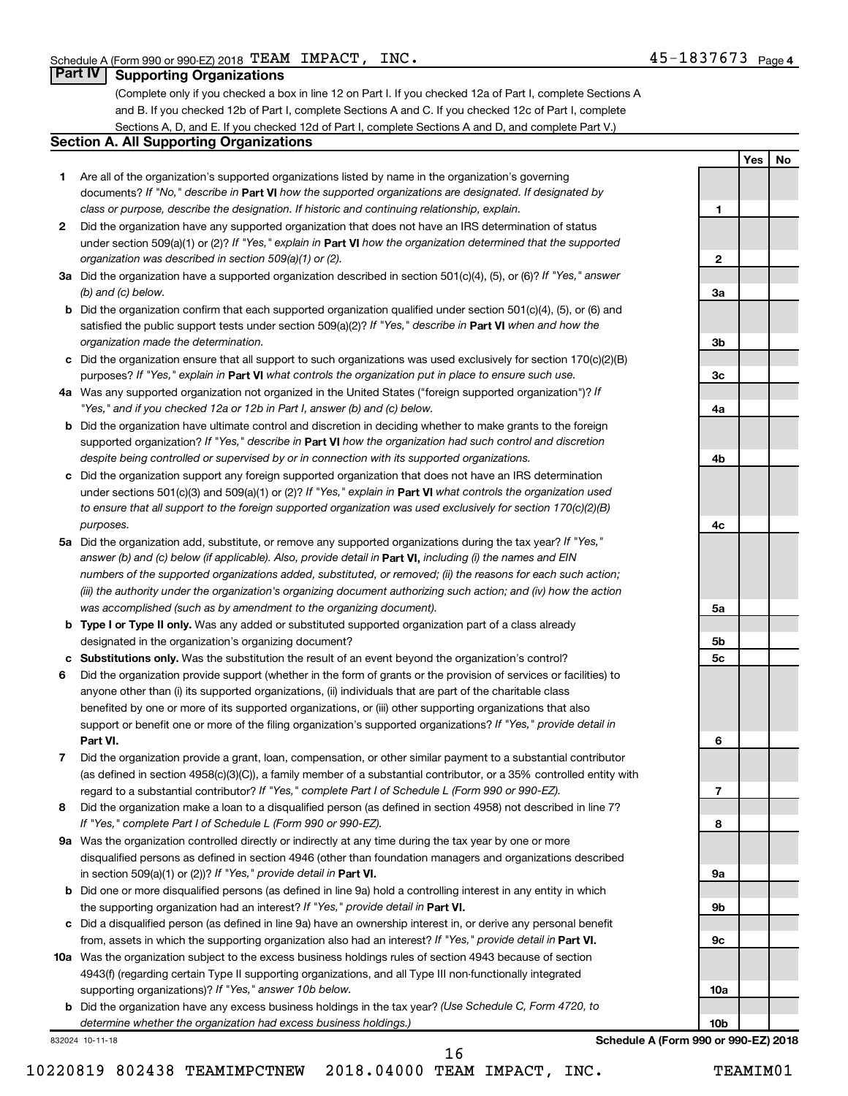**1**

**2**

**3a**

**3b**

**3c**

**4a**

**4b**

**4c**

**5a**

**5b 5c**

**6**

**7**

**8**

**9a**

**9b**

**9c**

**10a**

**10b**

**Yes No**

#### **Part IV Supporting Organizations**

(Complete only if you checked a box in line 12 on Part I. If you checked 12a of Part I, complete Sections A and B. If you checked 12b of Part I, complete Sections A and C. If you checked 12c of Part I, complete Sections A, D, and E. If you checked 12d of Part I, complete Sections A and D, and complete Part V.)

#### **Section A. All Supporting Organizations**

- **1** Are all of the organization's supported organizations listed by name in the organization's governing documents? If "No," describe in Part VI how the supported organizations are designated. If designated by *class or purpose, describe the designation. If historic and continuing relationship, explain.*
- **2** Did the organization have any supported organization that does not have an IRS determination of status under section 509(a)(1) or (2)? If "Yes," explain in Part **VI** how the organization determined that the supported *organization was described in section 509(a)(1) or (2).*
- **3a** Did the organization have a supported organization described in section 501(c)(4), (5), or (6)? If "Yes," answer *(b) and (c) below.*
- **b** Did the organization confirm that each supported organization qualified under section 501(c)(4), (5), or (6) and satisfied the public support tests under section 509(a)(2)? If "Yes," describe in Part VI when and how the *organization made the determination.*
- **c** Did the organization ensure that all support to such organizations was used exclusively for section 170(c)(2)(B) purposes? If "Yes," explain in Part VI what controls the organization put in place to ensure such use.
- **4 a** *If* Was any supported organization not organized in the United States ("foreign supported organization")? *"Yes," and if you checked 12a or 12b in Part I, answer (b) and (c) below.*
- **b** Did the organization have ultimate control and discretion in deciding whether to make grants to the foreign supported organization? If "Yes," describe in Part VI how the organization had such control and discretion *despite being controlled or supervised by or in connection with its supported organizations.*
- **c** Did the organization support any foreign supported organization that does not have an IRS determination under sections 501(c)(3) and 509(a)(1) or (2)? If "Yes," explain in Part VI what controls the organization used *to ensure that all support to the foreign supported organization was used exclusively for section 170(c)(2)(B) purposes.*
- **5a** Did the organization add, substitute, or remove any supported organizations during the tax year? If "Yes," answer (b) and (c) below (if applicable). Also, provide detail in **Part VI,** including (i) the names and EIN *numbers of the supported organizations added, substituted, or removed; (ii) the reasons for each such action; (iii) the authority under the organization's organizing document authorizing such action; and (iv) how the action was accomplished (such as by amendment to the organizing document).*
- **b** Type I or Type II only. Was any added or substituted supported organization part of a class already designated in the organization's organizing document?
- **c Substitutions only.**  Was the substitution the result of an event beyond the organization's control?
- **6** Did the organization provide support (whether in the form of grants or the provision of services or facilities) to **Part VI.** support or benefit one or more of the filing organization's supported organizations? If "Yes," provide detail in anyone other than (i) its supported organizations, (ii) individuals that are part of the charitable class benefited by one or more of its supported organizations, or (iii) other supporting organizations that also
- **7** Did the organization provide a grant, loan, compensation, or other similar payment to a substantial contributor regard to a substantial contributor? If "Yes," complete Part I of Schedule L (Form 990 or 990-EZ). (as defined in section 4958(c)(3)(C)), a family member of a substantial contributor, or a 35% controlled entity with
- **8** Did the organization make a loan to a disqualified person (as defined in section 4958) not described in line 7? *If "Yes," complete Part I of Schedule L (Form 990 or 990-EZ).*
- **9 a** Was the organization controlled directly or indirectly at any time during the tax year by one or more in section 509(a)(1) or (2))? If "Yes," provide detail in **Part VI.** disqualified persons as defined in section 4946 (other than foundation managers and organizations described
- **b** Did one or more disqualified persons (as defined in line 9a) hold a controlling interest in any entity in which the supporting organization had an interest? If "Yes," provide detail in Part VI.
- **c** Did a disqualified person (as defined in line 9a) have an ownership interest in, or derive any personal benefit from, assets in which the supporting organization also had an interest? If "Yes," provide detail in Part VI.
- **10 a** Was the organization subject to the excess business holdings rules of section 4943 because of section supporting organizations)? If "Yes," answer 10b below. 4943(f) (regarding certain Type II supporting organizations, and all Type III non-functionally integrated
	- **b** Did the organization have any excess business holdings in the tax year? (Use Schedule C, Form 4720, to *determine whether the organization had excess business holdings.)*

832024 10-11-18

**Schedule A (Form 990 or 990-EZ) 2018**

10220819 802438 TEAMIMPCTNEW 2018.04000 TEAM IMPACT, INC. TEAMIM01 16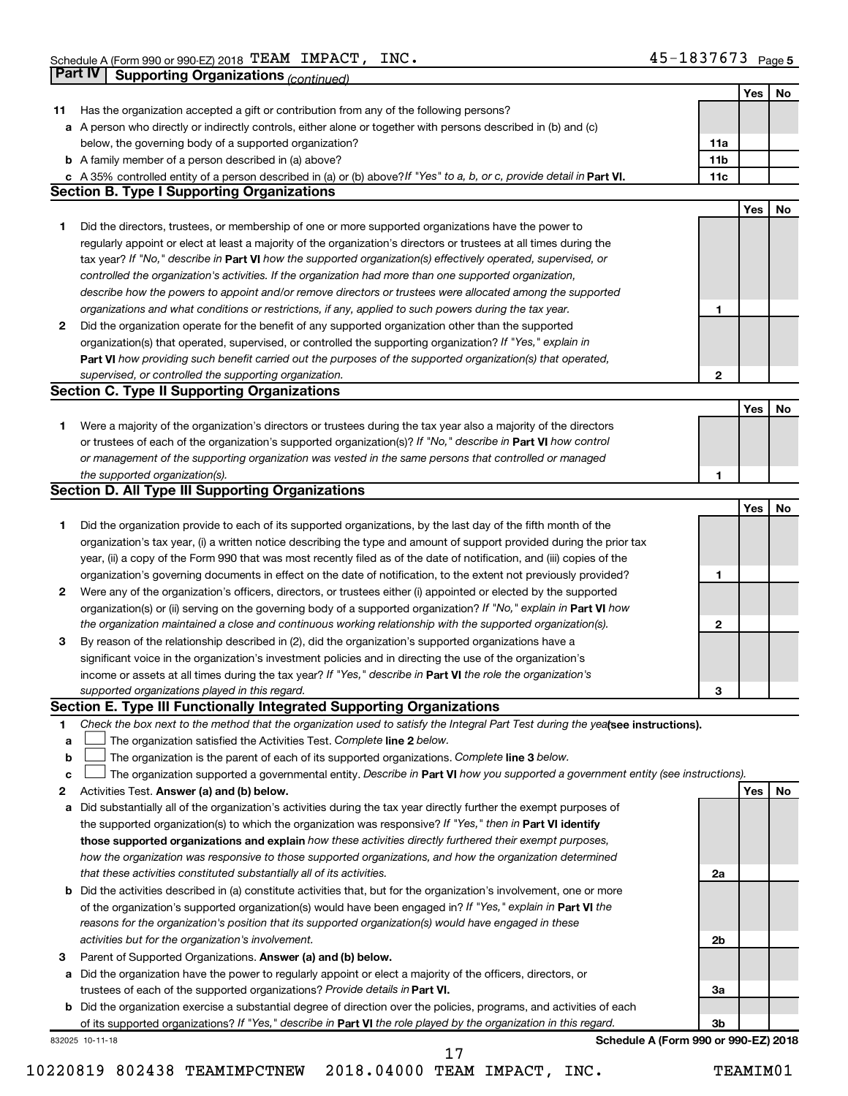|    | Part IV<br><b>Supporting Organizations (continued)</b>                                                                                                                                                                 |                 |            |    |
|----|------------------------------------------------------------------------------------------------------------------------------------------------------------------------------------------------------------------------|-----------------|------------|----|
|    |                                                                                                                                                                                                                        |                 | Yes        | No |
| 11 | Has the organization accepted a gift or contribution from any of the following persons?                                                                                                                                |                 |            |    |
|    | a A person who directly or indirectly controls, either alone or together with persons described in (b) and (c)                                                                                                         |                 |            |    |
|    | below, the governing body of a supported organization?                                                                                                                                                                 | 11a             |            |    |
|    | <b>b</b> A family member of a person described in (a) above?                                                                                                                                                           | 11 <sub>b</sub> |            |    |
|    | c A 35% controlled entity of a person described in (a) or (b) above? If "Yes" to a, b, or c, provide detail in Part VI.                                                                                                | 11c             |            |    |
|    | <b>Section B. Type I Supporting Organizations</b>                                                                                                                                                                      |                 |            |    |
|    |                                                                                                                                                                                                                        |                 | Yes        | No |
| 1  | Did the directors, trustees, or membership of one or more supported organizations have the power to                                                                                                                    |                 |            |    |
|    | regularly appoint or elect at least a majority of the organization's directors or trustees at all times during the                                                                                                     |                 |            |    |
|    | tax year? If "No," describe in Part VI how the supported organization(s) effectively operated, supervised, or                                                                                                          |                 |            |    |
|    | controlled the organization's activities. If the organization had more than one supported organization,                                                                                                                |                 |            |    |
|    | describe how the powers to appoint and/or remove directors or trustees were allocated among the supported                                                                                                              |                 |            |    |
|    | organizations and what conditions or restrictions, if any, applied to such powers during the tax year.                                                                                                                 | 1               |            |    |
| 2  | Did the organization operate for the benefit of any supported organization other than the supported                                                                                                                    |                 |            |    |
|    | organization(s) that operated, supervised, or controlled the supporting organization? If "Yes," explain in                                                                                                             |                 |            |    |
|    | Part VI how providing such benefit carried out the purposes of the supported organization(s) that operated,                                                                                                            |                 |            |    |
|    | supervised, or controlled the supporting organization.                                                                                                                                                                 | $\mathbf{2}$    |            |    |
|    | <b>Section C. Type II Supporting Organizations</b>                                                                                                                                                                     |                 |            |    |
|    |                                                                                                                                                                                                                        |                 | <b>Yes</b> | No |
| 1. | Were a majority of the organization's directors or trustees during the tax year also a majority of the directors                                                                                                       |                 |            |    |
|    | or trustees of each of the organization's supported organization(s)? If "No," describe in Part VI how control                                                                                                          |                 |            |    |
|    | or management of the supporting organization was vested in the same persons that controlled or managed                                                                                                                 |                 |            |    |
|    | the supported organization(s).                                                                                                                                                                                         | 1               |            |    |
|    | <b>Section D. All Type III Supporting Organizations</b>                                                                                                                                                                |                 |            |    |
|    |                                                                                                                                                                                                                        |                 | Yes        | No |
| 1  | Did the organization provide to each of its supported organizations, by the last day of the fifth month of the                                                                                                         |                 |            |    |
|    | organization's tax year, (i) a written notice describing the type and amount of support provided during the prior tax                                                                                                  |                 |            |    |
|    | year, (ii) a copy of the Form 990 that was most recently filed as of the date of notification, and (iii) copies of the                                                                                                 |                 |            |    |
|    | organization's governing documents in effect on the date of notification, to the extent not previously provided?                                                                                                       | 1               |            |    |
| 2  | Were any of the organization's officers, directors, or trustees either (i) appointed or elected by the supported                                                                                                       |                 |            |    |
|    | organization(s) or (ii) serving on the governing body of a supported organization? If "No," explain in Part VI how                                                                                                     |                 |            |    |
|    | the organization maintained a close and continuous working relationship with the supported organization(s).                                                                                                            | $\mathbf{2}$    |            |    |
| 3  | By reason of the relationship described in (2), did the organization's supported organizations have a                                                                                                                  |                 |            |    |
|    | significant voice in the organization's investment policies and in directing the use of the organization's                                                                                                             |                 |            |    |
|    | income or assets at all times during the tax year? If "Yes," describe in Part VI the role the organization's                                                                                                           |                 |            |    |
|    | supported organizations played in this regard.                                                                                                                                                                         | з               |            |    |
|    | Section E. Type III Functionally Integrated Supporting Organizations                                                                                                                                                   |                 |            |    |
| 1  | Check the box next to the method that the organization used to satisfy the Integral Part Test during the yealsee instructions).                                                                                        |                 |            |    |
| a  | The organization satisfied the Activities Test. Complete line 2 below.                                                                                                                                                 |                 |            |    |
| b  | The organization is the parent of each of its supported organizations. Complete line 3 below.                                                                                                                          |                 |            |    |
| c  | The organization supported a governmental entity. Describe in Part VI how you supported a government entity (see instructions).                                                                                        |                 |            |    |
| 2  | Activities Test. Answer (a) and (b) below.                                                                                                                                                                             |                 | Yes        | No |
| а  | Did substantially all of the organization's activities during the tax year directly further the exempt purposes of                                                                                                     |                 |            |    |
|    | the supported organization(s) to which the organization was responsive? If "Yes," then in Part VI identify<br>those supported organizations and explain how these activities directly furthered their exempt purposes, |                 |            |    |
|    | how the organization was responsive to those supported organizations, and how the organization determined                                                                                                              |                 |            |    |
|    | that these activities constituted substantially all of its activities.                                                                                                                                                 | 2a              |            |    |
| b  | Did the activities described in (a) constitute activities that, but for the organization's involvement, one or more                                                                                                    |                 |            |    |
|    | of the organization's supported organization(s) would have been engaged in? If "Yes," explain in Part VI the                                                                                                           |                 |            |    |
|    | reasons for the organization's position that its supported organization(s) would have engaged in these                                                                                                                 |                 |            |    |
|    | activities but for the organization's involvement.                                                                                                                                                                     | 2b              |            |    |
| 3  | Parent of Supported Organizations. Answer (a) and (b) below.                                                                                                                                                           |                 |            |    |
| а  | Did the organization have the power to regularly appoint or elect a majority of the officers, directors, or                                                                                                            |                 |            |    |
|    | trustees of each of the supported organizations? Provide details in Part VI.                                                                                                                                           | За              |            |    |
|    | <b>b</b> Did the organization exercise a substantial degree of direction over the policies, programs, and activities of each                                                                                           |                 |            |    |
|    | of its supported organizations? If "Yes," describe in Part VI the role played by the organization in this regard.                                                                                                      | 3b              |            |    |
|    | Schedule A (Form 990 or 990-EZ) 2018<br>832025 10-11-18                                                                                                                                                                |                 |            |    |
|    | 17                                                                                                                                                                                                                     |                 |            |    |

10220819 802438 TEAMIMPCTNEW 2018.04000 TEAM IMPACT, INC. TEAMIM01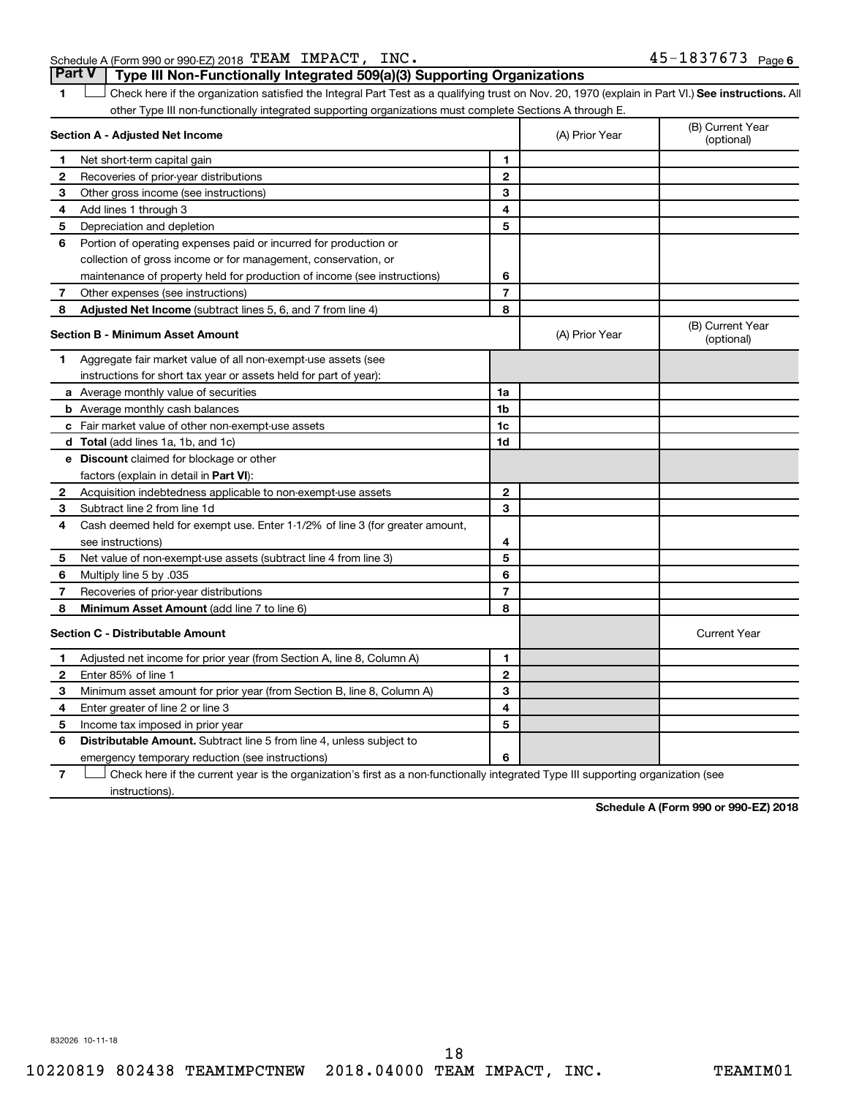#### Schedule A (Form 990 or 990-EZ) 2018  $\texttt{TEAM}$   $\texttt{IMPACT}$ ,  $\texttt{INC.}$   $\texttt{45-1837673}$   $\texttt{Page}$

1 **Letter See instructions.** All Check here if the organization satisfied the Integral Part Test as a qualifying trust on Nov. 20, 1970 (explain in Part VI.) See instructions. All other Type III non-functionally integrated supporting organizations must complete Sections A through E. **Part V Type III Non-Functionally Integrated 509(a)(3) Supporting Organizations** 

|              | Section A - Adjusted Net Income                                              |                | (A) Prior Year | (B) Current Year<br>(optional) |
|--------------|------------------------------------------------------------------------------|----------------|----------------|--------------------------------|
| 1.           | Net short-term capital gain                                                  | 1              |                |                                |
| 2            | Recoveries of prior-year distributions                                       | $\overline{2}$ |                |                                |
| з            | Other gross income (see instructions)                                        | 3              |                |                                |
| 4            | Add lines 1 through 3                                                        | 4              |                |                                |
| 5            | Depreciation and depletion                                                   | 5              |                |                                |
| 6            | Portion of operating expenses paid or incurred for production or             |                |                |                                |
|              | collection of gross income or for management, conservation, or               |                |                |                                |
|              | maintenance of property held for production of income (see instructions)     | 6              |                |                                |
| 7            | Other expenses (see instructions)                                            | $\overline{7}$ |                |                                |
| 8            | Adjusted Net Income (subtract lines 5, 6, and 7 from line 4)                 | 8              |                |                                |
|              | <b>Section B - Minimum Asset Amount</b>                                      |                | (A) Prior Year | (B) Current Year<br>(optional) |
| 1.           | Aggregate fair market value of all non-exempt-use assets (see                |                |                |                                |
|              | instructions for short tax year or assets held for part of year):            |                |                |                                |
|              | a Average monthly value of securities                                        | 1a             |                |                                |
|              | <b>b</b> Average monthly cash balances                                       | 1 <sub>b</sub> |                |                                |
|              | c Fair market value of other non-exempt-use assets                           | 1c             |                |                                |
|              | <b>d</b> Total (add lines 1a, 1b, and 1c)                                    | 1d             |                |                                |
|              | e Discount claimed for blockage or other                                     |                |                |                                |
|              | factors (explain in detail in <b>Part VI</b> ):                              |                |                |                                |
| 2            | Acquisition indebtedness applicable to non-exempt-use assets                 | $\mathbf{2}$   |                |                                |
| З            | Subtract line 2 from line 1d                                                 | 3              |                |                                |
| 4            | Cash deemed held for exempt use. Enter 1-1/2% of line 3 (for greater amount, |                |                |                                |
|              | see instructions)                                                            | 4              |                |                                |
| 5            | Net value of non-exempt-use assets (subtract line 4 from line 3)             | 5              |                |                                |
| 6            | Multiply line 5 by .035                                                      | 6              |                |                                |
| 7            | Recoveries of prior-year distributions                                       | $\overline{7}$ |                |                                |
| 8            | Minimum Asset Amount (add line 7 to line 6)                                  | 8              |                |                                |
|              | <b>Section C - Distributable Amount</b>                                      |                |                | <b>Current Year</b>            |
| 1            | Adjusted net income for prior year (from Section A, line 8, Column A)        | 1              |                |                                |
| $\mathbf{2}$ | Enter 85% of line 1                                                          | $\mathbf{2}$   |                |                                |
| з            | Minimum asset amount for prior year (from Section B, line 8, Column A)       | 3              |                |                                |
| 4            | Enter greater of line 2 or line 3                                            | 4              |                |                                |
| 5            | Income tax imposed in prior year                                             | 5              |                |                                |
| 6            | Distributable Amount. Subtract line 5 from line 4, unless subject to         |                |                |                                |
|              | emergency temporary reduction (see instructions)                             | 6              |                |                                |
|              |                                                                              |                |                |                                |

**7** Check here if the current year is the organization's first as a non-functionally integrated Type III supporting organization (see † instructions).

**Schedule A (Form 990 or 990-EZ) 2018**

832026 10-11-18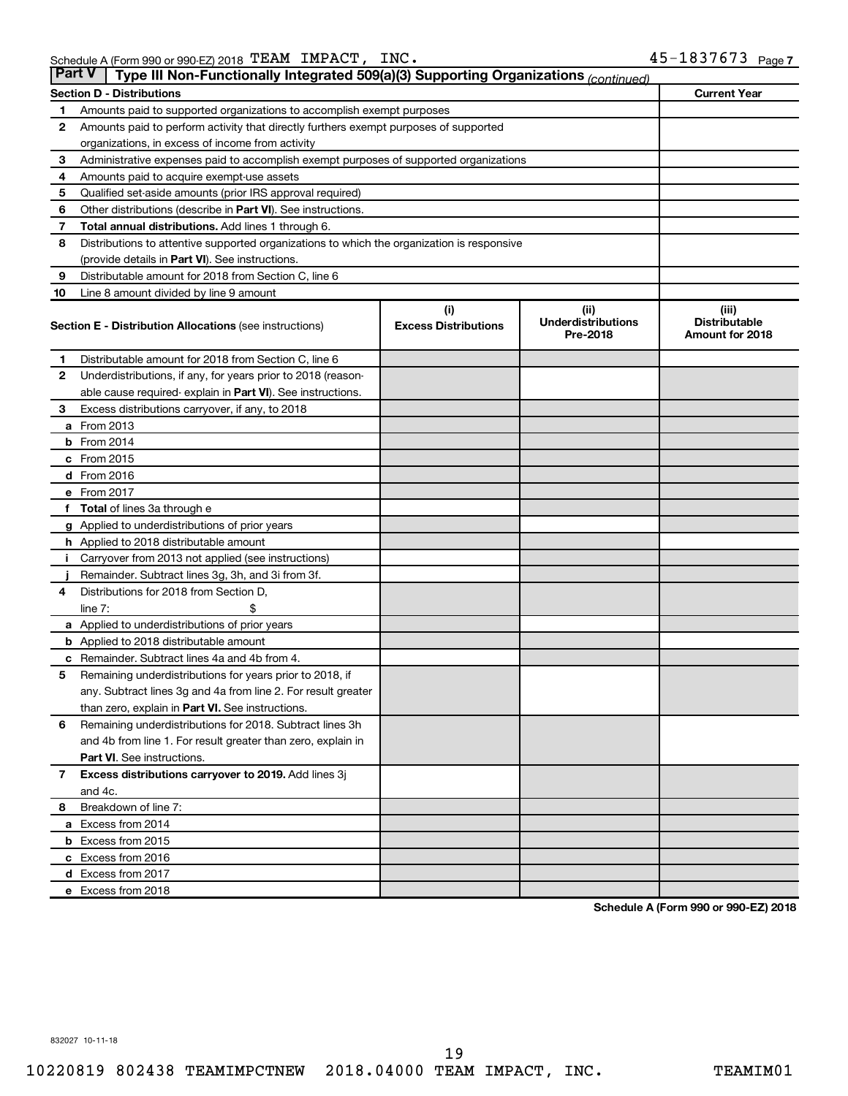| <b>Part V</b> | Type III Non-Functionally Integrated 509(a)(3) Supporting Organizations (continued)        |                             |                                       |                                                |
|---------------|--------------------------------------------------------------------------------------------|-----------------------------|---------------------------------------|------------------------------------------------|
|               | <b>Section D - Distributions</b>                                                           |                             |                                       | <b>Current Year</b>                            |
| 1             | Amounts paid to supported organizations to accomplish exempt purposes                      |                             |                                       |                                                |
| 2             | Amounts paid to perform activity that directly furthers exempt purposes of supported       |                             |                                       |                                                |
|               | organizations, in excess of income from activity                                           |                             |                                       |                                                |
| 3             | Administrative expenses paid to accomplish exempt purposes of supported organizations      |                             |                                       |                                                |
| 4             | Amounts paid to acquire exempt-use assets                                                  |                             |                                       |                                                |
| 5             | Qualified set-aside amounts (prior IRS approval required)                                  |                             |                                       |                                                |
| 6             | Other distributions (describe in <b>Part VI</b> ). See instructions.                       |                             |                                       |                                                |
| 7             | <b>Total annual distributions.</b> Add lines 1 through 6.                                  |                             |                                       |                                                |
| 8             | Distributions to attentive supported organizations to which the organization is responsive |                             |                                       |                                                |
|               | (provide details in Part VI). See instructions.                                            |                             |                                       |                                                |
| 9             | Distributable amount for 2018 from Section C, line 6                                       |                             |                                       |                                                |
| 10            | Line 8 amount divided by line 9 amount                                                     |                             |                                       |                                                |
|               |                                                                                            | (i)                         | (iii)                                 | (iii)                                          |
|               | <b>Section E - Distribution Allocations (see instructions)</b>                             | <b>Excess Distributions</b> | <b>Underdistributions</b><br>Pre-2018 | <b>Distributable</b><br><b>Amount for 2018</b> |
| 1             | Distributable amount for 2018 from Section C, line 6                                       |                             |                                       |                                                |
| 2             | Underdistributions, if any, for years prior to 2018 (reason-                               |                             |                                       |                                                |
|               | able cause required- explain in Part VI). See instructions.                                |                             |                                       |                                                |
| 3             | Excess distributions carryover, if any, to 2018                                            |                             |                                       |                                                |
|               | <b>a</b> From 2013                                                                         |                             |                                       |                                                |
|               | $b$ From 2014                                                                              |                             |                                       |                                                |
|               | c From 2015                                                                                |                             |                                       |                                                |
|               | d From 2016                                                                                |                             |                                       |                                                |
|               | e From 2017                                                                                |                             |                                       |                                                |
| f             | <b>Total</b> of lines 3a through e                                                         |                             |                                       |                                                |
|               | <b>g</b> Applied to underdistributions of prior years                                      |                             |                                       |                                                |
|               | <b>h</b> Applied to 2018 distributable amount                                              |                             |                                       |                                                |
|               | Carryover from 2013 not applied (see instructions)                                         |                             |                                       |                                                |
|               | Remainder. Subtract lines 3g, 3h, and 3i from 3f.                                          |                             |                                       |                                                |
| 4             | Distributions for 2018 from Section D,                                                     |                             |                                       |                                                |
|               | line $7:$                                                                                  |                             |                                       |                                                |
|               | a Applied to underdistributions of prior years                                             |                             |                                       |                                                |
|               | <b>b</b> Applied to 2018 distributable amount                                              |                             |                                       |                                                |
| с             | Remainder. Subtract lines 4a and 4b from 4.                                                |                             |                                       |                                                |
| 5             | Remaining underdistributions for years prior to 2018, if                                   |                             |                                       |                                                |
|               | any. Subtract lines 3g and 4a from line 2. For result greater                              |                             |                                       |                                                |
|               | than zero, explain in Part VI. See instructions.                                           |                             |                                       |                                                |
| 6             | Remaining underdistributions for 2018. Subtract lines 3h                                   |                             |                                       |                                                |
|               | and 4b from line 1. For result greater than zero, explain in                               |                             |                                       |                                                |
|               | <b>Part VI.</b> See instructions.                                                          |                             |                                       |                                                |
| $\mathbf{7}$  | Excess distributions carryover to 2019. Add lines 3j                                       |                             |                                       |                                                |
|               | and 4c.                                                                                    |                             |                                       |                                                |
| 8             | Breakdown of line 7:                                                                       |                             |                                       |                                                |
|               | a Excess from 2014                                                                         |                             |                                       |                                                |
|               | <b>b</b> Excess from 2015                                                                  |                             |                                       |                                                |
|               | c Excess from 2016                                                                         |                             |                                       |                                                |
|               | d Excess from 2017                                                                         |                             |                                       |                                                |
|               | e Excess from 2018                                                                         |                             |                                       |                                                |

**Schedule A (Form 990 or 990-EZ) 2018**

832027 10-11-18

10220819 802438 TEAMIMPCTNEW 2018.04000 TEAM IMPACT, INC. TEAMIM01 19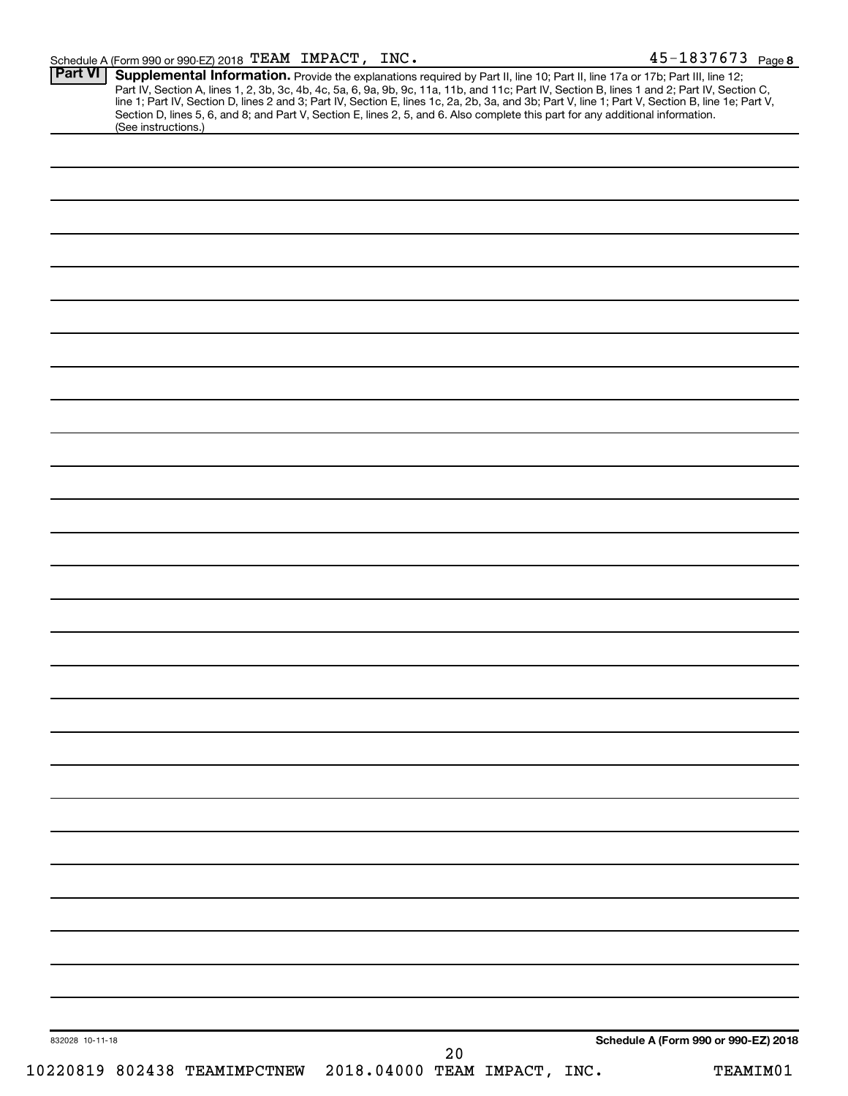| <b>Part VI</b>  | (See instructions.) | <b>Supplemental Information.</b> Provide the explanations required by Part II, line 10; Part II, line 17a or 17b; Part III, line 12;<br>Part IV, Section A, lines 1, 2, 3b, 3c, 4b, 4c, 5a, 6, 9a, 9b, 9c, 11a, 11b, and 11c; Part IV,<br>Section D, lines 5, 6, and 8; and Part V, Section E, lines 2, 5, and 6. Also complete this part for any additional information. |  |    |  |                                      |  |
|-----------------|---------------------|---------------------------------------------------------------------------------------------------------------------------------------------------------------------------------------------------------------------------------------------------------------------------------------------------------------------------------------------------------------------------|--|----|--|--------------------------------------|--|
|                 |                     |                                                                                                                                                                                                                                                                                                                                                                           |  |    |  |                                      |  |
|                 |                     |                                                                                                                                                                                                                                                                                                                                                                           |  |    |  |                                      |  |
|                 |                     |                                                                                                                                                                                                                                                                                                                                                                           |  |    |  |                                      |  |
|                 |                     |                                                                                                                                                                                                                                                                                                                                                                           |  |    |  |                                      |  |
|                 |                     |                                                                                                                                                                                                                                                                                                                                                                           |  |    |  |                                      |  |
|                 |                     |                                                                                                                                                                                                                                                                                                                                                                           |  |    |  |                                      |  |
|                 |                     |                                                                                                                                                                                                                                                                                                                                                                           |  |    |  |                                      |  |
|                 |                     |                                                                                                                                                                                                                                                                                                                                                                           |  |    |  |                                      |  |
|                 |                     |                                                                                                                                                                                                                                                                                                                                                                           |  |    |  |                                      |  |
|                 |                     |                                                                                                                                                                                                                                                                                                                                                                           |  |    |  |                                      |  |
|                 |                     |                                                                                                                                                                                                                                                                                                                                                                           |  |    |  |                                      |  |
|                 |                     |                                                                                                                                                                                                                                                                                                                                                                           |  |    |  |                                      |  |
|                 |                     |                                                                                                                                                                                                                                                                                                                                                                           |  |    |  |                                      |  |
|                 |                     |                                                                                                                                                                                                                                                                                                                                                                           |  |    |  |                                      |  |
|                 |                     |                                                                                                                                                                                                                                                                                                                                                                           |  |    |  |                                      |  |
|                 |                     |                                                                                                                                                                                                                                                                                                                                                                           |  |    |  |                                      |  |
|                 |                     |                                                                                                                                                                                                                                                                                                                                                                           |  |    |  |                                      |  |
|                 |                     |                                                                                                                                                                                                                                                                                                                                                                           |  |    |  |                                      |  |
|                 |                     |                                                                                                                                                                                                                                                                                                                                                                           |  |    |  |                                      |  |
|                 |                     |                                                                                                                                                                                                                                                                                                                                                                           |  |    |  |                                      |  |
|                 |                     |                                                                                                                                                                                                                                                                                                                                                                           |  |    |  |                                      |  |
|                 |                     |                                                                                                                                                                                                                                                                                                                                                                           |  |    |  |                                      |  |
|                 |                     |                                                                                                                                                                                                                                                                                                                                                                           |  |    |  |                                      |  |
|                 |                     |                                                                                                                                                                                                                                                                                                                                                                           |  |    |  |                                      |  |
|                 |                     |                                                                                                                                                                                                                                                                                                                                                                           |  |    |  |                                      |  |
|                 |                     |                                                                                                                                                                                                                                                                                                                                                                           |  |    |  |                                      |  |
|                 |                     |                                                                                                                                                                                                                                                                                                                                                                           |  |    |  |                                      |  |
|                 |                     |                                                                                                                                                                                                                                                                                                                                                                           |  |    |  |                                      |  |
|                 |                     |                                                                                                                                                                                                                                                                                                                                                                           |  |    |  |                                      |  |
|                 |                     |                                                                                                                                                                                                                                                                                                                                                                           |  |    |  |                                      |  |
|                 |                     |                                                                                                                                                                                                                                                                                                                                                                           |  |    |  |                                      |  |
|                 |                     |                                                                                                                                                                                                                                                                                                                                                                           |  |    |  |                                      |  |
|                 |                     |                                                                                                                                                                                                                                                                                                                                                                           |  |    |  |                                      |  |
|                 |                     |                                                                                                                                                                                                                                                                                                                                                                           |  |    |  |                                      |  |
|                 |                     |                                                                                                                                                                                                                                                                                                                                                                           |  |    |  |                                      |  |
| 832028 10-11-18 |                     |                                                                                                                                                                                                                                                                                                                                                                           |  |    |  | Schedule A (Form 990 or 990-EZ) 2018 |  |
|                 |                     |                                                                                                                                                                                                                                                                                                                                                                           |  | 20 |  |                                      |  |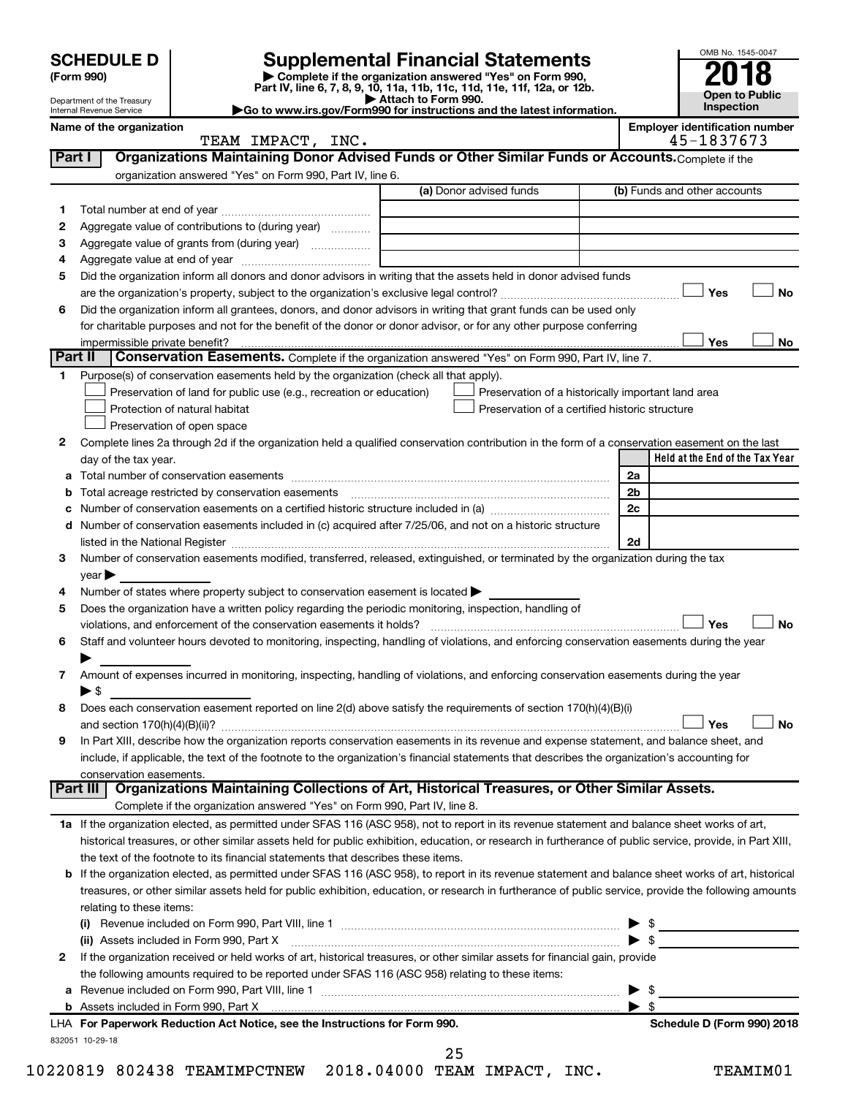| <b>HEDULE D</b> |  |
|-----------------|--|
| <b>AAA</b>      |  |

# **SCHEDULE D Supplemental Financial Statements**<br> **Form 990 2018**<br> **Part IV** line 6.7.8.9.10, 11a, 11b, 11d, 11d, 11d, 11d, 11d, 12a, 0r, 12b

**(Form 990) | Complete if the organization answered "Yes" on Form 990, Part IV, line 6, 7, 8, 9, 10, 11a, 11b, 11c, 11d, 11e, 11f, 12a, or 12b.**



832051 10-29-18

| Department of the Treasury<br>Internal Revenue Service |                                |                                                                                                        | Attach to Form 990.<br>Go to www.irs.gov/Form990 for instructions and the latest information.                                                  |                | Open to Public<br>Inspection                        |
|--------------------------------------------------------|--------------------------------|--------------------------------------------------------------------------------------------------------|------------------------------------------------------------------------------------------------------------------------------------------------|----------------|-----------------------------------------------------|
|                                                        | Name of the organization       | TEAM IMPACT, INC.                                                                                      |                                                                                                                                                |                | <b>Employer identification number</b><br>45-1837673 |
| Part I                                                 |                                |                                                                                                        | Organizations Maintaining Donor Advised Funds or Other Similar Funds or Accounts. Complete if the                                              |                |                                                     |
|                                                        |                                | organization answered "Yes" on Form 990, Part IV, line 6.                                              |                                                                                                                                                |                |                                                     |
|                                                        |                                |                                                                                                        | (a) Donor advised funds                                                                                                                        |                | (b) Funds and other accounts                        |
| 1.                                                     |                                |                                                                                                        |                                                                                                                                                |                |                                                     |
| 2                                                      |                                | Aggregate value of contributions to (during year)                                                      |                                                                                                                                                |                |                                                     |
| 3                                                      |                                |                                                                                                        |                                                                                                                                                |                |                                                     |
| 4                                                      |                                |                                                                                                        |                                                                                                                                                |                |                                                     |
| 5                                                      |                                |                                                                                                        | Did the organization inform all donors and donor advisors in writing that the assets held in donor advised funds                               |                |                                                     |
|                                                        |                                |                                                                                                        |                                                                                                                                                |                | Yes<br><b>No</b>                                    |
| 6                                                      |                                |                                                                                                        | Did the organization inform all grantees, donors, and donor advisors in writing that grant funds can be used only                              |                |                                                     |
|                                                        |                                |                                                                                                        | for charitable purposes and not for the benefit of the donor or donor advisor, or for any other purpose conferring                             |                |                                                     |
|                                                        | impermissible private benefit? |                                                                                                        |                                                                                                                                                |                | Yes<br>No                                           |
|                                                        | Part II                        |                                                                                                        | Conservation Easements. Complete if the organization answered "Yes" on Form 990, Part IV, line 7.                                              |                |                                                     |
| 1                                                      |                                | Purpose(s) of conservation easements held by the organization (check all that apply).                  |                                                                                                                                                |                |                                                     |
|                                                        |                                | Preservation of land for public use (e.g., recreation or education)                                    | Preservation of a historically important land area                                                                                             |                |                                                     |
|                                                        |                                | Protection of natural habitat                                                                          | Preservation of a certified historic structure                                                                                                 |                |                                                     |
|                                                        |                                | Preservation of open space                                                                             |                                                                                                                                                |                |                                                     |
| 2                                                      |                                |                                                                                                        | Complete lines 2a through 2d if the organization held a qualified conservation contribution in the form of a conservation easement on the last |                |                                                     |
|                                                        | day of the tax year.           |                                                                                                        |                                                                                                                                                |                | Held at the End of the Tax Year                     |
| a                                                      |                                |                                                                                                        |                                                                                                                                                | 2a             |                                                     |
|                                                        |                                |                                                                                                        |                                                                                                                                                | 2 <sub>b</sub> |                                                     |
| с                                                      |                                |                                                                                                        |                                                                                                                                                | 2c             |                                                     |
|                                                        |                                |                                                                                                        | d Number of conservation easements included in (c) acquired after 7/25/06, and not on a historic structure                                     |                |                                                     |
|                                                        |                                |                                                                                                        |                                                                                                                                                | 2d             |                                                     |
| 3                                                      |                                |                                                                                                        | Number of conservation easements modified, transferred, released, extinguished, or terminated by the organization during the tax               |                |                                                     |
|                                                        | $year \triangleright$          |                                                                                                        |                                                                                                                                                |                |                                                     |
| 4                                                      |                                | Number of states where property subject to conservation easement is located $\blacktriangleright$      |                                                                                                                                                |                |                                                     |
| 5                                                      |                                | Does the organization have a written policy regarding the periodic monitoring, inspection, handling of |                                                                                                                                                |                |                                                     |
|                                                        |                                |                                                                                                        |                                                                                                                                                |                | Yes<br><b>No</b>                                    |
| 6                                                      |                                |                                                                                                        | Staff and volunteer hours devoted to monitoring, inspecting, handling of violations, and enforcing conservation easements during the year      |                |                                                     |
|                                                        |                                |                                                                                                        |                                                                                                                                                |                |                                                     |
| $\mathbf{7}$                                           |                                |                                                                                                        | Amount of expenses incurred in monitoring, inspecting, handling of violations, and enforcing conservation easements during the year            |                |                                                     |
|                                                        | $\blacktriangleright$ \$       |                                                                                                        |                                                                                                                                                |                |                                                     |
| 8                                                      |                                |                                                                                                        | Does each conservation easement reported on line 2(d) above satisfy the requirements of section 170(h)(4)(B)(i)                                |                |                                                     |
|                                                        |                                |                                                                                                        |                                                                                                                                                |                | <b>No</b><br>Yes                                    |
| 9                                                      |                                |                                                                                                        | In Part XIII, describe how the organization reports conservation easements in its revenue and expense statement, and balance sheet, and        |                |                                                     |
|                                                        |                                |                                                                                                        | include, if applicable, the text of the footnote to the organization's financial statements that describes the organization's accounting for   |                |                                                     |
|                                                        | conservation easements.        |                                                                                                        |                                                                                                                                                |                |                                                     |
|                                                        |                                | Complete if the organization answered "Yes" on Form 990, Part IV, line 8.                              | Part III   Organizations Maintaining Collections of Art, Historical Treasures, or Other Similar Assets.                                        |                |                                                     |
|                                                        |                                |                                                                                                        |                                                                                                                                                |                |                                                     |

**1 a** If the organization elected, as permitted under SFAS 116 (ASC 958), not to report in its revenue statement and balance sheet works of art, historical treasures, or other similar assets held for public exhibition, education, or research in furtherance of public service, provide, in Part XIII, the text of the footnote to its financial statements that describes these items.

| <b>b</b> If the organization elected, as permitted under SFAS 116 (ASC 958), to report in its revenue statement and balance sheet works of art, historical |
|------------------------------------------------------------------------------------------------------------------------------------------------------------|
| treasures, or other similar assets held for public exhibition, education, or research in furtherance of public service, provide the following amounts      |
| relating to these items:                                                                                                                                   |

|   | LHA For Paperwork Reduction Act Notice, see the Instructions for Form 990.                                                                                                                                                     | Schedule D (Form 990) 2018 |
|---|--------------------------------------------------------------------------------------------------------------------------------------------------------------------------------------------------------------------------------|----------------------------|
|   |                                                                                                                                                                                                                                |                            |
|   | a Revenue included on Form 990, Part VIII, line 1 $\ldots$ $\ldots$ $\ldots$ $\ldots$ $\ldots$ $\ldots$ $\ldots$ $\ldots$ $\ldots$ $\ldots$ $\ldots$ $\ldots$ $\ldots$                                                         |                            |
|   | the following amounts required to be reported under SFAS 116 (ASC 958) relating to these items:                                                                                                                                |                            |
| 2 | If the organization received or held works of art, historical treasures, or other similar assets for financial gain, provide                                                                                                   |                            |
|   | (ii) Assets included in Form 990, Part X [11] manufactured in Form 990, Part X [11] manufactured in Form 990, Part X [11] manufactured in Form 990, Part X [11] manufactured in Form 390, Part X [11] manufactured in Form 390 |                            |
|   | (i) Revenue included on Form 990, Part VIII, line 1                                                                                                                                                                            |                            |

25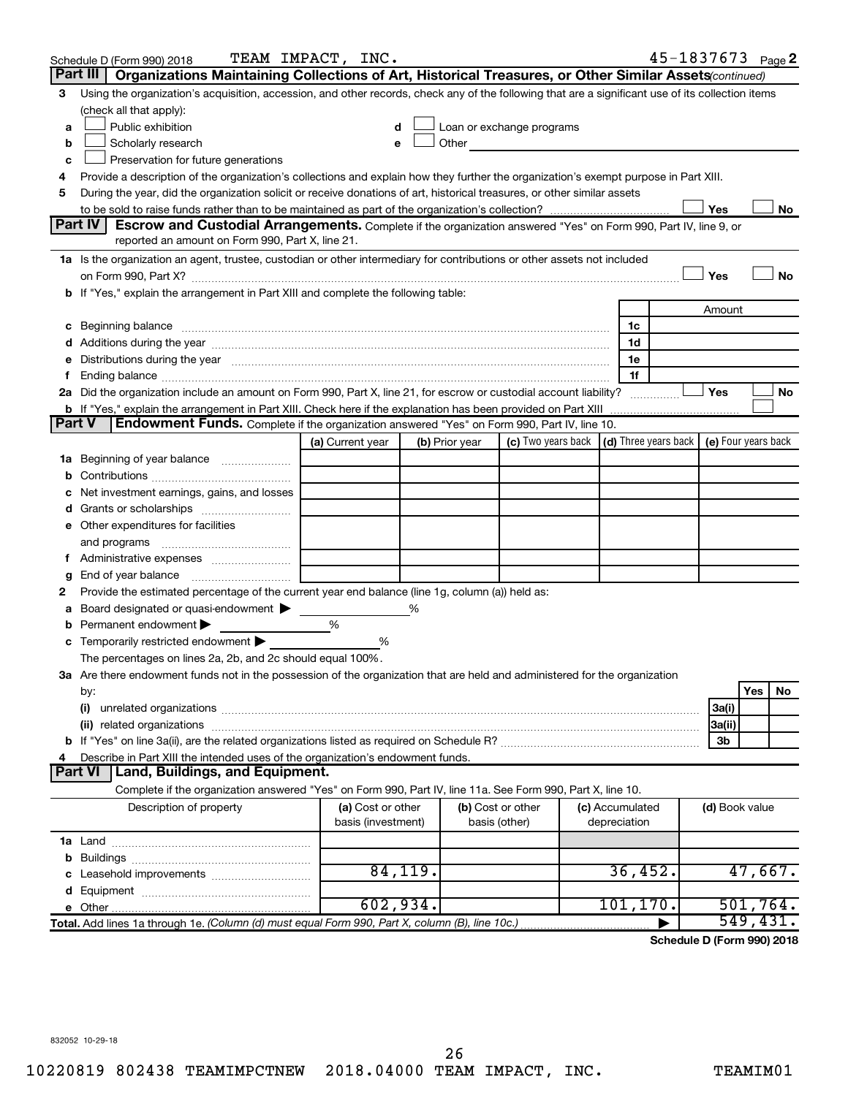|   | Schedule D (Form 990) 2018                                                                                                                                                                                                          | TEAM IMPACT, INC.                       |                |                                                                                                                                                                                                                                |                                 | $45 - 1837673$ Page 2             |           |    |
|---|-------------------------------------------------------------------------------------------------------------------------------------------------------------------------------------------------------------------------------------|-----------------------------------------|----------------|--------------------------------------------------------------------------------------------------------------------------------------------------------------------------------------------------------------------------------|---------------------------------|-----------------------------------|-----------|----|
|   | Organizations Maintaining Collections of Art, Historical Treasures, or Other Similar Assets(continued)<br>Part III                                                                                                                  |                                         |                |                                                                                                                                                                                                                                |                                 |                                   |           |    |
| 3 | Using the organization's acquisition, accession, and other records, check any of the following that are a significant use of its collection items                                                                                   |                                         |                |                                                                                                                                                                                                                                |                                 |                                   |           |    |
|   | (check all that apply):                                                                                                                                                                                                             |                                         |                |                                                                                                                                                                                                                                |                                 |                                   |           |    |
| a | Public exhibition                                                                                                                                                                                                                   |                                         |                | Loan or exchange programs                                                                                                                                                                                                      |                                 |                                   |           |    |
| b | Scholarly research                                                                                                                                                                                                                  |                                         |                | Other and the control of the control of the control of the control of the control of the control of the control of the control of the control of the control of the control of the control of the control of the control of th |                                 |                                   |           |    |
| с | Preservation for future generations                                                                                                                                                                                                 |                                         |                |                                                                                                                                                                                                                                |                                 |                                   |           |    |
| 4 | Provide a description of the organization's collections and explain how they further the organization's exempt purpose in Part XIII.                                                                                                |                                         |                |                                                                                                                                                                                                                                |                                 |                                   |           |    |
| 5 | During the year, did the organization solicit or receive donations of art, historical treasures, or other similar assets                                                                                                            |                                         |                |                                                                                                                                                                                                                                |                                 |                                   |           |    |
|   |                                                                                                                                                                                                                                     |                                         |                |                                                                                                                                                                                                                                |                                 | Yes                               |           | No |
|   | Part IV<br><b>Escrow and Custodial Arrangements.</b> Complete if the organization answered "Yes" on Form 990, Part IV, line 9, or                                                                                                   |                                         |                |                                                                                                                                                                                                                                |                                 |                                   |           |    |
|   | reported an amount on Form 990, Part X, line 21.                                                                                                                                                                                    |                                         |                |                                                                                                                                                                                                                                |                                 |                                   |           |    |
|   | 1a Is the organization an agent, trustee, custodian or other intermediary for contributions or other assets not included                                                                                                            |                                         |                |                                                                                                                                                                                                                                |                                 |                                   |           |    |
|   | on Form 990, Part X? [11] matter contracts and contracts and contracts are contracted and contracts are contracted and contract of the set of the set of the set of the set of the set of the set of the set of the set of the      |                                         |                |                                                                                                                                                                                                                                |                                 | Yes                               |           | No |
|   | b If "Yes," explain the arrangement in Part XIII and complete the following table:                                                                                                                                                  |                                         |                |                                                                                                                                                                                                                                |                                 |                                   |           |    |
|   |                                                                                                                                                                                                                                     |                                         |                |                                                                                                                                                                                                                                |                                 | Amount                            |           |    |
|   | c Beginning balance <b>communications</b> and the contract of the contract of the contract of the contract of the contract of the contract of the contract of the contract of the contract of the contract of the contract of the c |                                         |                |                                                                                                                                                                                                                                | 1c                              |                                   |           |    |
|   | d Additions during the year manufactured and an account of a distribution of Additions during the year manufactured and account of Additions during the year manufactured and account of the state of Additional Additions of       |                                         |                |                                                                                                                                                                                                                                | 1d                              |                                   |           |    |
|   | e Distributions during the year measurement contained and all the control of the set of the set of the set of the set of the set of the set of the set of the set of the set of the set of the set of the set of the set of th      |                                         |                |                                                                                                                                                                                                                                | 1e<br>1f                        |                                   |           |    |
|   | 2a Did the organization include an amount on Form 990, Part X, line 21, for escrow or custodial account liability?                                                                                                                  |                                         |                |                                                                                                                                                                                                                                |                                 | Yes                               |           | No |
|   |                                                                                                                                                                                                                                     |                                         |                |                                                                                                                                                                                                                                |                                 |                                   |           |    |
|   | Endowment Funds. Complete if the organization answered "Yes" on Form 990, Part IV, line 10.<br><b>Part V</b>                                                                                                                        |                                         |                |                                                                                                                                                                                                                                |                                 |                                   |           |    |
|   |                                                                                                                                                                                                                                     | (a) Current year                        | (b) Prior year | (c) Two years back $\vert$ (d) Three years back $\vert$ (e) Four years back                                                                                                                                                    |                                 |                                   |           |    |
|   | 1a Beginning of year balance                                                                                                                                                                                                        |                                         |                |                                                                                                                                                                                                                                |                                 |                                   |           |    |
| b |                                                                                                                                                                                                                                     |                                         |                |                                                                                                                                                                                                                                |                                 |                                   |           |    |
|   | Net investment earnings, gains, and losses                                                                                                                                                                                          |                                         |                |                                                                                                                                                                                                                                |                                 |                                   |           |    |
|   |                                                                                                                                                                                                                                     |                                         |                |                                                                                                                                                                                                                                |                                 |                                   |           |    |
|   | e Other expenditures for facilities                                                                                                                                                                                                 |                                         |                |                                                                                                                                                                                                                                |                                 |                                   |           |    |
|   |                                                                                                                                                                                                                                     |                                         |                |                                                                                                                                                                                                                                |                                 |                                   |           |    |
|   | f Administrative expenses                                                                                                                                                                                                           |                                         |                |                                                                                                                                                                                                                                |                                 |                                   |           |    |
| g |                                                                                                                                                                                                                                     |                                         |                |                                                                                                                                                                                                                                |                                 |                                   |           |    |
| 2 | Provide the estimated percentage of the current year end balance (line 1g, column (a)) held as:                                                                                                                                     |                                         |                |                                                                                                                                                                                                                                |                                 |                                   |           |    |
| а | Board designated or quasi-endowment >                                                                                                                                                                                               |                                         | %              |                                                                                                                                                                                                                                |                                 |                                   |           |    |
|   | <b>b</b> Permanent endowment $\blacktriangleright$                                                                                                                                                                                  | %                                       |                |                                                                                                                                                                                                                                |                                 |                                   |           |    |
|   | c Temporarily restricted endowment $\blacktriangleright$                                                                                                                                                                            | %                                       |                |                                                                                                                                                                                                                                |                                 |                                   |           |    |
|   | The percentages on lines 2a, 2b, and 2c should equal 100%.                                                                                                                                                                          |                                         |                |                                                                                                                                                                                                                                |                                 |                                   |           |    |
|   | 3a Are there endowment funds not in the possession of the organization that are held and administered for the organization                                                                                                          |                                         |                |                                                                                                                                                                                                                                |                                 |                                   |           |    |
|   | by:                                                                                                                                                                                                                                 |                                         |                |                                                                                                                                                                                                                                |                                 |                                   | Yes       | No |
|   | (i)                                                                                                                                                                                                                                 |                                         |                |                                                                                                                                                                                                                                |                                 | 3a(i)                             |           |    |
|   |                                                                                                                                                                                                                                     |                                         |                |                                                                                                                                                                                                                                |                                 | 3a(ii)                            |           |    |
|   |                                                                                                                                                                                                                                     |                                         |                |                                                                                                                                                                                                                                |                                 | Зb                                |           |    |
| 4 | Describe in Part XIII the intended uses of the organization's endowment funds.                                                                                                                                                      |                                         |                |                                                                                                                                                                                                                                |                                 |                                   |           |    |
|   | Land, Buildings, and Equipment.<br><b>Part VI</b>                                                                                                                                                                                   |                                         |                |                                                                                                                                                                                                                                |                                 |                                   |           |    |
|   | Complete if the organization answered "Yes" on Form 990, Part IV, line 11a. See Form 990, Part X, line 10.                                                                                                                          |                                         |                |                                                                                                                                                                                                                                |                                 |                                   |           |    |
|   | Description of property                                                                                                                                                                                                             | (a) Cost or other<br>basis (investment) |                | (b) Cost or other<br>basis (other)                                                                                                                                                                                             | (c) Accumulated<br>depreciation | (d) Book value                    |           |    |
|   |                                                                                                                                                                                                                                     |                                         |                |                                                                                                                                                                                                                                |                                 |                                   |           |    |
|   |                                                                                                                                                                                                                                     |                                         |                |                                                                                                                                                                                                                                |                                 |                                   |           |    |
|   |                                                                                                                                                                                                                                     |                                         | 84,119.        |                                                                                                                                                                                                                                | 36,452.                         |                                   | 47,667.   |    |
|   |                                                                                                                                                                                                                                     |                                         |                |                                                                                                                                                                                                                                |                                 |                                   |           |    |
|   |                                                                                                                                                                                                                                     | 602,934.                                |                |                                                                                                                                                                                                                                | 101, 170.                       |                                   | 501, 764. |    |
|   | Total. Add lines 1a through 1e. (Column (d) must equal Form 990, Part X, column (B), line 10c.)                                                                                                                                     |                                         |                |                                                                                                                                                                                                                                |                                 | <b>Cohodulo D (Form 000) 2010</b> | 549,431.  |    |

**Schedule D (Form 990) 2018**

832052 10-29-18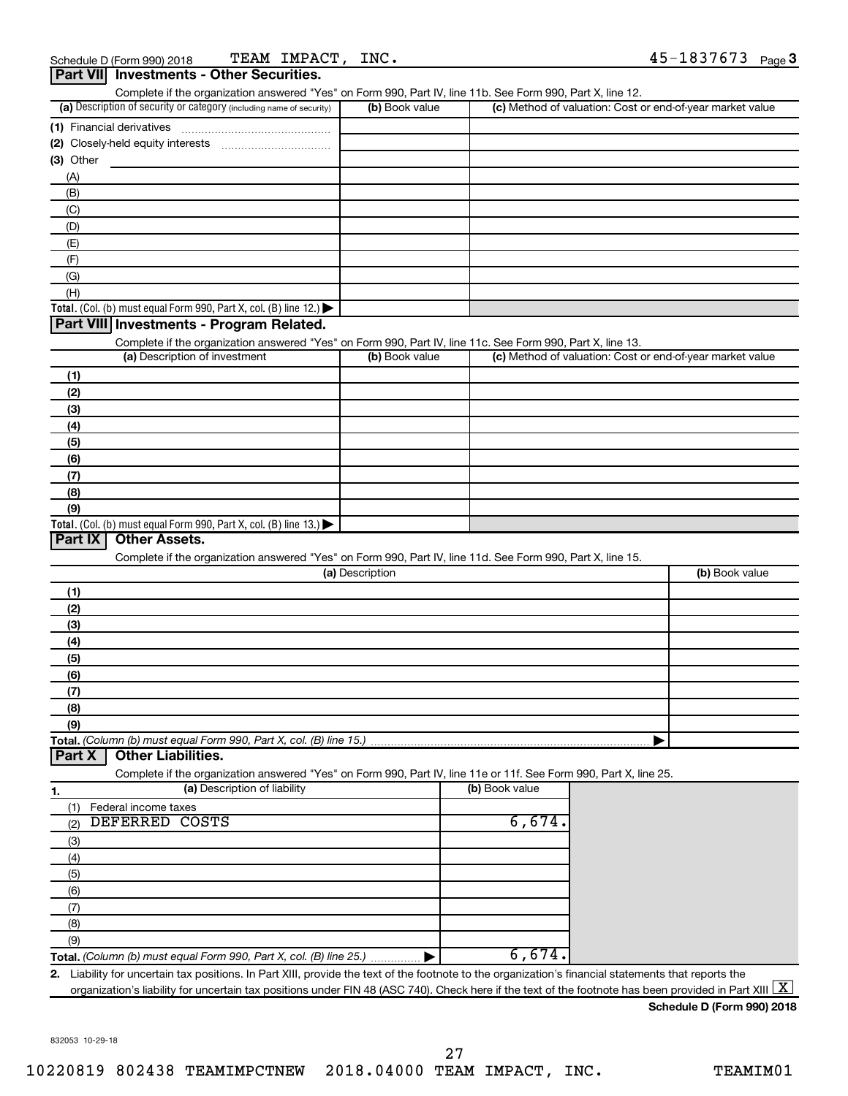|                                                                                                                   |                 | Complete if the organization answered "Yes" on Form 990, Part IV, line 11b. See Form 990, Part X, line 12. |                |
|-------------------------------------------------------------------------------------------------------------------|-----------------|------------------------------------------------------------------------------------------------------------|----------------|
| (a) Description of security or category (including name of security)                                              | (b) Book value  | (c) Method of valuation: Cost or end-of-year market value                                                  |                |
| (1) Financial derivatives                                                                                         |                 |                                                                                                            |                |
|                                                                                                                   |                 |                                                                                                            |                |
| $(3)$ Other                                                                                                       |                 |                                                                                                            |                |
| (A)                                                                                                               |                 |                                                                                                            |                |
| (B)                                                                                                               |                 |                                                                                                            |                |
| (C)                                                                                                               |                 |                                                                                                            |                |
| (D)                                                                                                               |                 |                                                                                                            |                |
| (E)                                                                                                               |                 |                                                                                                            |                |
| (F)                                                                                                               |                 |                                                                                                            |                |
|                                                                                                                   |                 |                                                                                                            |                |
| (G)                                                                                                               |                 |                                                                                                            |                |
| (H)                                                                                                               |                 |                                                                                                            |                |
| <b>Total.</b> (Col. (b) must equal Form 990, Part X, col. (B) line 12.) $\blacktriangleright$                     |                 |                                                                                                            |                |
| Part VIII Investments - Program Related.                                                                          |                 |                                                                                                            |                |
| Complete if the organization answered "Yes" on Form 990, Part IV, line 11c. See Form 990, Part X, line 13.        |                 |                                                                                                            |                |
| (a) Description of investment                                                                                     | (b) Book value  | (c) Method of valuation: Cost or end-of-year market value                                                  |                |
| (1)                                                                                                               |                 |                                                                                                            |                |
| (2)                                                                                                               |                 |                                                                                                            |                |
| (3)                                                                                                               |                 |                                                                                                            |                |
| (4)                                                                                                               |                 |                                                                                                            |                |
| (5)                                                                                                               |                 |                                                                                                            |                |
|                                                                                                                   |                 |                                                                                                            |                |
| (6)                                                                                                               |                 |                                                                                                            |                |
| (7)                                                                                                               |                 |                                                                                                            |                |
| (8)                                                                                                               |                 |                                                                                                            |                |
| (9)                                                                                                               |                 |                                                                                                            |                |
| <b>Total.</b> (Col. (b) must equal Form 990, Part X, col. (B) line 13.) $\blacktriangleright$                     |                 |                                                                                                            |                |
| <b>Other Assets.</b><br>Part IX                                                                                   |                 |                                                                                                            |                |
| Complete if the organization answered "Yes" on Form 990, Part IV, line 11d. See Form 990, Part X, line 15.        |                 |                                                                                                            |                |
|                                                                                                                   | (a) Description |                                                                                                            | (b) Book value |
| (1)                                                                                                               |                 |                                                                                                            |                |
| (2)                                                                                                               |                 |                                                                                                            |                |
| (3)                                                                                                               |                 |                                                                                                            |                |
| (4)                                                                                                               |                 |                                                                                                            |                |
|                                                                                                                   |                 |                                                                                                            |                |
|                                                                                                                   |                 |                                                                                                            |                |
| (5)                                                                                                               |                 |                                                                                                            |                |
| (6)                                                                                                               |                 |                                                                                                            |                |
| (7)                                                                                                               |                 |                                                                                                            |                |
| (8)                                                                                                               |                 |                                                                                                            |                |
| (9)                                                                                                               |                 |                                                                                                            |                |
|                                                                                                                   |                 |                                                                                                            |                |
| <b>Other Liabilities.</b><br>Part X                                                                               |                 |                                                                                                            |                |
| Complete if the organization answered "Yes" on Form 990, Part IV, line 11e or 11f. See Form 990, Part X, line 25. |                 |                                                                                                            |                |
| (a) Description of liability                                                                                      |                 | (b) Book value                                                                                             |                |
|                                                                                                                   |                 |                                                                                                            |                |
| Federal income taxes<br>(1)                                                                                       |                 |                                                                                                            |                |
| DEFERRED COSTS<br>(2)                                                                                             |                 | 6,674.                                                                                                     |                |
| (3)                                                                                                               |                 |                                                                                                            |                |
| (4)                                                                                                               |                 |                                                                                                            |                |
| (5)                                                                                                               |                 |                                                                                                            |                |
| (6)                                                                                                               |                 |                                                                                                            |                |
| (7)                                                                                                               |                 |                                                                                                            |                |
| Total. (Column (b) must equal Form 990, Part X, col. (B) line 15.)<br>1.<br>(8)                                   |                 |                                                                                                            |                |
| (9)                                                                                                               |                 |                                                                                                            |                |
| Total. (Column (b) must equal Form 990, Part X, col. (B) line 25.)                                                |                 | 6,674.                                                                                                     |                |

**Schedule D (Form 990) 2018**

832053 10-29-18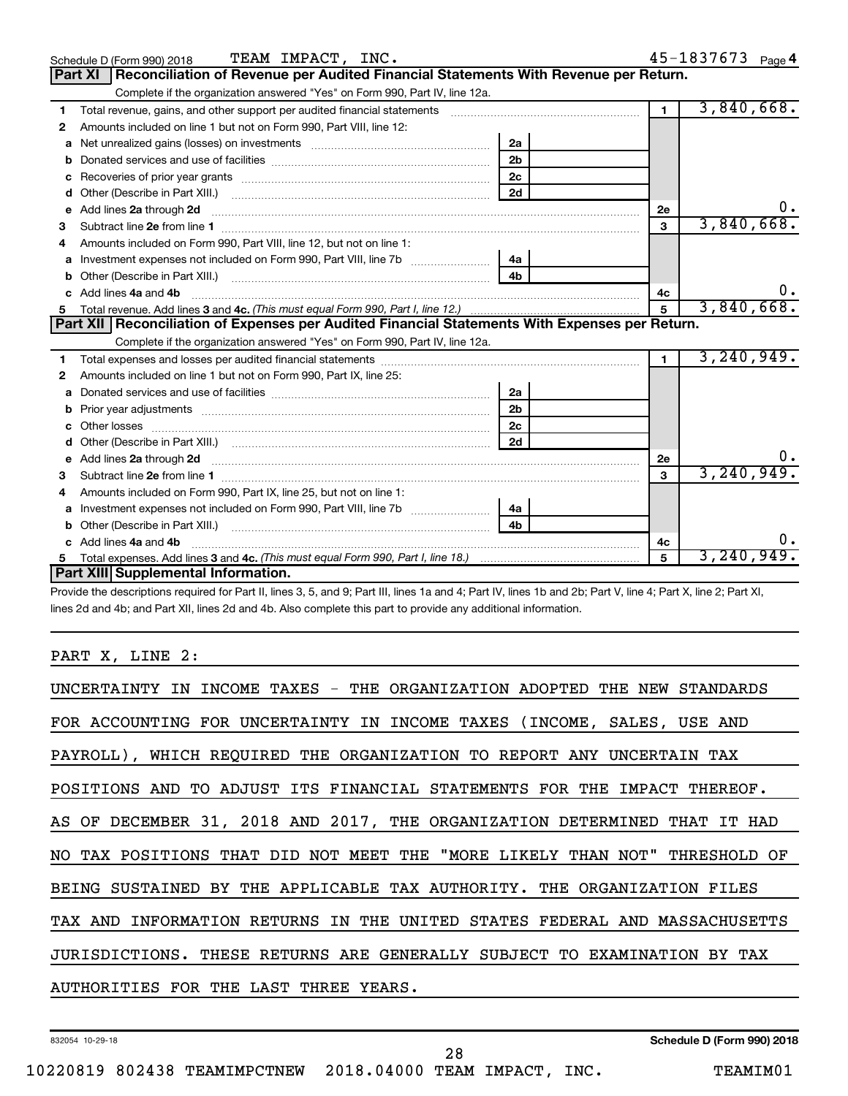|    | TEAM IMPACT, INC.<br>Schedule D (Form 990) 2018                                                                          |                |                | 45-1837673 Page 4 |
|----|--------------------------------------------------------------------------------------------------------------------------|----------------|----------------|-------------------|
|    | Reconciliation of Revenue per Audited Financial Statements With Revenue per Return.<br><b>Part XI</b>                    |                |                |                   |
|    | Complete if the organization answered "Yes" on Form 990, Part IV, line 12a.                                              |                |                |                   |
| 1  | Total revenue, gains, and other support per audited financial statements [[[[[[[[[[[[[[[[[[[[[[[]]]]]]]]]]]]]            |                | $\blacksquare$ | 3,840,668.        |
| 2  | Amounts included on line 1 but not on Form 990, Part VIII, line 12:                                                      |                |                |                   |
| a  |                                                                                                                          | 2a             |                |                   |
| b  |                                                                                                                          | 2 <sub>b</sub> |                |                   |
| с  |                                                                                                                          | 2 <sub>c</sub> |                |                   |
| d  |                                                                                                                          | 2d             |                |                   |
| e  |                                                                                                                          |                | 2e             | υ.                |
| з  |                                                                                                                          |                | 3              | 3,840,668.        |
|    | Amounts included on Form 990, Part VIII, line 12, but not on line 1:                                                     |                |                |                   |
| a  |                                                                                                                          | 4a             |                |                   |
| b  |                                                                                                                          | 4 <sub>b</sub> |                |                   |
| c  | Add lines 4a and 4b                                                                                                      |                | 4c             | $0 \cdot$         |
| 5  |                                                                                                                          |                | $\overline{5}$ | 3,840,668.        |
|    |                                                                                                                          |                |                |                   |
|    | Part XII   Reconciliation of Expenses per Audited Financial Statements With Expenses per Return.                         |                |                |                   |
|    | Complete if the organization answered "Yes" on Form 990, Part IV, line 12a.                                              |                |                |                   |
| 1. |                                                                                                                          |                | $\mathbf{1}$   | 3, 240, 949.      |
| 2  | Amounts included on line 1 but not on Form 990, Part IX, line 25:                                                        |                |                |                   |
| a  |                                                                                                                          | 2a             |                |                   |
| b  |                                                                                                                          | 2 <sub>b</sub> |                |                   |
|    |                                                                                                                          | 2 <sub>c</sub> |                |                   |
|    |                                                                                                                          | 2d             |                |                   |
| e  | Add lines 2a through 2d <b>must be a constructed as the constant of the constant of the constant of the construction</b> |                | 2e             |                   |
| 3  |                                                                                                                          |                | 3              | 3, 240, 949.      |
| 4  | Amounts included on Form 990, Part IX, line 25, but not on line 1:                                                       |                |                |                   |
| a  |                                                                                                                          | 4a             |                |                   |
| b  |                                                                                                                          | 4b             |                |                   |
|    | c Add lines 4a and 4b                                                                                                    |                | 4c             |                   |
| 5  | Part XIII Supplemental Information.                                                                                      |                | 5              | 3,240,949.        |

Provide the descriptions required for Part II, lines 3, 5, and 9; Part III, lines 1a and 4; Part IV, lines 1b and 2b; Part V, line 4; Part X, line 2; Part XI, lines 2d and 4b; and Part XII, lines 2d and 4b. Also complete this part to provide any additional information.

PART X, LINE 2:

| UNCERTAINTY IN INCOME TAXES - THE ORGANIZATION ADOPTED THE NEW STANDARDS   |
|----------------------------------------------------------------------------|
| FOR ACCOUNTING FOR UNCERTAINTY IN INCOME TAXES (INCOME, SALES, USE AND     |
| PAYROLL), WHICH REQUIRED THE ORGANIZATION TO REPORT ANY UNCERTAIN TAX      |
| POSITIONS AND TO ADJUST ITS FINANCIAL STATEMENTS FOR THE IMPACT THEREOF.   |
| AS OF DECEMBER 31, 2018 AND 2017, THE ORGANIZATION DETERMINED THAT IT HAD  |
| NO TAX POSITIONS THAT DID NOT MEET THE "MORE LIKELY THAN NOT" THRESHOLD OF |
| BEING SUSTAINED BY THE APPLICABLE TAX AUTHORITY. THE ORGANIZATION FILES    |
| TAX AND INFORMATION RETURNS IN THE UNITED STATES FEDERAL AND MASSACHUSETTS |
| JURISDICTIONS. THESE RETURNS ARE GENERALLY SUBJECT TO EXAMINATION BY TAX   |
| AUTHORITIES FOR THE LAST THREE YEARS.                                      |

28

832054 10-29-18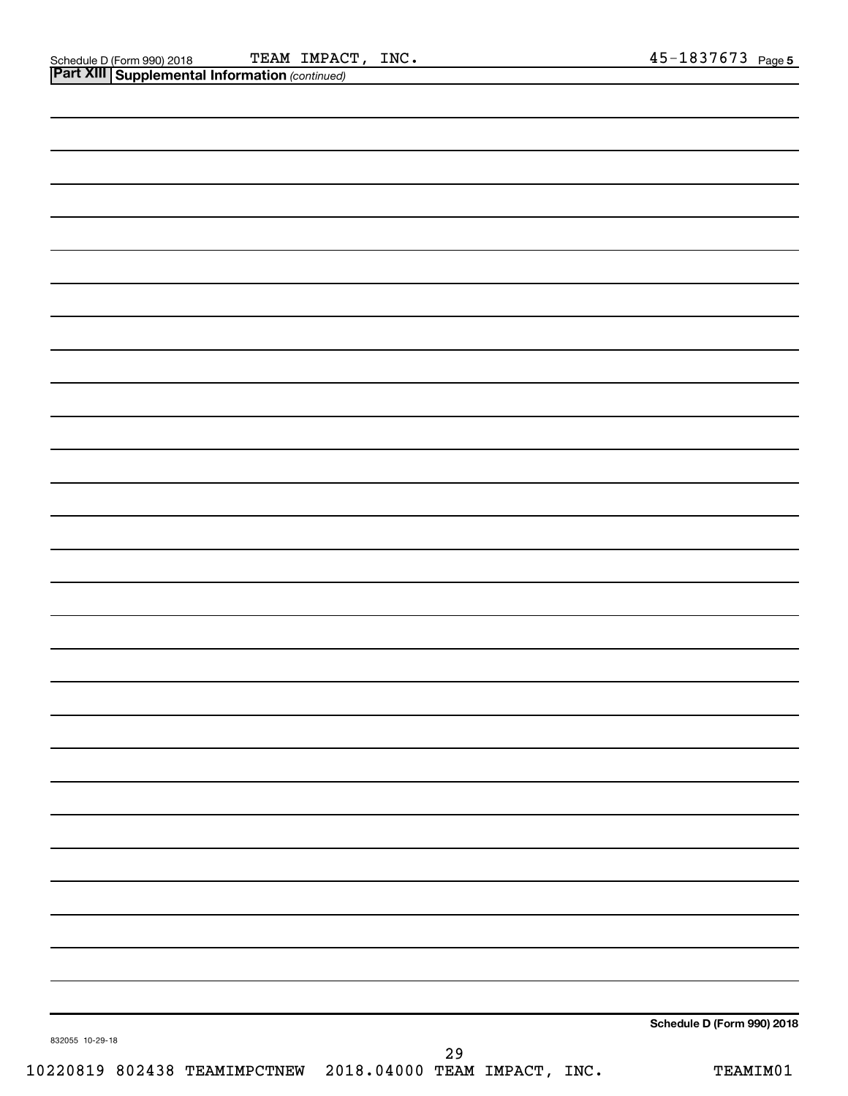| 832055 10-29-18 |               | Schedule D (Form 990) 2018 |
|-----------------|---------------|----------------------------|
|                 | $\sim$ $\sim$ |                            |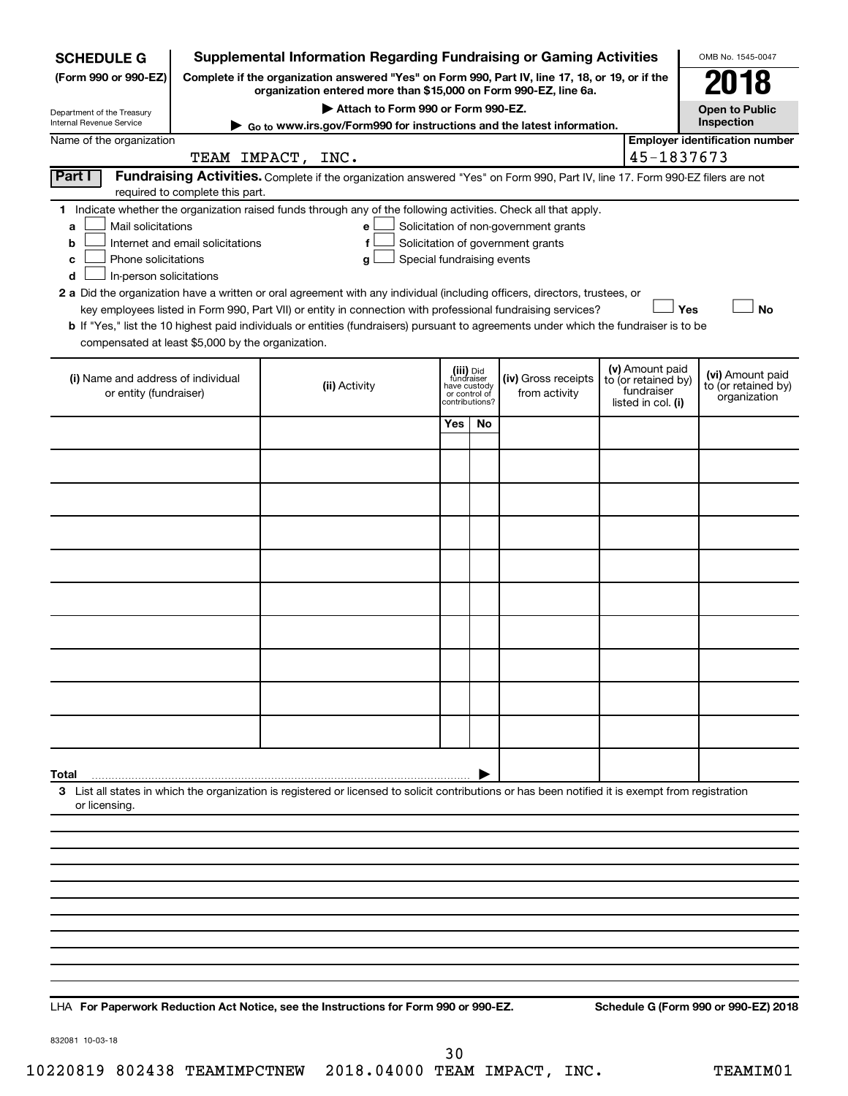| <b>SCHEDULE G</b>                                                                                                                             |                                                                                                                                                                     | <b>Supplemental Information Regarding Fundraising or Gaming Activities</b>                                                                                                                                                                                                                                                                                                                                                                                                                                                                         |                                                                            |    |                                                                            |  |                                                                            | OMB No. 1545-0047                                       |
|-----------------------------------------------------------------------------------------------------------------------------------------------|---------------------------------------------------------------------------------------------------------------------------------------------------------------------|----------------------------------------------------------------------------------------------------------------------------------------------------------------------------------------------------------------------------------------------------------------------------------------------------------------------------------------------------------------------------------------------------------------------------------------------------------------------------------------------------------------------------------------------------|----------------------------------------------------------------------------|----|----------------------------------------------------------------------------|--|----------------------------------------------------------------------------|---------------------------------------------------------|
| (Form 990 or 990-EZ)                                                                                                                          | Complete if the organization answered "Yes" on Form 990, Part IV, line 17, 18, or 19, or if the<br>organization entered more than \$15,000 on Form 990-EZ, line 6a. |                                                                                                                                                                                                                                                                                                                                                                                                                                                                                                                                                    |                                                                            |    |                                                                            |  |                                                                            | 2018                                                    |
| Department of the Treasury                                                                                                                    |                                                                                                                                                                     | Attach to Form 990 or Form 990-EZ.                                                                                                                                                                                                                                                                                                                                                                                                                                                                                                                 |                                                                            |    |                                                                            |  |                                                                            | <b>Open to Public</b>                                   |
| Internal Revenue Service                                                                                                                      |                                                                                                                                                                     | Go to www.irs.gov/Form990 for instructions and the latest information.                                                                                                                                                                                                                                                                                                                                                                                                                                                                             |                                                                            |    |                                                                            |  |                                                                            | Inspection                                              |
| Name of the organization                                                                                                                      |                                                                                                                                                                     | TEAM IMPACT, INC.                                                                                                                                                                                                                                                                                                                                                                                                                                                                                                                                  |                                                                            |    |                                                                            |  | 45-1837673                                                                 | <b>Employer identification number</b>                   |
| Part I                                                                                                                                        | required to complete this part.                                                                                                                                     | Fundraising Activities. Complete if the organization answered "Yes" on Form 990, Part IV, line 17. Form 990-EZ filers are not                                                                                                                                                                                                                                                                                                                                                                                                                      |                                                                            |    |                                                                            |  |                                                                            |                                                         |
| Mail solicitations<br>a<br>b<br>Phone solicitations<br>с<br>In-person solicitations<br>d<br>compensated at least \$5,000 by the organization. | Internet and email solicitations                                                                                                                                    | 1 Indicate whether the organization raised funds through any of the following activities. Check all that apply.<br>е<br>f<br>Special fundraising events<br>g<br>2 a Did the organization have a written or oral agreement with any individual (including officers, directors, trustees, or<br>key employees listed in Form 990, Part VII) or entity in connection with professional fundraising services?<br>b If "Yes," list the 10 highest paid individuals or entities (fundraisers) pursuant to agreements under which the fundraiser is to be |                                                                            |    | Solicitation of non-government grants<br>Solicitation of government grants |  | Yes                                                                        | <b>No</b>                                               |
| (i) Name and address of individual<br>or entity (fundraiser)                                                                                  |                                                                                                                                                                     | (ii) Activity                                                                                                                                                                                                                                                                                                                                                                                                                                                                                                                                      | (iii) Did<br>fundraiser<br>have custody<br>or control of<br>contributions? |    | (iv) Gross receipts<br>from activity                                       |  | (v) Amount paid<br>to (or retained by)<br>fundraiser<br>listed in col. (i) | (vi) Amount paid<br>to (or retained by)<br>organization |
|                                                                                                                                               |                                                                                                                                                                     |                                                                                                                                                                                                                                                                                                                                                                                                                                                                                                                                                    | Yes                                                                        | No |                                                                            |  |                                                                            |                                                         |
|                                                                                                                                               |                                                                                                                                                                     |                                                                                                                                                                                                                                                                                                                                                                                                                                                                                                                                                    |                                                                            |    |                                                                            |  |                                                                            |                                                         |
|                                                                                                                                               |                                                                                                                                                                     |                                                                                                                                                                                                                                                                                                                                                                                                                                                                                                                                                    |                                                                            |    |                                                                            |  |                                                                            |                                                         |
|                                                                                                                                               |                                                                                                                                                                     |                                                                                                                                                                                                                                                                                                                                                                                                                                                                                                                                                    |                                                                            |    |                                                                            |  |                                                                            |                                                         |
|                                                                                                                                               |                                                                                                                                                                     |                                                                                                                                                                                                                                                                                                                                                                                                                                                                                                                                                    |                                                                            |    |                                                                            |  |                                                                            |                                                         |
|                                                                                                                                               |                                                                                                                                                                     |                                                                                                                                                                                                                                                                                                                                                                                                                                                                                                                                                    |                                                                            |    |                                                                            |  |                                                                            |                                                         |
|                                                                                                                                               |                                                                                                                                                                     |                                                                                                                                                                                                                                                                                                                                                                                                                                                                                                                                                    |                                                                            |    |                                                                            |  |                                                                            |                                                         |
|                                                                                                                                               |                                                                                                                                                                     |                                                                                                                                                                                                                                                                                                                                                                                                                                                                                                                                                    |                                                                            |    |                                                                            |  |                                                                            |                                                         |
|                                                                                                                                               |                                                                                                                                                                     |                                                                                                                                                                                                                                                                                                                                                                                                                                                                                                                                                    |                                                                            |    |                                                                            |  |                                                                            |                                                         |
|                                                                                                                                               |                                                                                                                                                                     |                                                                                                                                                                                                                                                                                                                                                                                                                                                                                                                                                    |                                                                            |    |                                                                            |  |                                                                            |                                                         |
|                                                                                                                                               |                                                                                                                                                                     |                                                                                                                                                                                                                                                                                                                                                                                                                                                                                                                                                    |                                                                            |    |                                                                            |  |                                                                            |                                                         |
| Total<br>or licensing.                                                                                                                        |                                                                                                                                                                     | 3 List all states in which the organization is registered or licensed to solicit contributions or has been notified it is exempt from registration                                                                                                                                                                                                                                                                                                                                                                                                 |                                                                            |    |                                                                            |  |                                                                            |                                                         |
|                                                                                                                                               |                                                                                                                                                                     |                                                                                                                                                                                                                                                                                                                                                                                                                                                                                                                                                    |                                                                            |    |                                                                            |  |                                                                            |                                                         |
|                                                                                                                                               |                                                                                                                                                                     |                                                                                                                                                                                                                                                                                                                                                                                                                                                                                                                                                    |                                                                            |    |                                                                            |  |                                                                            |                                                         |
|                                                                                                                                               |                                                                                                                                                                     |                                                                                                                                                                                                                                                                                                                                                                                                                                                                                                                                                    |                                                                            |    |                                                                            |  |                                                                            |                                                         |
|                                                                                                                                               |                                                                                                                                                                     |                                                                                                                                                                                                                                                                                                                                                                                                                                                                                                                                                    |                                                                            |    |                                                                            |  |                                                                            |                                                         |
|                                                                                                                                               |                                                                                                                                                                     |                                                                                                                                                                                                                                                                                                                                                                                                                                                                                                                                                    |                                                                            |    |                                                                            |  |                                                                            |                                                         |
|                                                                                                                                               |                                                                                                                                                                     |                                                                                                                                                                                                                                                                                                                                                                                                                                                                                                                                                    |                                                                            |    |                                                                            |  |                                                                            |                                                         |
|                                                                                                                                               |                                                                                                                                                                     |                                                                                                                                                                                                                                                                                                                                                                                                                                                                                                                                                    |                                                                            |    |                                                                            |  |                                                                            |                                                         |
|                                                                                                                                               | ومناويا فالمرار ومناويا والموارون                                                                                                                                   | see the Instructions for Form 000 or 000 FZ                                                                                                                                                                                                                                                                                                                                                                                                                                                                                                        |                                                                            |    |                                                                            |  |                                                                            | <b>Cohodule C (Form 000 or 000 EZ) 0010</b>             |

**For Paperwork Reduction Act Notice, see the Instructions for Form 990 or 990-EZ. Schedule G (Form 990 or 990-EZ) 2018** LHA

832081 10-03-18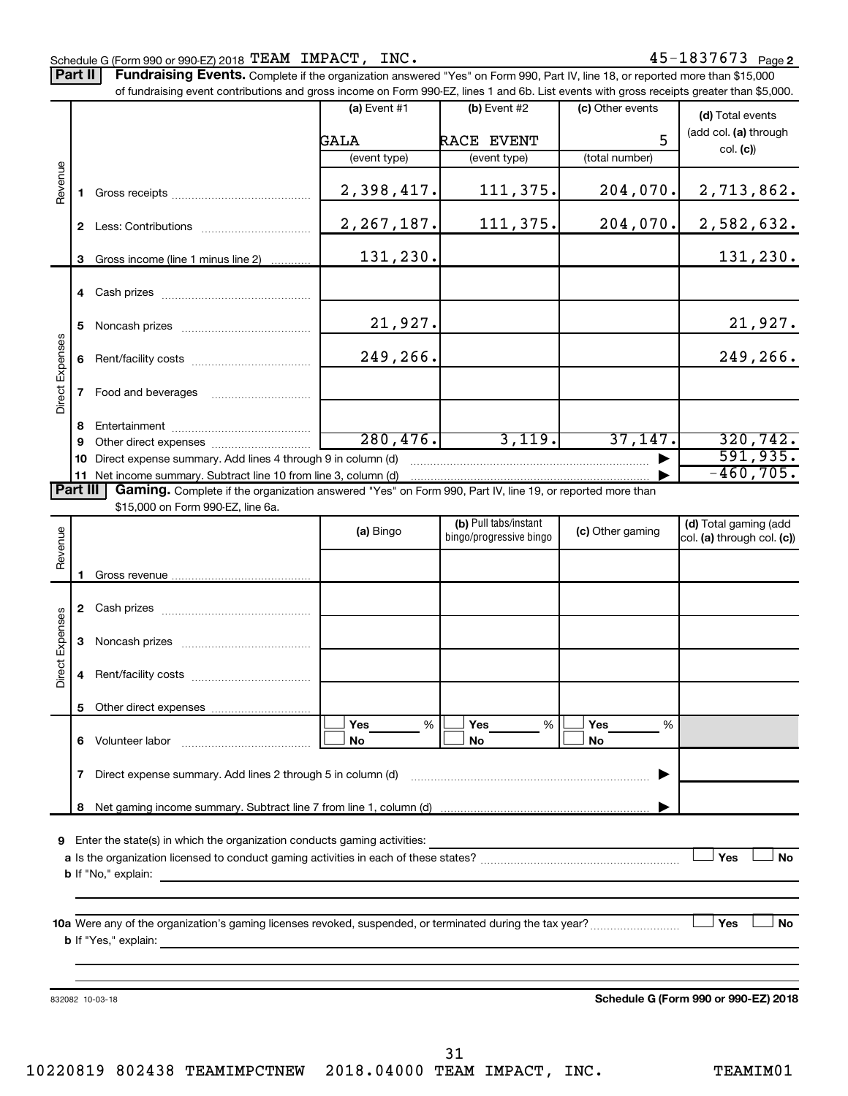Part II | Fundraising Events. Complete if the organization answered "Yes" on Form 990, Part IV, line 18, or reported more than \$15,000 of fundraising event contributions and gross income on Form 990-EZ, lines 1 and 6b. List events with gross receipts greater than \$5,000.

|                        |              | OF iditionalshig event contributions and gross income on Form 990-EZ, lines T and 6D. Elst events with gross receipts greater than \$5,000. |                |                         |                  |                                           |
|------------------------|--------------|---------------------------------------------------------------------------------------------------------------------------------------------|----------------|-------------------------|------------------|-------------------------------------------|
|                        |              |                                                                                                                                             | (a) Event $#1$ | $(b)$ Event #2          | (c) Other events | (d) Total events<br>(add col. (a) through |
|                        |              |                                                                                                                                             | GALA           | RACE EVENT              | 5                |                                           |
|                        |              |                                                                                                                                             | (event type)   | (event type)            | (total number)   | col. (c)                                  |
| Revenue                | 1.           |                                                                                                                                             | 2,398,417.     | 111,375.                | 204,070.         | 2,713,862.                                |
|                        |              |                                                                                                                                             | 2, 267, 187.   | 111,375.                | 204,070.         | 2,582,632.                                |
|                        | 3            | Gross income (line 1 minus line 2)                                                                                                          | 131,230.       |                         |                  | 131,230.                                  |
|                        |              |                                                                                                                                             |                |                         |                  |                                           |
|                        | 5.           |                                                                                                                                             | 21,927.        |                         |                  | 21,927.                                   |
|                        |              |                                                                                                                                             | 249,266.       |                         |                  | 249,266.                                  |
| Direct Expenses        |              | 7 Food and beverages                                                                                                                        |                |                         |                  |                                           |
|                        | 8            |                                                                                                                                             |                |                         |                  |                                           |
|                        | 9            |                                                                                                                                             | 280, 476.      | 3,119.                  | 37,147.          | 320, 742.                                 |
|                        | 10           | Direct expense summary. Add lines 4 through 9 in column (d)                                                                                 |                |                         |                  | 591, 935.                                 |
|                        |              |                                                                                                                                             |                |                         |                  | $-460,705.$                               |
| <b>Part III</b>        |              | Gaming. Complete if the organization answered "Yes" on Form 990, Part IV, line 19, or reported more than                                    |                |                         |                  |                                           |
|                        |              | \$15,000 on Form 990-EZ, line 6a.                                                                                                           |                |                         |                  |                                           |
|                        |              |                                                                                                                                             | (a) Bingo      | (b) Pull tabs/instant   | (c) Other gaming | (d) Total gaming (add                     |
| Revenue                |              |                                                                                                                                             |                | bingo/progressive bingo |                  | col. (a) through col. (c))                |
|                        |              |                                                                                                                                             |                |                         |                  |                                           |
|                        | 1.           |                                                                                                                                             |                |                         |                  |                                           |
|                        |              |                                                                                                                                             |                |                         |                  |                                           |
|                        |              |                                                                                                                                             |                |                         |                  |                                           |
| <b>Direct Expenses</b> | 3            |                                                                                                                                             |                |                         |                  |                                           |
|                        | 4            |                                                                                                                                             |                |                         |                  |                                           |
|                        | 5.           |                                                                                                                                             |                |                         |                  |                                           |
|                        |              |                                                                                                                                             | Yes<br>%       | Yes<br>%                | Yes<br>%         |                                           |
|                        |              | 6 Volunteer labor                                                                                                                           | No             | No                      | No               |                                           |
|                        | $\mathbf{7}$ | Direct expense summary. Add lines 2 through 5 in column (d)                                                                                 |                |                         |                  |                                           |
|                        | 8            |                                                                                                                                             |                |                         |                  |                                           |
| 9                      |              | Enter the state(s) in which the organization conducts gaming activities:                                                                    |                |                         |                  |                                           |
|                        |              | <b>b</b> If "No," explain:                                                                                                                  |                |                         |                  | Yes<br>No                                 |
|                        |              |                                                                                                                                             |                |                         |                  |                                           |
|                        |              |                                                                                                                                             |                |                         |                  |                                           |
|                        |              |                                                                                                                                             |                |                         |                  | Yes<br>No                                 |
|                        |              | <b>b</b> If "Yes," explain:                                                                                                                 |                |                         |                  |                                           |
|                        |              |                                                                                                                                             |                |                         |                  |                                           |
|                        |              |                                                                                                                                             |                |                         |                  |                                           |
|                        |              | 832082 10-03-18                                                                                                                             |                |                         |                  | Schedule G (Form 990 or 990-EZ) 2018      |
|                        |              |                                                                                                                                             |                |                         |                  |                                           |
|                        |              |                                                                                                                                             |                |                         |                  |                                           |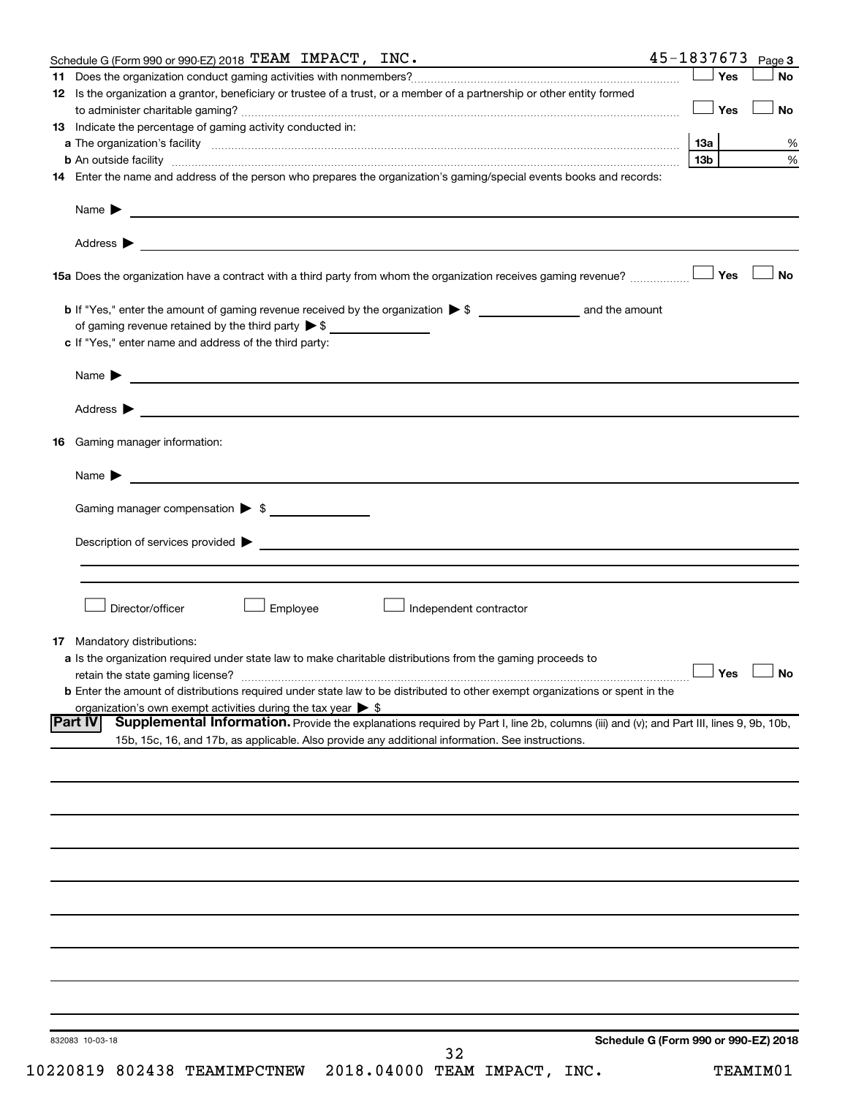| Schedule G (Form 990 or 990-EZ) 2018 TEAM IMPACT, INC.                                                                                                                                                                                                             | 45-1837673                                                                                                                             | Page 3    |
|--------------------------------------------------------------------------------------------------------------------------------------------------------------------------------------------------------------------------------------------------------------------|----------------------------------------------------------------------------------------------------------------------------------------|-----------|
|                                                                                                                                                                                                                                                                    | Yes                                                                                                                                    | <b>No</b> |
| 12 Is the organization a grantor, beneficiary or trustee of a trust, or a member of a partnership or other entity formed                                                                                                                                           | Yes                                                                                                                                    | No        |
| 13 Indicate the percentage of gaming activity conducted in:                                                                                                                                                                                                        |                                                                                                                                        |           |
|                                                                                                                                                                                                                                                                    | 13a                                                                                                                                    | %         |
| <b>b</b> An outside facility <i>www.communicality www.communicality.communicality www.communicality www.communicality.communicality www.communicality.com</i>                                                                                                      | 13 <sub>b</sub>                                                                                                                        | %         |
| 14 Enter the name and address of the person who prepares the organization's gaming/special events books and records:                                                                                                                                               |                                                                                                                                        |           |
| Name $\blacktriangleright$<br><u>and the state of the state of the state of the state of the state of the state of the state of the state of the state of the state of the state of the state of the state of the state of the state of the state of the state</u> |                                                                                                                                        |           |
|                                                                                                                                                                                                                                                                    |                                                                                                                                        |           |
| 15a Does the organization have a contract with a third party from whom the organization receives gaming revenue?                                                                                                                                                   | Yes                                                                                                                                    | <b>No</b> |
| of gaming revenue retained by the third party $\triangleright$ \$                                                                                                                                                                                                  |                                                                                                                                        |           |
| c If "Yes," enter name and address of the third party:                                                                                                                                                                                                             |                                                                                                                                        |           |
|                                                                                                                                                                                                                                                                    |                                                                                                                                        |           |
|                                                                                                                                                                                                                                                                    |                                                                                                                                        |           |
| 16 Gaming manager information:                                                                                                                                                                                                                                     |                                                                                                                                        |           |
| <u> 1989 - Johann Barnett, fransk politiker (d. 1989)</u><br>Name $\blacktriangleright$                                                                                                                                                                            |                                                                                                                                        |           |
| Gaming manager compensation > \$                                                                                                                                                                                                                                   |                                                                                                                                        |           |
|                                                                                                                                                                                                                                                                    |                                                                                                                                        |           |
| Description of services provided > example and a service of the service of the services provided > example and the services of the services of the services of the services of the services of the services of the services of                                     |                                                                                                                                        |           |
|                                                                                                                                                                                                                                                                    |                                                                                                                                        |           |
| Director/officer<br>Employee                                                                                                                                                                                                                                       | Independent contractor                                                                                                                 |           |
| <b>17</b> Mandatory distributions:                                                                                                                                                                                                                                 |                                                                                                                                        |           |
| a Is the organization required under state law to make charitable distributions from the gaming proceeds to                                                                                                                                                        |                                                                                                                                        |           |
|                                                                                                                                                                                                                                                                    | $\Box$ Yes $\Box$ No                                                                                                                   |           |
| <b>b</b> Enter the amount of distributions required under state law to be distributed to other exempt organizations or spent in the                                                                                                                                |                                                                                                                                        |           |
| organization's own exempt activities during the tax year $\triangleright$ \$<br><b>Part IV</b>                                                                                                                                                                     |                                                                                                                                        |           |
| 15b, 15c, 16, and 17b, as applicable. Also provide any additional information. See instructions.                                                                                                                                                                   | Supplemental Information. Provide the explanations required by Part I, line 2b, columns (iii) and (v); and Part III, lines 9, 9b, 10b, |           |
|                                                                                                                                                                                                                                                                    |                                                                                                                                        |           |
|                                                                                                                                                                                                                                                                    |                                                                                                                                        |           |
|                                                                                                                                                                                                                                                                    |                                                                                                                                        |           |
|                                                                                                                                                                                                                                                                    |                                                                                                                                        |           |
|                                                                                                                                                                                                                                                                    |                                                                                                                                        |           |
|                                                                                                                                                                                                                                                                    |                                                                                                                                        |           |
|                                                                                                                                                                                                                                                                    |                                                                                                                                        |           |
|                                                                                                                                                                                                                                                                    |                                                                                                                                        |           |
|                                                                                                                                                                                                                                                                    |                                                                                                                                        |           |
| 832083 10-03-18                                                                                                                                                                                                                                                    | Schedule G (Form 990 or 990-EZ) 2018<br>32                                                                                             |           |

10220819 802438 TEAMIMPCTNEW 2018.04000 TEAM IMPACT, INC. TEAMIM01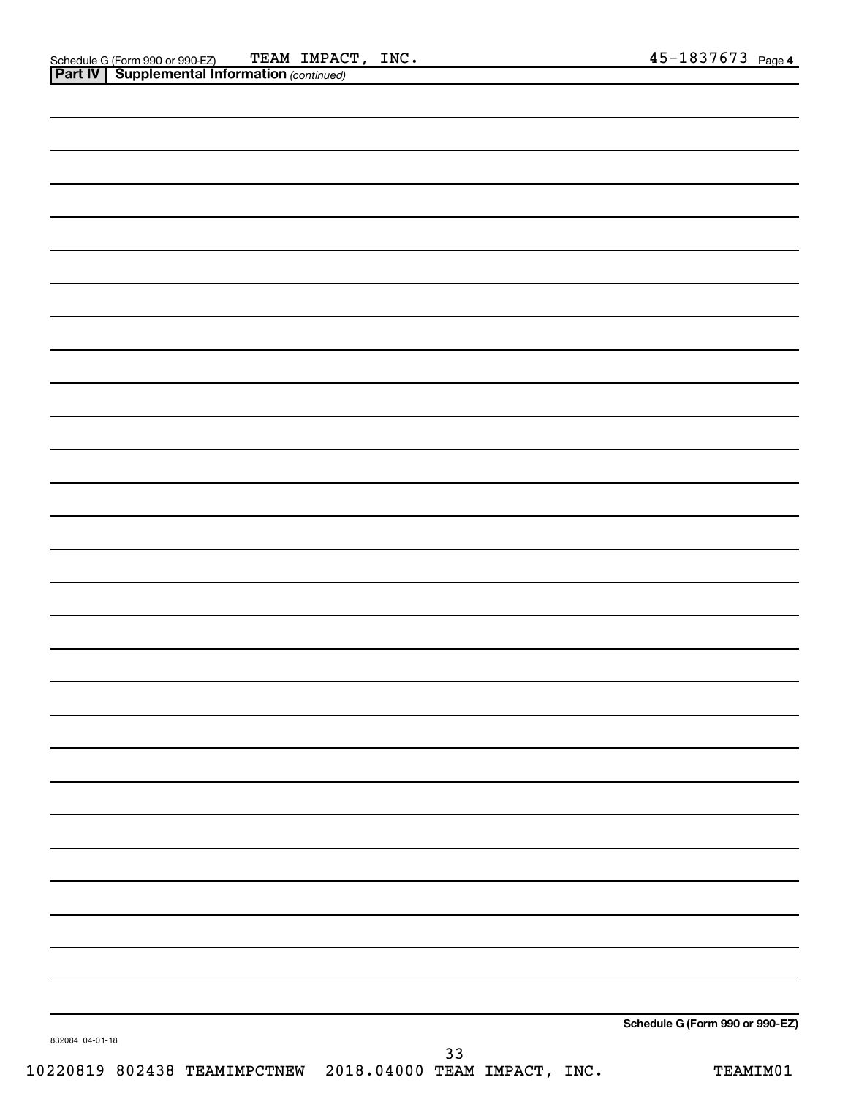|                 | $\mathbf{I}$<br>$\overline{\phantom{a}}$ |    |                                 |
|-----------------|------------------------------------------|----|---------------------------------|
|                 |                                          |    |                                 |
|                 |                                          |    |                                 |
|                 |                                          |    |                                 |
|                 |                                          |    |                                 |
|                 |                                          |    |                                 |
|                 |                                          |    |                                 |
|                 |                                          |    |                                 |
|                 |                                          |    |                                 |
|                 |                                          |    |                                 |
|                 |                                          |    |                                 |
|                 |                                          |    |                                 |
|                 |                                          |    |                                 |
|                 |                                          |    |                                 |
|                 |                                          |    |                                 |
|                 |                                          |    |                                 |
|                 |                                          |    |                                 |
|                 |                                          |    |                                 |
|                 |                                          |    |                                 |
|                 |                                          |    |                                 |
|                 |                                          |    |                                 |
|                 |                                          |    |                                 |
|                 |                                          |    |                                 |
|                 |                                          |    |                                 |
|                 |                                          |    |                                 |
|                 |                                          |    |                                 |
|                 |                                          |    |                                 |
|                 |                                          |    |                                 |
|                 |                                          |    |                                 |
|                 |                                          |    |                                 |
|                 |                                          |    |                                 |
|                 |                                          |    |                                 |
|                 |                                          |    | Schedule G (Form 990 or 990-EZ) |
| 832084 04-01-18 |                                          | 33 |                                 |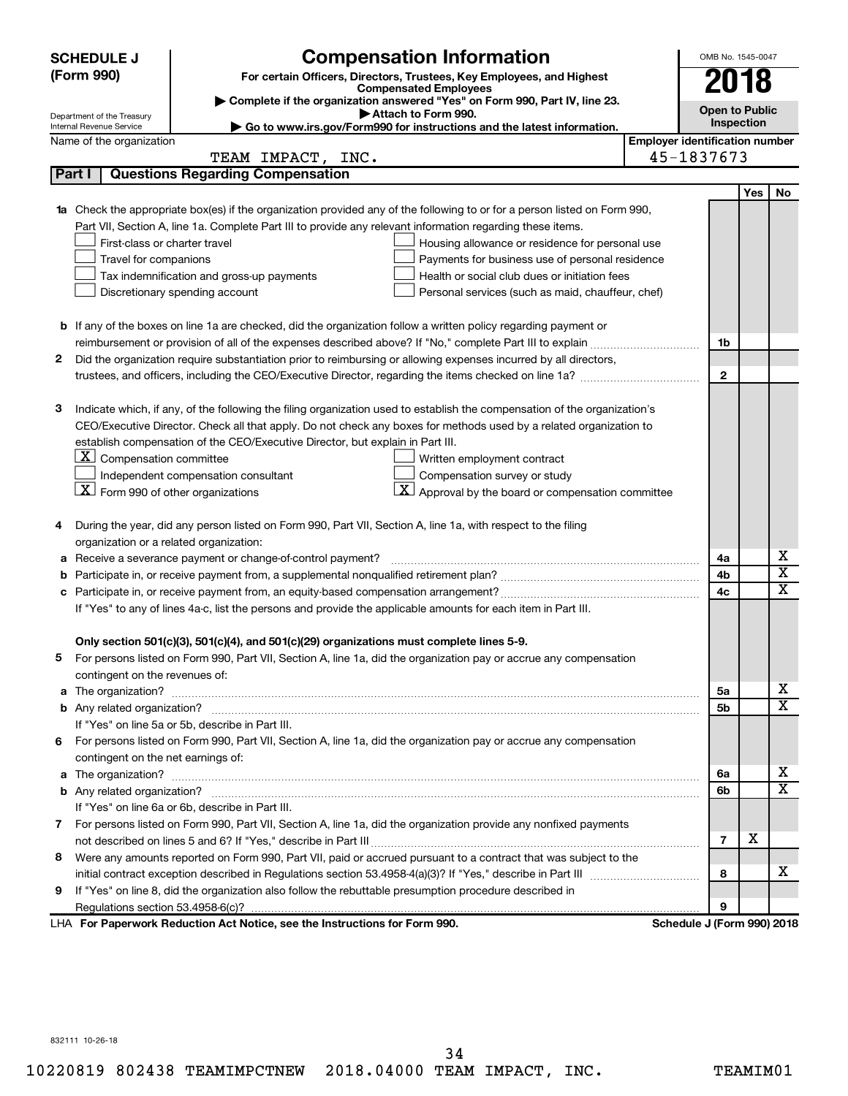|                                                                                                               | <b>SCHEDULE J</b>                                                                                          | <b>Compensation Information</b>                                                                                           |                                       | OMB No. 1545-0047          |                         |                         |
|---------------------------------------------------------------------------------------------------------------|------------------------------------------------------------------------------------------------------------|---------------------------------------------------------------------------------------------------------------------------|---------------------------------------|----------------------------|-------------------------|-------------------------|
|                                                                                                               | (Form 990)<br>For certain Officers, Directors, Trustees, Key Employees, and Highest<br>2018                |                                                                                                                           |                                       |                            |                         |                         |
|                                                                                                               | <b>Compensated Employees</b><br>Complete if the organization answered "Yes" on Form 990, Part IV, line 23. |                                                                                                                           |                                       |                            |                         |                         |
|                                                                                                               | <b>Open to Public</b><br>Attach to Form 990.<br>Department of the Treasury                                 |                                                                                                                           |                                       |                            |                         |                         |
|                                                                                                               | Internal Revenue Service                                                                                   | Go to www.irs.gov/Form990 for instructions and the latest information.                                                    |                                       | Inspection                 |                         |                         |
|                                                                                                               | Name of the organization                                                                                   |                                                                                                                           | <b>Employer identification number</b> |                            |                         |                         |
|                                                                                                               |                                                                                                            | TEAM IMPACT, INC.                                                                                                         |                                       | 45-1837673                 |                         |                         |
|                                                                                                               | Part I                                                                                                     | <b>Questions Regarding Compensation</b>                                                                                   |                                       |                            |                         |                         |
|                                                                                                               |                                                                                                            |                                                                                                                           |                                       |                            | Yes                     | No                      |
|                                                                                                               |                                                                                                            | 1a Check the appropriate box(es) if the organization provided any of the following to or for a person listed on Form 990, |                                       |                            |                         |                         |
|                                                                                                               |                                                                                                            | Part VII, Section A, line 1a. Complete Part III to provide any relevant information regarding these items.                |                                       |                            |                         |                         |
|                                                                                                               | First-class or charter travel                                                                              | Housing allowance or residence for personal use                                                                           |                                       |                            |                         |                         |
|                                                                                                               | Travel for companions                                                                                      | Payments for business use of personal residence                                                                           |                                       |                            |                         |                         |
|                                                                                                               |                                                                                                            | Tax indemnification and gross-up payments<br>Health or social club dues or initiation fees                                |                                       |                            |                         |                         |
|                                                                                                               |                                                                                                            | Discretionary spending account<br>Personal services (such as maid, chauffeur, chef)                                       |                                       |                            |                         |                         |
|                                                                                                               |                                                                                                            | <b>b</b> If any of the boxes on line 1a are checked, did the organization follow a written policy regarding payment or    |                                       |                            |                         |                         |
|                                                                                                               |                                                                                                            |                                                                                                                           |                                       | 1b                         |                         |                         |
| 2                                                                                                             |                                                                                                            | Did the organization require substantiation prior to reimbursing or allowing expenses incurred by all directors,          |                                       |                            |                         |                         |
|                                                                                                               |                                                                                                            |                                                                                                                           |                                       | $\mathbf{2}$               |                         |                         |
|                                                                                                               |                                                                                                            |                                                                                                                           |                                       |                            |                         |                         |
| з                                                                                                             |                                                                                                            | Indicate which, if any, of the following the filing organization used to establish the compensation of the organization's |                                       |                            |                         |                         |
|                                                                                                               |                                                                                                            | CEO/Executive Director. Check all that apply. Do not check any boxes for methods used by a related organization to        |                                       |                            |                         |                         |
|                                                                                                               |                                                                                                            | establish compensation of the CEO/Executive Director, but explain in Part III.                                            |                                       |                            |                         |                         |
|                                                                                                               | $\lfloor x \rfloor$ Compensation committee                                                                 | Written employment contract                                                                                               |                                       |                            |                         |                         |
|                                                                                                               |                                                                                                            | Compensation survey or study<br>Independent compensation consultant                                                       |                                       |                            |                         |                         |
|                                                                                                               | $X$ Form 990 of other organizations                                                                        | $ \mathbf{X} $ Approval by the board or compensation committee                                                            |                                       |                            |                         |                         |
|                                                                                                               |                                                                                                            |                                                                                                                           |                                       |                            |                         |                         |
| 4                                                                                                             |                                                                                                            | During the year, did any person listed on Form 990, Part VII, Section A, line 1a, with respect to the filing              |                                       |                            |                         |                         |
|                                                                                                               | organization or a related organization:                                                                    |                                                                                                                           |                                       |                            |                         |                         |
| а                                                                                                             |                                                                                                            | Receive a severance payment or change-of-control payment?                                                                 |                                       | 4a                         |                         | х                       |
| b                                                                                                             |                                                                                                            |                                                                                                                           | 4b                                    |                            | $\overline{\mathbf{x}}$ |                         |
| c                                                                                                             |                                                                                                            |                                                                                                                           |                                       | 4c                         |                         | $\overline{\text{x}}$   |
| If "Yes" to any of lines 4a-c, list the persons and provide the applicable amounts for each item in Part III. |                                                                                                            |                                                                                                                           |                                       |                            |                         |                         |
|                                                                                                               |                                                                                                            |                                                                                                                           |                                       |                            |                         |                         |
|                                                                                                               |                                                                                                            | Only section 501(c)(3), 501(c)(4), and 501(c)(29) organizations must complete lines 5-9.                                  |                                       |                            |                         |                         |
|                                                                                                               |                                                                                                            | For persons listed on Form 990, Part VII, Section A, line 1a, did the organization pay or accrue any compensation         |                                       |                            |                         |                         |
|                                                                                                               | contingent on the revenues of:                                                                             |                                                                                                                           |                                       |                            |                         |                         |
|                                                                                                               |                                                                                                            |                                                                                                                           |                                       | 5а                         |                         | X.                      |
|                                                                                                               |                                                                                                            |                                                                                                                           |                                       | 5b                         |                         | X                       |
|                                                                                                               |                                                                                                            | If "Yes" on line 5a or 5b, describe in Part III.                                                                          |                                       |                            |                         |                         |
| 6.                                                                                                            |                                                                                                            | For persons listed on Form 990, Part VII, Section A, line 1a, did the organization pay or accrue any compensation         |                                       |                            |                         |                         |
|                                                                                                               | contingent on the net earnings of:                                                                         |                                                                                                                           |                                       |                            |                         |                         |
|                                                                                                               |                                                                                                            |                                                                                                                           |                                       | 6a                         |                         | х                       |
|                                                                                                               |                                                                                                            |                                                                                                                           |                                       | 6b                         |                         | $\overline{\mathbf{X}}$ |
|                                                                                                               |                                                                                                            | If "Yes" on line 6a or 6b, describe in Part III.                                                                          |                                       |                            |                         |                         |
|                                                                                                               |                                                                                                            | 7 For persons listed on Form 990, Part VII, Section A, line 1a, did the organization provide any nonfixed payments        |                                       |                            |                         |                         |
|                                                                                                               |                                                                                                            |                                                                                                                           |                                       | $\overline{7}$             | x                       |                         |
| 8                                                                                                             |                                                                                                            | Were any amounts reported on Form 990, Part VII, paid or accrued pursuant to a contract that was subject to the           |                                       |                            |                         |                         |
|                                                                                                               |                                                                                                            |                                                                                                                           |                                       | 8                          |                         | X.                      |
| 9                                                                                                             |                                                                                                            | If "Yes" on line 8, did the organization also follow the rebuttable presumption procedure described in                    |                                       |                            |                         |                         |
|                                                                                                               |                                                                                                            |                                                                                                                           |                                       | 9                          |                         |                         |
|                                                                                                               |                                                                                                            | LHA For Paperwork Reduction Act Notice, see the Instructions for Form 990.                                                |                                       | Schedule J (Form 990) 2018 |                         |                         |

34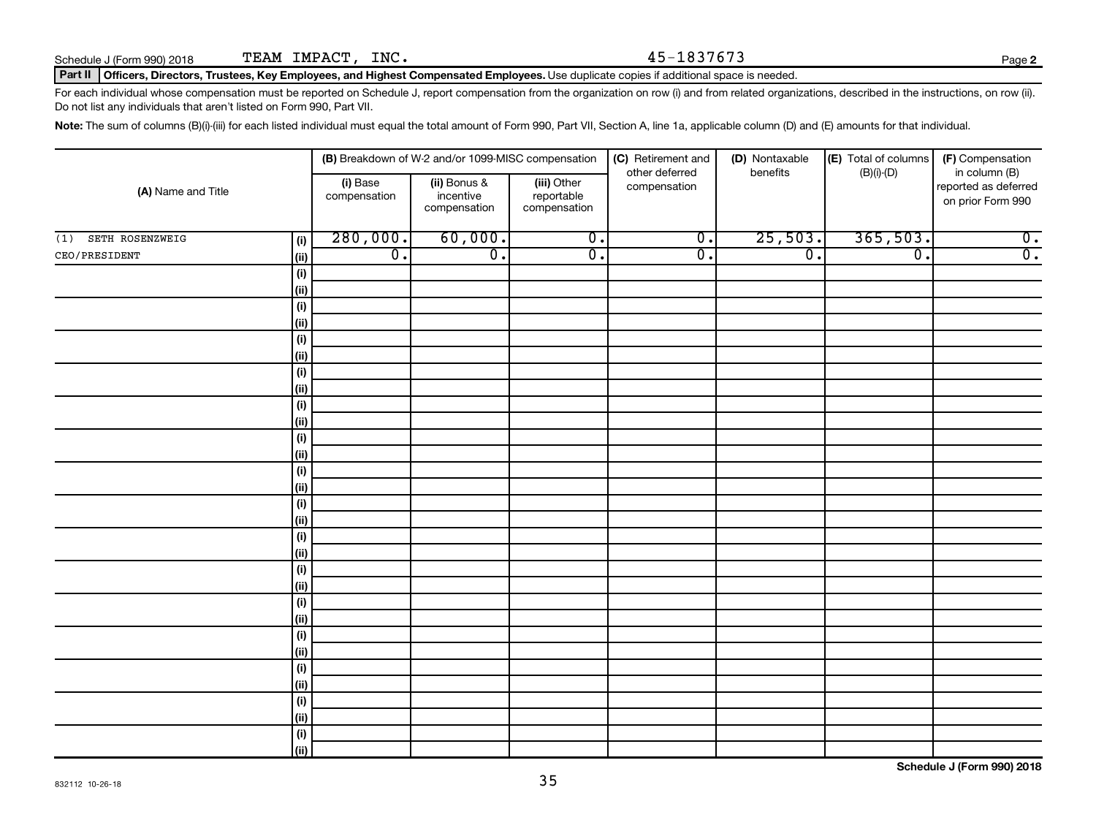#### Part II | Officers, Directors, Trustees, Key Employees, and Highest Compensated Employees. Use duplicate copies if additional space is needed.

For each individual whose compensation must be reported on Schedule J, report compensation from the organization on row (i) and from related organizations, described in the instructions, on row (ii). Do not list any individuals that aren't listed on Form 990, Part VII.

Note: The sum of columns (B)(i)-(iii) for each listed individual must equal the total amount of Form 990, Part VII, Section A, line 1a, applicable column (D) and (E) amounts for that individual.

|                        |                    | (B) Breakdown of W-2 and/or 1099-MISC compensation |                                           | (C) Retirement and<br>other deferred      | (D) Nontaxable   | (E) Total of columns<br>$(B)(i)-(D)$ | (F) Compensation            |                                                            |  |  |
|------------------------|--------------------|----------------------------------------------------|-------------------------------------------|-------------------------------------------|------------------|--------------------------------------|-----------------------------|------------------------------------------------------------|--|--|
| (A) Name and Title     |                    | (i) Base<br>compensation                           | (ii) Bonus &<br>incentive<br>compensation | (iii) Other<br>reportable<br>compensation | compensation     | benefits                             |                             | in column (B)<br>reported as deferred<br>on prior Form 990 |  |  |
| SETH ROSENZWEIG<br>(1) | (i)                | 280,000.                                           | 60,000.                                   | $\overline{0}$ .                          | $\overline{0}$ . | 25,503.                              | 365,503.                    | $\overline{0}$ .                                           |  |  |
| CEO/PRESIDENT          | $\vert$ (ii)       | $\overline{0}$ .                                   | $\overline{0}$ .                          | $\overline{0}$ .                          | σ.               | $\overline{0}$ .                     | $\overline{\mathfrak{o}}$ . | $\overline{0}$ .                                           |  |  |
|                        | (i)                |                                                    |                                           |                                           |                  |                                      |                             |                                                            |  |  |
|                        | (ii)               |                                                    |                                           |                                           |                  |                                      |                             |                                                            |  |  |
|                        | (i)                |                                                    |                                           |                                           |                  |                                      |                             |                                                            |  |  |
|                        | (ii)               |                                                    |                                           |                                           |                  |                                      |                             |                                                            |  |  |
|                        | (i)                |                                                    |                                           |                                           |                  |                                      |                             |                                                            |  |  |
|                        | (ii)               |                                                    |                                           |                                           |                  |                                      |                             |                                                            |  |  |
|                        | $(\sf{i})$         |                                                    |                                           |                                           |                  |                                      |                             |                                                            |  |  |
|                        | (ii)               |                                                    |                                           |                                           |                  |                                      |                             |                                                            |  |  |
|                        | $(\sf{i})$         |                                                    |                                           |                                           |                  |                                      |                             |                                                            |  |  |
|                        | (ii)               |                                                    |                                           |                                           |                  |                                      |                             |                                                            |  |  |
|                        | $(\sf{i})$<br>(ii) |                                                    |                                           |                                           |                  |                                      |                             |                                                            |  |  |
|                        | (i)                |                                                    |                                           |                                           |                  |                                      |                             |                                                            |  |  |
|                        | (ii)               |                                                    |                                           |                                           |                  |                                      |                             |                                                            |  |  |
|                        | (i)                |                                                    |                                           |                                           |                  |                                      |                             |                                                            |  |  |
|                        | (ii)               |                                                    |                                           |                                           |                  |                                      |                             |                                                            |  |  |
|                        | $(\sf{i})$         |                                                    |                                           |                                           |                  |                                      |                             |                                                            |  |  |
|                        | (ii)               |                                                    |                                           |                                           |                  |                                      |                             |                                                            |  |  |
|                        | $(\sf{i})$         |                                                    |                                           |                                           |                  |                                      |                             |                                                            |  |  |
|                        | (ii)               |                                                    |                                           |                                           |                  |                                      |                             |                                                            |  |  |
|                        | $(\sf{i})$         |                                                    |                                           |                                           |                  |                                      |                             |                                                            |  |  |
|                        | (ii)               |                                                    |                                           |                                           |                  |                                      |                             |                                                            |  |  |
|                        | $(\sf{i})$         |                                                    |                                           |                                           |                  |                                      |                             |                                                            |  |  |
|                        | (ii)               |                                                    |                                           |                                           |                  |                                      |                             |                                                            |  |  |
|                        | $(\sf{i})$         |                                                    |                                           |                                           |                  |                                      |                             |                                                            |  |  |
|                        | (ii)               |                                                    |                                           |                                           |                  |                                      |                             |                                                            |  |  |
|                        | $(\sf{i})$         |                                                    |                                           |                                           |                  |                                      |                             |                                                            |  |  |
|                        | (ii)               |                                                    |                                           |                                           |                  |                                      |                             |                                                            |  |  |
|                        | $(\sf{i})$         |                                                    |                                           |                                           |                  |                                      |                             |                                                            |  |  |
|                        | <u>(ii)</u>        |                                                    |                                           |                                           |                  |                                      |                             |                                                            |  |  |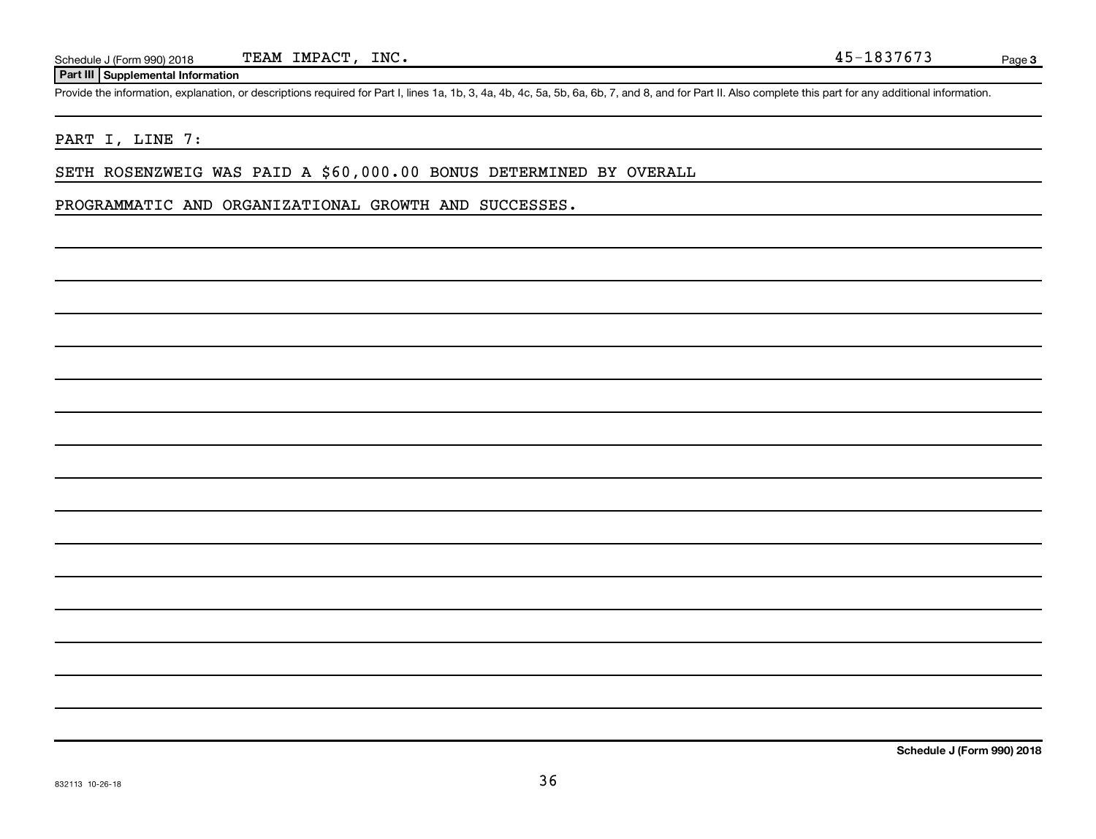#### **Part III Supplemental Information**

Provide the information, explanation, or descriptions required for Part I, lines 1a, 1b, 3, 4a, 4b, 4c, 5a, 5b, 6a, 6b, 7, and 8, and for Part II. Also complete this part for any additional information.

#### PART I, LINE 7:

SETH ROSENZWEIG WAS PAID A \$60,000.00 BONUS DETERMINED BY OVERALL

PROGRAMMATIC AND ORGANIZATIONAL GROWTH AND SUCCESSES.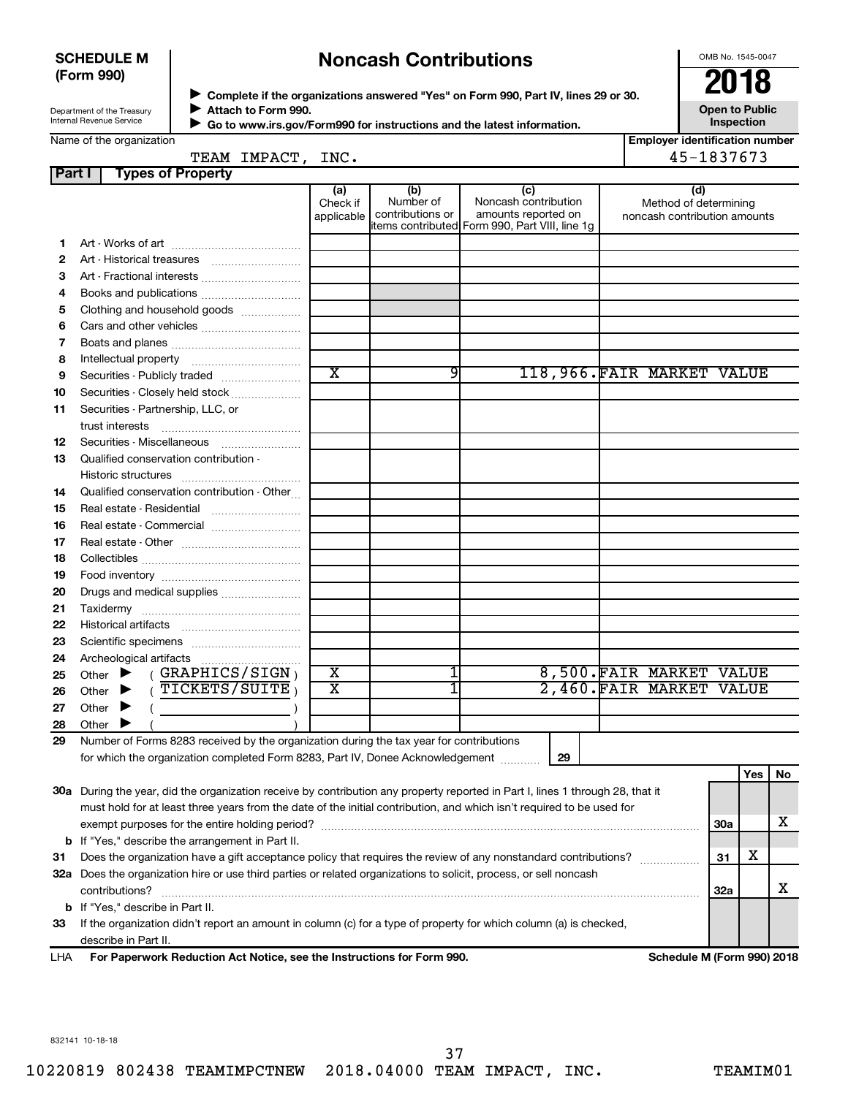#### **SCHEDULE M (Form 990)**

## **Noncash Contributions**

OMB No. 1545-0047

| Department of the Treasury |
|----------------------------|
| Internal Revenue Service   |

◆ Complete if the organizations answered "Yes" on Form 990, Part IV, lines 29 or 30.<br>▶ Complete if the organizations answered "Yes" on Form 990, Part IV, lines 29 or 30. **Attach to Form 990.**  $\blacktriangleright$ 

**Open to Public Inspection**

| Name of the organization |  |
|--------------------------|--|
|--------------------------|--|

| Allach lu Furni 990.                                                   |  |
|------------------------------------------------------------------------|--|
| Go to www.irs.gov/Form990 for instructions and the latest information. |  |
|                                                                        |  |

| <b>Employer identification number</b> |
|---------------------------------------|
| $A E$ 1027672                         |

| Name of the organization |  |
|--------------------------|--|
|--------------------------|--|

 $\blacktriangleright$ 

|        | TEAM IMPACT, INC.                                                                                                              |                               |                                      |                                                                                                      | 45-1837673                                                   |     |     |    |
|--------|--------------------------------------------------------------------------------------------------------------------------------|-------------------------------|--------------------------------------|------------------------------------------------------------------------------------------------------|--------------------------------------------------------------|-----|-----|----|
| Part I | <b>Types of Property</b>                                                                                                       |                               |                                      |                                                                                                      |                                                              |     |     |    |
|        |                                                                                                                                | (a)<br>Check if<br>applicable | (b)<br>Number of<br>contributions or | (c)<br>Noncash contribution<br>amounts reported on<br>items contributed Form 990, Part VIII, line 1g | (d)<br>Method of determining<br>noncash contribution amounts |     |     |    |
| 1      |                                                                                                                                |                               |                                      |                                                                                                      |                                                              |     |     |    |
| 2      |                                                                                                                                |                               |                                      |                                                                                                      |                                                              |     |     |    |
| з      |                                                                                                                                |                               |                                      |                                                                                                      |                                                              |     |     |    |
| 4      |                                                                                                                                |                               |                                      |                                                                                                      |                                                              |     |     |    |
| 5      | Clothing and household goods                                                                                                   |                               |                                      |                                                                                                      |                                                              |     |     |    |
| 6      |                                                                                                                                |                               |                                      |                                                                                                      |                                                              |     |     |    |
| 7      |                                                                                                                                |                               |                                      |                                                                                                      |                                                              |     |     |    |
| 8      |                                                                                                                                |                               |                                      |                                                                                                      |                                                              |     |     |    |
| 9      | Securities - Publicly traded                                                                                                   | $\overline{\text{x}}$         | 9                                    | 118,966.FAIR MARKET VALUE                                                                            |                                                              |     |     |    |
| 10     | Securities - Closely held stock                                                                                                |                               |                                      |                                                                                                      |                                                              |     |     |    |
| 11     | Securities - Partnership, LLC, or                                                                                              |                               |                                      |                                                                                                      |                                                              |     |     |    |
|        | trust interests                                                                                                                |                               |                                      |                                                                                                      |                                                              |     |     |    |
| 12     |                                                                                                                                |                               |                                      |                                                                                                      |                                                              |     |     |    |
| 13     | Qualified conservation contribution -                                                                                          |                               |                                      |                                                                                                      |                                                              |     |     |    |
|        |                                                                                                                                |                               |                                      |                                                                                                      |                                                              |     |     |    |
| 14     | Qualified conservation contribution - Other                                                                                    |                               |                                      |                                                                                                      |                                                              |     |     |    |
| 15     |                                                                                                                                |                               |                                      |                                                                                                      |                                                              |     |     |    |
| 16     |                                                                                                                                |                               |                                      |                                                                                                      |                                                              |     |     |    |
| 17     |                                                                                                                                |                               |                                      |                                                                                                      |                                                              |     |     |    |
| 18     |                                                                                                                                |                               |                                      |                                                                                                      |                                                              |     |     |    |
| 19     |                                                                                                                                |                               |                                      |                                                                                                      |                                                              |     |     |    |
| 20     | Drugs and medical supplies                                                                                                     |                               |                                      |                                                                                                      |                                                              |     |     |    |
| 21     |                                                                                                                                |                               |                                      |                                                                                                      |                                                              |     |     |    |
| 22     |                                                                                                                                |                               |                                      |                                                                                                      |                                                              |     |     |    |
| 23     |                                                                                                                                |                               |                                      |                                                                                                      |                                                              |     |     |    |
| 24     |                                                                                                                                |                               |                                      |                                                                                                      |                                                              |     |     |    |
| 25     | (GRAPHICS/SIGN)<br>Other $\blacktriangleright$                                                                                 | $\overline{\text{x}}$         | 1                                    |                                                                                                      | 8,500. FAIR MARKET VALUE                                     |     |     |    |
| 26     | $($ TICKETS/SUITE)<br>Other $\blacktriangleright$                                                                              | $\overline{\text{x}}$         | 1                                    |                                                                                                      | 2,460. FAIR MARKET VALUE                                     |     |     |    |
| 27     | Other $\blacktriangleright$<br>$\left($ $\right)$                                                                              |                               |                                      |                                                                                                      |                                                              |     |     |    |
| 28     | Other $\blacktriangleright$                                                                                                    |                               |                                      |                                                                                                      |                                                              |     |     |    |
| 29     | Number of Forms 8283 received by the organization during the tax year for contributions                                        |                               |                                      |                                                                                                      |                                                              |     |     |    |
|        | for which the organization completed Form 8283, Part IV, Donee Acknowledgement                                                 |                               |                                      | 29                                                                                                   |                                                              |     |     |    |
|        |                                                                                                                                |                               |                                      |                                                                                                      |                                                              |     | Yes | No |
|        | 30a During the year, did the organization receive by contribution any property reported in Part I, lines 1 through 28, that it |                               |                                      |                                                                                                      |                                                              |     |     |    |
|        | must hold for at least three years from the date of the initial contribution, and which isn't required to be used for          |                               |                                      |                                                                                                      |                                                              |     |     |    |
|        |                                                                                                                                |                               |                                      |                                                                                                      |                                                              | 30a |     | х  |
|        | <b>b</b> If "Yes," describe the arrangement in Part II.                                                                        |                               |                                      |                                                                                                      |                                                              |     |     |    |
| 31     | Does the organization have a gift acceptance policy that requires the review of any nonstandard contributions?                 |                               |                                      |                                                                                                      |                                                              | 31  | x   |    |
|        | 32a Does the organization hire or use third parties or related organizations to solicit, process, or sell noncash              |                               |                                      |                                                                                                      |                                                              |     |     |    |
|        | contributions?                                                                                                                 |                               |                                      |                                                                                                      |                                                              | 32a |     | x. |
|        | <b>b</b> If "Yes," describe in Part II.                                                                                        |                               |                                      |                                                                                                      |                                                              |     |     |    |
| 33     | If the organization didn't report an amount in column (c) for a type of property for which column (a) is checked,              |                               |                                      |                                                                                                      |                                                              |     |     |    |
|        | describe in Part II.                                                                                                           |                               |                                      |                                                                                                      |                                                              |     |     |    |

**For Paperwork Reduction Act Notice, see the Instructions for Form 990. Schedule M (Form 990) 2018** LHA

832141 10-18-18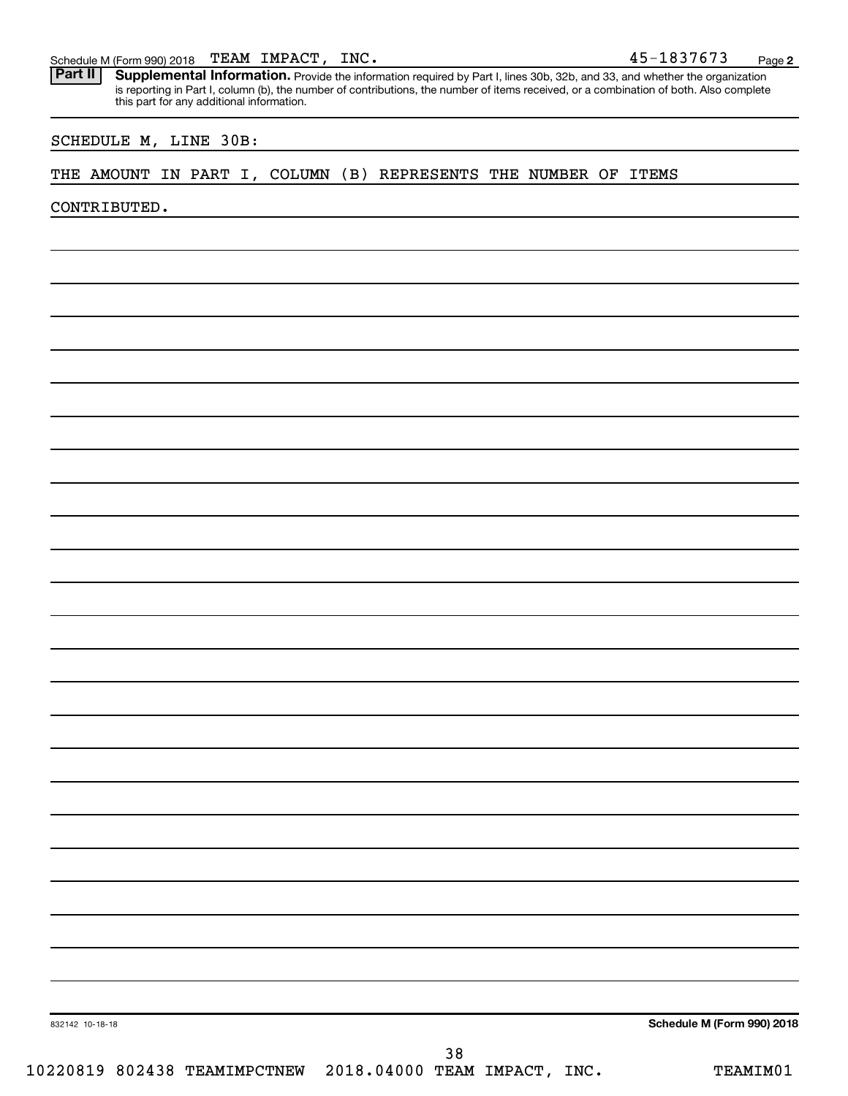#### TEAM IMPACT,

Schedule M (Form 990) 2018 TEAM IMPACT, INC.<br>**Part II** Supplemental Information. Provide the information required by Part I. lines 30b, 32b, and 33, and whether the orga Part II | Supplemental Information. Provide the information required by Part I, lines 30b, 32b, and 33, and whether the organization is reporting in Part I, column (b), the number of contributions, the number of items received, or a combination of both. Also complete this part for any additional information.

#### SCHEDULE M, LINE 30B:

#### THE AMOUNT IN PART I, COLUMN (B) REPRESENTS THE NUMBER OF ITEMS

CONTRIBUTED.

832142 10-18-18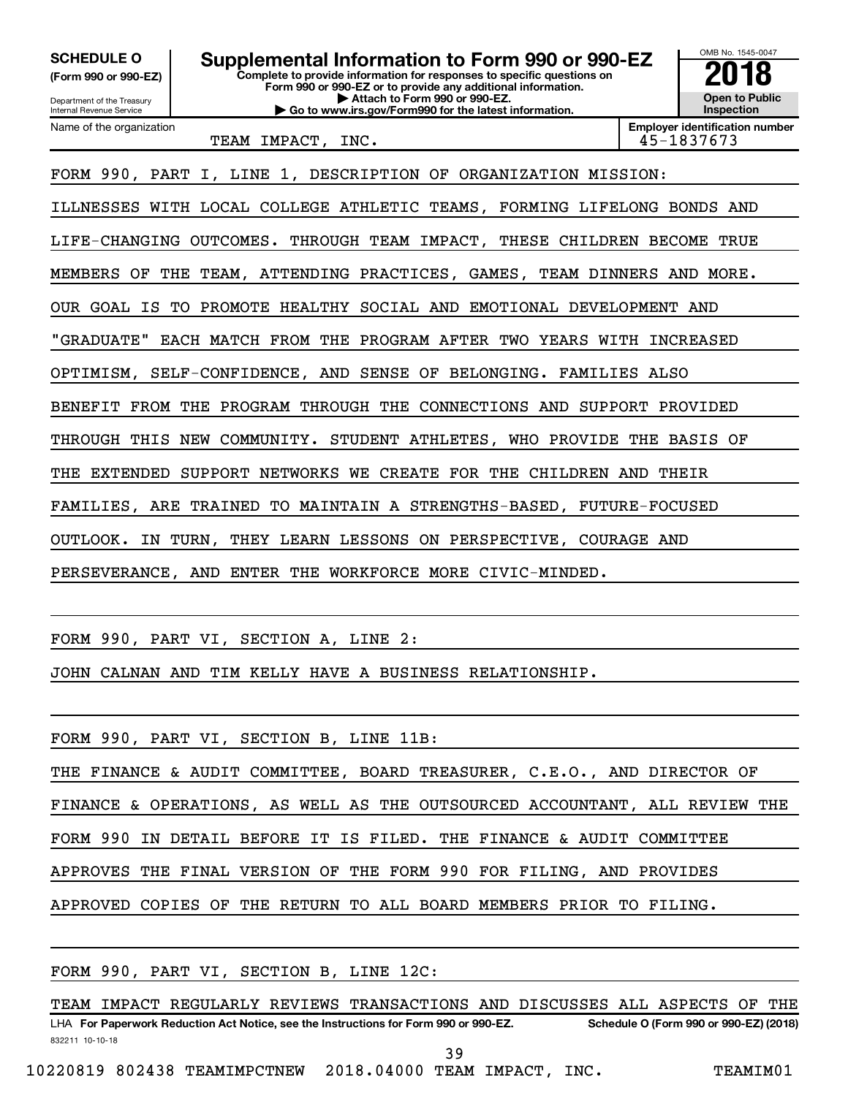OMB No. 1545-0047 Department of the Treasury Internal Revenue Service **Complete to provide information for responses to specific questions on Form 990 or 990-EZ or to provide any additional information. | Attach to Form 990 or 990-EZ. | Go to www.irs.gov/Form990 for the latest information. (Form 990 or 990-EZ) Open to Public Inspection Employer identification number** Name of the organization SCHEDULE O **Supplemental Information to Form 990 or 990-EZ 2018**<br>(Form 990 or 990-EZ) Complete to provide information for responses to specific questions on TEAM IMPACT, INC. 45-1837673 FORM 990, PART I, LINE 1, DESCRIPTION OF ORGANIZATION MISSION: ILLNESSES WITH LOCAL COLLEGE ATHLETIC TEAMS, FORMING LIFELONG BONDS AND LIFE-CHANGING OUTCOMES. THROUGH TEAM IMPACT, THESE CHILDREN BECOME TRUE MEMBERS OF THE TEAM, ATTENDING PRACTICES, GAMES, TEAM DINNERS AND MORE. OUR GOAL IS TO PROMOTE HEALTHY SOCIAL AND EMOTIONAL DEVELOPMENT AND "GRADUATE" EACH MATCH FROM THE PROGRAM AFTER TWO YEARS WITH INCREASED OPTIMISM, SELF-CONFIDENCE, AND SENSE OF BELONGING. FAMILIES ALSO BENEFIT FROM THE PROGRAM THROUGH THE CONNECTIONS AND SUPPORT PROVIDED THROUGH THIS NEW COMMUNITY. STUDENT ATHLETES, WHO PROVIDE THE BASIS OF THE EXTENDED SUPPORT NETWORKS WE CREATE FOR THE CHILDREN AND THEIR FAMILIES, ARE TRAINED TO MAINTAIN A STRENGTHS-BASED, FUTURE-FOCUSED OUTLOOK. IN TURN, THEY LEARN LESSONS ON PERSPECTIVE, COURAGE AND PERSEVERANCE, AND ENTER THE WORKFORCE MORE CIVIC-MINDED.

FORM 990, PART VI, SECTION A, LINE 2:

JOHN CALNAN AND TIM KELLY HAVE A BUSINESS RELATIONSHIP.

| FINANCE & OPERATIONS, AS WELL AS THE OUTSOURCED ACCOUNTANT, ALL REVIEW THE |
|----------------------------------------------------------------------------|
|                                                                            |
|                                                                            |
|                                                                            |
|                                                                            |

FORM 990, PART VI, SECTION B, LINE 12C:

832211 10-10-18 LHA For Paperwork Reduction Act Notice, see the Instructions for Form 990 or 990-EZ. Schedule O (Form 990 or 990-EZ) (2018) TEAM IMPACT REGULARLY REVIEWS TRANSACTIONS AND DISCUSSES ALL ASPECTS OF THE

39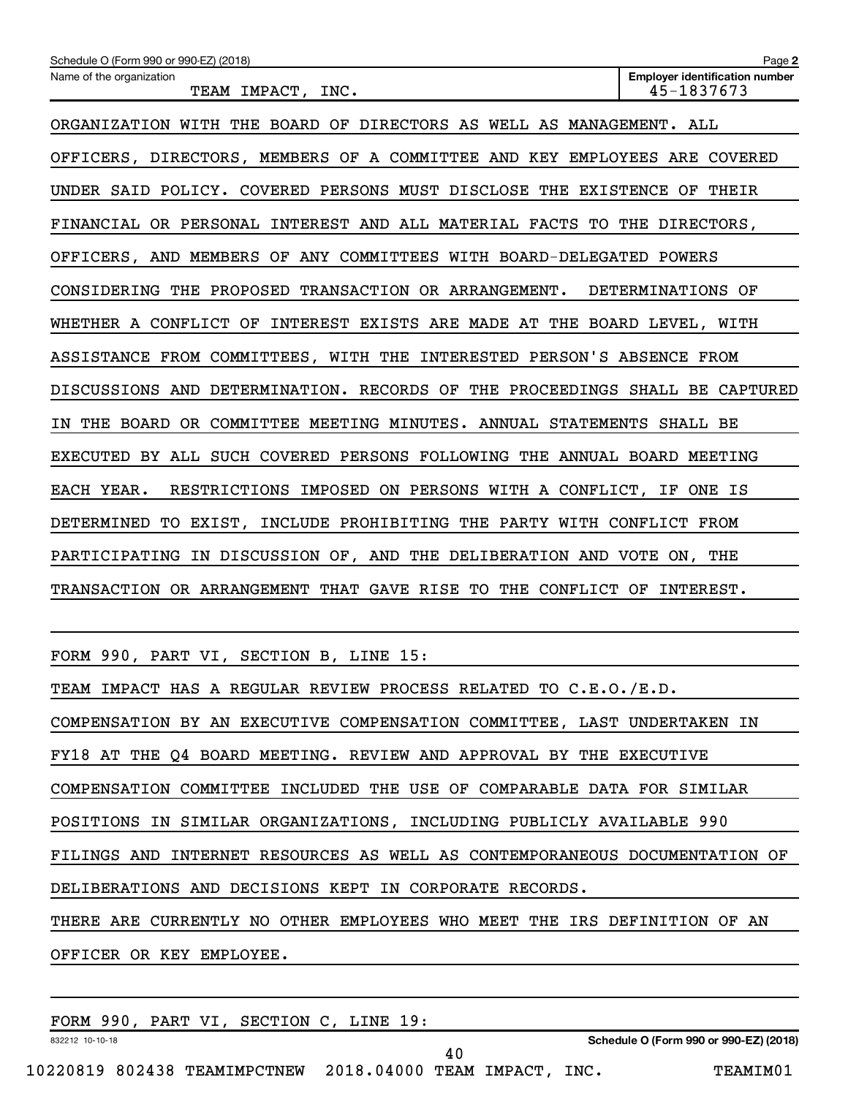| Schedule O (Form 990 or 990-EZ) (2018)                                      | Page 2                                              |
|-----------------------------------------------------------------------------|-----------------------------------------------------|
| Name of the organization<br>TEAM IMPACT, INC.                               | <b>Employer identification number</b><br>45-1837673 |
| ORGANIZATION WITH THE BOARD OF DIRECTORS AS WELL AS MANAGEMENT. ALL         |                                                     |
| OFFICERS, DIRECTORS, MEMBERS OF A COMMITTEE AND KEY EMPLOYEES ARE COVERED   |                                                     |
| UNDER SAID POLICY. COVERED PERSONS MUST DISCLOSE THE EXISTENCE OF THEIR     |                                                     |
| FINANCIAL OR PERSONAL INTEREST AND ALL MATERIAL FACTS TO THE DIRECTORS,     |                                                     |
| OFFICERS, AND MEMBERS OF ANY COMMITTEES WITH BOARD-DELEGATED POWERS         |                                                     |
| CONSIDERING THE PROPOSED TRANSACTION OR ARRANGEMENT. DETERMINATIONS OF      |                                                     |
| WHETHER A CONFLICT OF INTEREST EXISTS ARE MADE AT THE BOARD LEVEL, WITH     |                                                     |
| ASSISTANCE FROM COMMITTEES, WITH THE INTERESTED PERSON'S ABSENCE FROM       |                                                     |
| DISCUSSIONS AND DETERMINATION. RECORDS OF THE PROCEEDINGS SHALL BE CAPTURED |                                                     |
| IN THE BOARD OR COMMITTEE MEETING MINUTES. ANNUAL STATEMENTS SHALL BE       |                                                     |
| EXECUTED BY ALL SUCH COVERED PERSONS FOLLOWING THE ANNUAL BOARD MEETING     |                                                     |
| EACH YEAR.<br>RESTRICTIONS IMPOSED ON PERSONS WITH A CONFLICT, IF ONE IS    |                                                     |
| DETERMINED TO EXIST, INCLUDE PROHIBITING THE PARTY WITH CONFLICT FROM       |                                                     |
| PARTICIPATING IN DISCUSSION OF, AND THE DELIBERATION AND VOTE ON, THE       |                                                     |
| TRANSACTION OR ARRANGEMENT THAT GAVE RISE TO THE CONFLICT OF INTEREST.      |                                                     |
|                                                                             |                                                     |
| FORM 990, PART VI, SECTION B, LINE 15:                                      |                                                     |

| TEAM IMPACT HAS A REGULAR REVIEW PROCESS RELATED TO C.E.O./E.D.            |
|----------------------------------------------------------------------------|
| COMPENSATION BY AN EXECUTIVE COMPENSATION COMMITTEE, LAST UNDERTAKEN IN    |
| FY18 AT THE Q4 BOARD MEETING. REVIEW AND APPROVAL BY THE EXECUTIVE         |
| COMPENSATION COMMITTEE INCLUDED THE USE OF COMPARABLE DATA FOR SIMILAR     |
| POSITIONS IN SIMILAR ORGANIZATIONS, INCLUDING PUBLICLY AVAILABLE 990       |
| FILINGS AND INTERNET RESOURCES AS WELL AS CONTEMPORANEOUS DOCUMENTATION OF |
| DELIBERATIONS AND DECISIONS KEPT IN CORPORATE RECORDS.                     |
| THERE ARE CURRENTLY NO OTHER EMPLOYEES WHO MEET THE IRS DEFINITION OF AN   |
| OFFICER OR KEY EMPLOYEE.                                                   |
|                                                                            |

832212 10-10-18 **Schedule O (Form 990 or 990-EZ) (2018)** FORM 990, PART VI, SECTION C, LINE 19: 40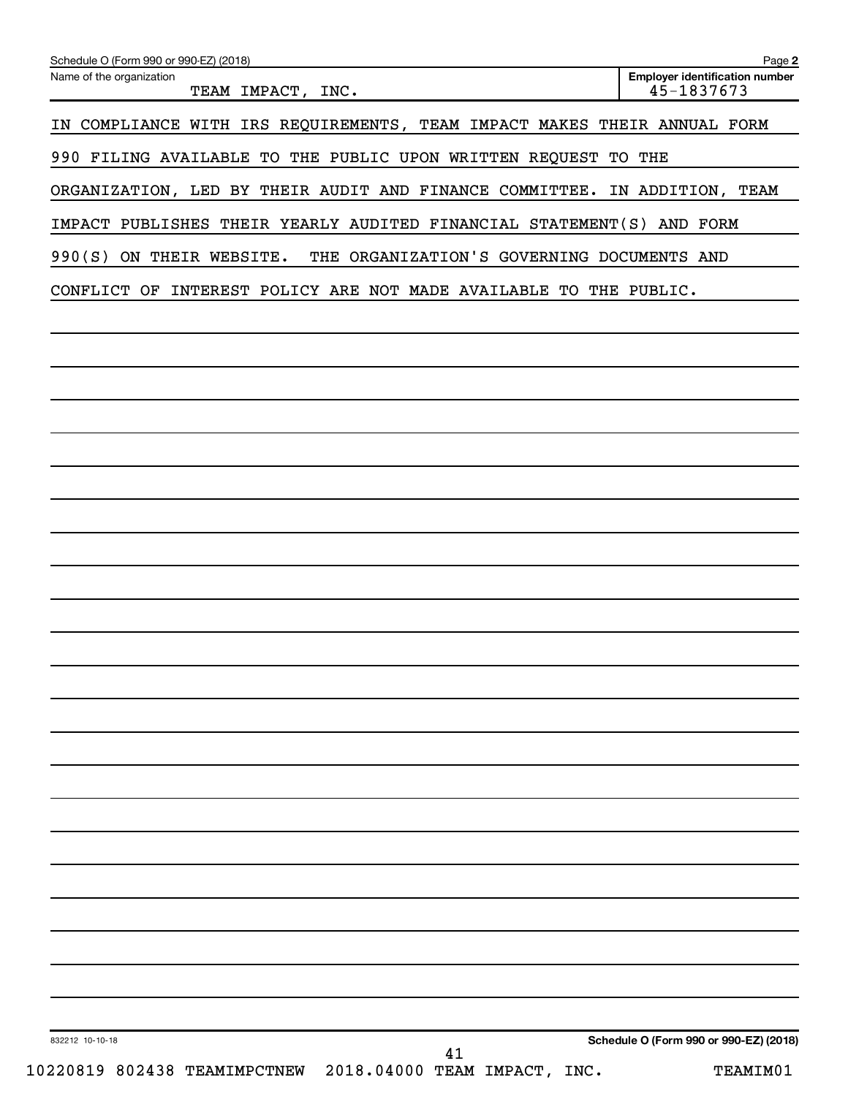| Name of the organization<br>TEAM IMPACT, INC.                                      | <b>Employer identification number</b><br>45-1837673 |
|------------------------------------------------------------------------------------|-----------------------------------------------------|
| IN COMPLIANCE WITH IRS REQUIREMENTS, TEAM IMPACT MAKES THEIR ANNUAL FORM           |                                                     |
| 990 FILING AVAILABLE TO THE PUBLIC UPON WRITTEN REQUEST TO THE                     |                                                     |
| ORGANIZATION, LED BY THEIR AUDIT AND FINANCE COMMITTEE. IN ADDITION, TEAM          |                                                     |
| IMPACT PUBLISHES THEIR YEARLY AUDITED FINANCIAL STATEMENT(S) AND FORM              |                                                     |
| 990(S) ON THEIR WEBSITE. THE ORGANIZATION'S GOVERNING DOCUMENTS AND                |                                                     |
| CONFLICT OF INTEREST POLICY ARE NOT MADE AVAILABLE TO THE PUBLIC.                  |                                                     |
|                                                                                    |                                                     |
|                                                                                    |                                                     |
|                                                                                    |                                                     |
|                                                                                    |                                                     |
|                                                                                    |                                                     |
|                                                                                    |                                                     |
|                                                                                    |                                                     |
|                                                                                    |                                                     |
|                                                                                    |                                                     |
|                                                                                    |                                                     |
|                                                                                    |                                                     |
|                                                                                    |                                                     |
|                                                                                    |                                                     |
|                                                                                    |                                                     |
|                                                                                    |                                                     |
|                                                                                    |                                                     |
|                                                                                    |                                                     |
|                                                                                    |                                                     |
|                                                                                    |                                                     |
|                                                                                    |                                                     |
|                                                                                    |                                                     |
|                                                                                    |                                                     |
| 832212 10-10-18<br>41<br>10220819 802438 TEAMIMPCTNEW 2018.04000 TEAM IMPACT, INC. | Schedule O (Form 990 or 990-EZ) (2018)<br>TEAMIM01  |